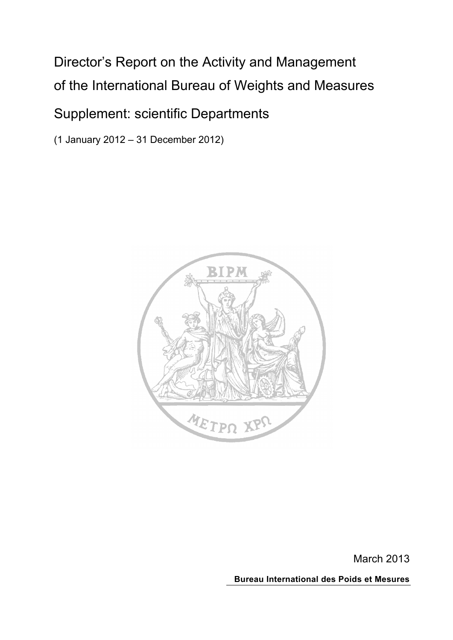# Director's Report on the Activity and Management of the International Bureau of Weights and Measures

## Supplement: scientific Departments

(1 January 2012 – 31 December 2012)



March 2013

**Bureau International des Poids et Mesures**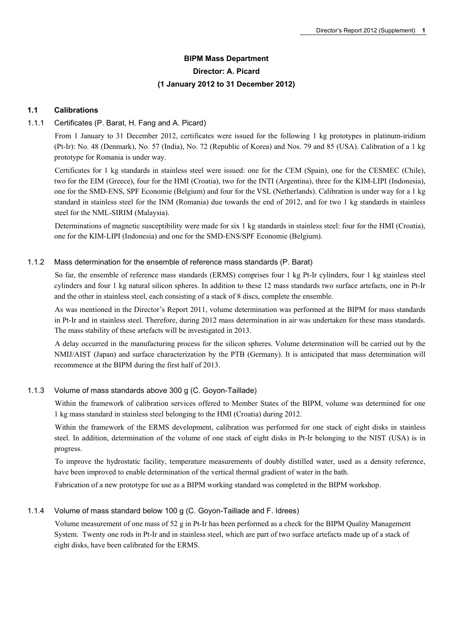## **BIPM Mass Department Director: A. Picard (1 January 2012 to 31 December 2012)**

#### **1.1 Calibrations**

#### 1.1.1 Certificates (P. Barat, H. Fang and A. Picard)

From 1 January to 31 December 2012, certificates were issued for the following 1 kg prototypes in platinum-iridium (Pt-Ir): No. 48 (Denmark), No. 57 (India), No. 72 (Republic of Korea) and Nos. 79 and 85 (USA). Calibration of a 1 kg prototype for Romania is under way.

Certificates for 1 kg standards in stainless steel were issued: one for the CEM (Spain), one for the CESMEC (Chile), two for the EIM (Greece), four for the HMI (Croatia), two for the INTI (Argentina), three for the KIM-LIPI (Indonesia), one for the SMD-ENS, SPF Economie (Belgium) and four for the VSL (Netherlands). Calibration is under way for a 1 kg standard in stainless steel for the INM (Romania) due towards the end of 2012, and for two 1 kg standards in stainless steel for the NML-SIRIM (Malaysia).

Determinations of magnetic susceptibility were made for six 1 kg standards in stainless steel: four for the HMI (Croatia), one for the KIM-LIPI (Indonesia) and one for the SMD-ENS/SPF Economie (Belgium).

#### 1.1.2 Mass determination for the ensemble of reference mass standards (P. Barat)

So far, the ensemble of reference mass standards (ERMS) comprises four 1 kg Pt-Ir cylinders, four 1 kg stainless steel cylinders and four 1 kg natural silicon spheres. In addition to these 12 mass standards two surface artefacts, one in Pt-Ir and the other in stainless steel, each consisting of a stack of 8 discs, complete the ensemble.

As was mentioned in the Director's Report 2011, volume determination was performed at the BIPM for mass standards in Pt-Ir and in stainless steel. Therefore, during 2012 mass determination in air was undertaken for these mass standards. The mass stability of these artefacts will be investigated in 2013.

A delay occurred in the manufacturing process for the silicon spheres. Volume determination will be carried out by the NMIJ/AIST (Japan) and surface characterization by the PTB (Germany). It is anticipated that mass determination will recommence at the BIPM during the first half of 2013.

#### 1.1.3 Volume of mass standards above 300 g (C. Goyon-Taillade)

Within the framework of calibration services offered to Member States of the BIPM, volume was determined for one 1 kg mass standard in stainless steel belonging to the HMI (Croatia) during 2012.

Within the framework of the ERMS development, calibration was performed for one stack of eight disks in stainless steel. In addition, determination of the volume of one stack of eight disks in Pt-Ir belonging to the NIST (USA) is in progress.

To improve the hydrostatic facility, temperature measurements of doubly distilled water, used as a density reference, have been improved to enable determination of the vertical thermal gradient of water in the bath.

Fabrication of a new prototype for use as a BIPM working standard was completed in the BIPM workshop.

#### 1.1.4 Volume of mass standard below 100 g (C. Goyon-Taillade and F. Idrees)

Volume measurement of one mass of 52 g in Pt-Ir has been performed as a check for the BIPM Quality Management System. Twenty one rods in Pt-Ir and in stainless steel, which are part of two surface artefacts made up of a stack of eight disks, have been calibrated for the ERMS.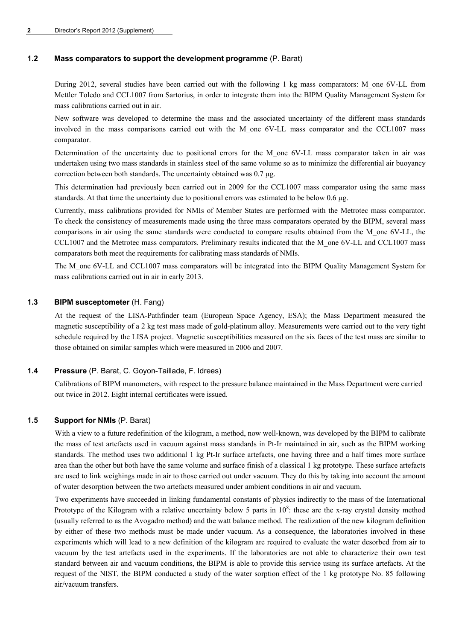#### **1.2 Mass comparators to support the development programme** (P. Barat)

During 2012, several studies have been carried out with the following 1 kg mass comparators: M\_one 6V-LL from Mettler Toledo and CCL1007 from Sartorius, in order to integrate them into the BIPM Quality Management System for mass calibrations carried out in air.

New software was developed to determine the mass and the associated uncertainty of the different mass standards involved in the mass comparisons carried out with the M\_one 6V-LL mass comparator and the CCL1007 mass comparator.

Determination of the uncertainty due to positional errors for the M\_one 6V-LL mass comparator taken in air was undertaken using two mass standards in stainless steel of the same volume so as to minimize the differential air buoyancy correction between both standards. The uncertainty obtained was 0.7 µg.

This determination had previously been carried out in 2009 for the CCL1007 mass comparator using the same mass standards. At that time the uncertainty due to positional errors was estimated to be below 0.6 µg.

Currently, mass calibrations provided for NMIs of Member States are performed with the Metrotec mass comparator. To check the consistency of measurements made using the three mass comparators operated by the BIPM, several mass comparisons in air using the same standards were conducted to compare results obtained from the M\_one 6V-LL, the CCL1007 and the Metrotec mass comparators. Preliminary results indicated that the M\_one 6V-LL and CCL1007 mass comparators both meet the requirements for calibrating mass standards of NMIs.

The M\_one 6V-LL and CCL1007 mass comparators will be integrated into the BIPM Quality Management System for mass calibrations carried out in air in early 2013.

#### **1.3 BIPM susceptometer** (H. Fang)

At the request of the LISA-Pathfinder team (European Space Agency, ESA); the Mass Department measured the magnetic susceptibility of a 2 kg test mass made of gold-platinum alloy. Measurements were carried out to the very tight schedule required by the LISA project. Magnetic susceptibilities measured on the six faces of the test mass are similar to those obtained on similar samples which were measured in 2006 and 2007.

#### **1.4 Pressure** (P. Barat, C. Goyon-Taillade, F. Idrees)

Calibrations of BIPM manometers, with respect to the pressure balance maintained in the Mass Department were carried out twice in 2012. Eight internal certificates were issued.

#### **1.5 Support for NMIs** (P. Barat)

With a view to a future redefinition of the kilogram, a method, now well-known, was developed by the BIPM to calibrate the mass of test artefacts used in vacuum against mass standards in Pt-Ir maintained in air, such as the BIPM working standards. The method uses two additional 1 kg Pt-Ir surface artefacts, one having three and a half times more surface area than the other but both have the same volume and surface finish of a classical 1 kg prototype. These surface artefacts are used to link weighings made in air to those carried out under vacuum. They do this by taking into account the amount of water desorption between the two artefacts measured under ambient conditions in air and vacuum.

Two experiments have succeeded in linking fundamental constants of physics indirectly to the mass of the International Prototype of the Kilogram with a relative uncertainty below 5 parts in  $10^8$ : these are the x-ray crystal density method (usually referred to as the Avogadro method) and the watt balance method. The realization of the new kilogram definition by either of these two methods must be made under vacuum. As a consequence, the laboratories involved in these experiments which will lead to a new definition of the kilogram are required to evaluate the water desorbed from air to vacuum by the test artefacts used in the experiments. If the laboratories are not able to characterize their own test standard between air and vacuum conditions, the BIPM is able to provide this service using its surface artefacts. At the request of the NIST, the BIPM conducted a study of the water sorption effect of the 1 kg prototype No. 85 following air/vacuum transfers.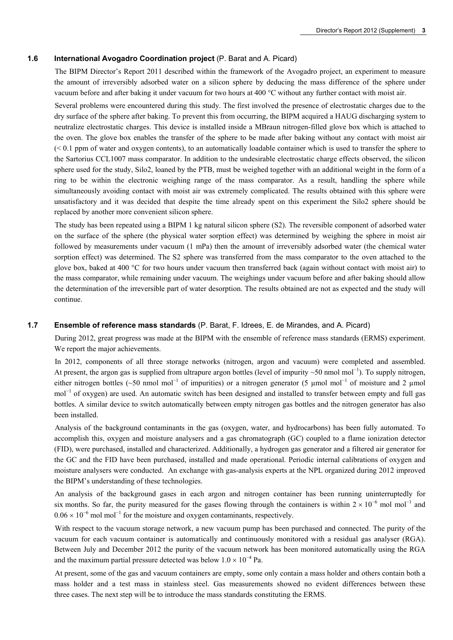#### **1.6 International Avogadro Coordination project** (P. Barat and A. Picard)

The BIPM Director's Report 2011 described within the framework of the Avogadro project, an experiment to measure the amount of irreversibly adsorbed water on a silicon sphere by deducing the mass difference of the sphere under vacuum before and after baking it under vacuum for two hours at 400 °C without any further contact with moist air.

Several problems were encountered during this study. The first involved the presence of electrostatic charges due to the dry surface of the sphere after baking. To prevent this from occurring, the BIPM acquired a HAUG discharging system to neutralize electrostatic charges. This device is installed inside a MBraun nitrogen-filled glove box which is attached to the oven. The glove box enables the transfer of the sphere to be made after baking without any contact with moist air (< 0.1 ppm of water and oxygen contents), to an automatically loadable container which is used to transfer the sphere to the Sartorius CCL1007 mass comparator. In addition to the undesirable electrostatic charge effects observed, the silicon sphere used for the study, Silo2, loaned by the PTB, must be weighed together with an additional weight in the form of a ring to be within the electronic weighing range of the mass comparator. As a result, handling the sphere while simultaneously avoiding contact with moist air was extremely complicated. The results obtained with this sphere were unsatisfactory and it was decided that despite the time already spent on this experiment the Silo2 sphere should be replaced by another more convenient silicon sphere.

The study has been repeated using a BIPM 1 kg natural silicon sphere (S2). The reversible component of adsorbed water on the surface of the sphere (the physical water sorption effect) was determined by weighing the sphere in moist air followed by measurements under vacuum (1 mPa) then the amount of irreversibly adsorbed water (the chemical water sorption effect) was determined. The S2 sphere was transferred from the mass comparator to the oven attached to the glove box, baked at 400 °C for two hours under vacuum then transferred back (again without contact with moist air) to the mass comparator, while remaining under vacuum. The weighings under vacuum before and after baking should allow the determination of the irreversible part of water desorption. The results obtained are not as expected and the study will continue.

#### **1.7 Ensemble of reference mass standards** (P. Barat, F. Idrees, E. de Mirandes, and A. Picard)

During 2012, great progress was made at the BIPM with the ensemble of reference mass standards (ERMS) experiment. We report the major achievements.

In 2012, components of all three storage networks (nitrogen, argon and vacuum) were completed and assembled. At present, the argon gas is supplied from ultrapure argon bottles (level of impurity  $\sim$ 50 nmol mol<sup>-1</sup>). To supply nitrogen, either nitrogen bottles (~50 nmol mol<sup>-1</sup> of impurities) or a nitrogen generator (5 µmol mol<sup>-1</sup> of moisture and 2 µmol mol<sup>-1</sup> of oxygen) are used. An automatic switch has been designed and installed to transfer between empty and full gas bottles. A similar device to switch automatically between empty nitrogen gas bottles and the nitrogen generator has also been installed.

Analysis of the background contaminants in the gas (oxygen, water, and hydrocarbons) has been fully automated. To accomplish this, oxygen and moisture analysers and a gas chromatograph (GC) coupled to a flame ionization detector (FID), were purchased, installed and characterized. Additionally, a hydrogen gas generator and a filtered air generator for the GC and the FID have been purchased, installed and made operational. Periodic internal calibrations of oxygen and moisture analysers were conducted. An exchange with gas-analysis experts at the NPL organized during 2012 improved the BIPM's understanding of these technologies.

An analysis of the background gases in each argon and nitrogen container has been running uninterruptedly for six months. So far, the purity measured for the gases flowing through the containers is within  $2 \times 10^{-6}$  mol mol<sup>-1</sup> and  $0.06 \times 10^{-6}$  mol mol<sup>-1</sup> for the moisture and oxygen contaminants, respectively.

With respect to the vacuum storage network, a new vacuum pump has been purchased and connected. The purity of the vacuum for each vacuum container is automatically and continuously monitored with a residual gas analyser (RGA). Between July and December 2012 the purity of the vacuum network has been monitored automatically using the RGA and the maximum partial pressure detected was below  $1.0 \times 10^{-4}$  Pa.

At present, some of the gas and vacuum containers are empty, some only contain a mass holder and others contain both a mass holder and a test mass in stainless steel. Gas measurements showed no evident differences between these three cases. The next step will be to introduce the mass standards constituting the ERMS.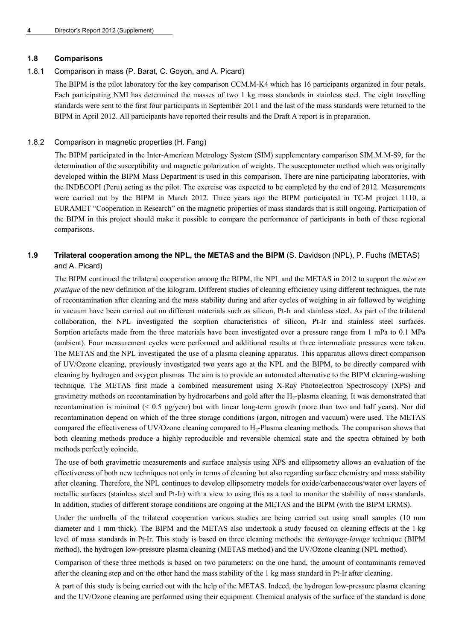#### **1.8 Comparisons**

#### 1.8.1 Comparison in mass (P. Barat, C. Goyon, and A. Picard)

The BIPM is the pilot laboratory for the key comparison CCM.M-K4 which has 16 participants organized in four petals. Each participating NMI has determined the masses of two 1 kg mass standards in stainless steel. The eight travelling standards were sent to the first four participants in September 2011 and the last of the mass standards were returned to the BIPM in April 2012. All participants have reported their results and the Draft A report is in preparation.

#### 1.8.2 Comparison in magnetic properties (H. Fang)

The BIPM participated in the Inter-American Metrology System (SIM) supplementary comparison SIM.M.M-S9, for the determination of the susceptibility and magnetic polarization of weights. The susceptometer method which was originally developed within the BIPM Mass Department is used in this comparison. There are nine participating laboratories, with the INDECOPI (Peru) acting as the pilot. The exercise was expected to be completed by the end of 2012. Measurements were carried out by the BIPM in March 2012. Three years ago the BIPM participated in TC-M project 1110, a EURAMET "Cooperation in Research" on the magnetic properties of mass standards that is still ongoing. Participation of the BIPM in this project should make it possible to compare the performance of participants in both of these regional comparisons.

## **1.9 Trilateral cooperation among the NPL, the METAS and the BIPM** (S. Davidson (NPL), P. Fuchs (METAS) and A. Picard)

The BIPM continued the trilateral cooperation among the BIPM, the NPL and the METAS in 2012 to support the *mise en pratique* of the new definition of the kilogram. Different studies of cleaning efficiency using different techniques, the rate of recontamination after cleaning and the mass stability during and after cycles of weighing in air followed by weighing in vacuum have been carried out on different materials such as silicon, Pt-Ir and stainless steel. As part of the trilateral collaboration, the NPL investigated the sorption characteristics of silicon, Pt-Ir and stainless steel surfaces. Sorption artefacts made from the three materials have been investigated over a pressure range from 1 mPa to 0.1 MPa (ambient). Four measurement cycles were performed and additional results at three intermediate pressures were taken. The METAS and the NPL investigated the use of a plasma cleaning apparatus. This apparatus allows direct comparison of UV/Ozone cleaning, previously investigated two years ago at the NPL and the BIPM, to be directly compared with cleaning by hydrogen and oxygen plasmas. The aim is to provide an automated alternative to the BIPM cleaning-washing technique. The METAS first made a combined measurement using X-Ray Photoelectron Spectroscopy (XPS) and gravimetry methods on recontamination by hydrocarbons and gold after the H2-plasma cleaning. It was demonstrated that recontamination is minimal  $( $0.5 \mu g$ /year)$  but with linear long-term growth (more than two and half years). Nor did recontamination depend on which of the three storage conditions (argon, nitrogen and vacuum) were used. The METAS compared the effectiveness of UV/Ozone cleaning compared to H<sub>2</sub>-Plasma cleaning methods. The comparison shows that both cleaning methods produce a highly reproducible and reversible chemical state and the spectra obtained by both methods perfectly coincide.

The use of both gravimetric measurements and surface analysis using XPS and ellipsometry allows an evaluation of the effectiveness of both new techniques not only in terms of cleaning but also regarding surface chemistry and mass stability after cleaning. Therefore, the NPL continues to develop ellipsometry models for oxide/carbonaceous/water over layers of metallic surfaces (stainless steel and Pt-Ir) with a view to using this as a tool to monitor the stability of mass standards. In addition, studies of different storage conditions are ongoing at the METAS and the BIPM (with the BIPM ERMS).

Under the umbrella of the trilateral cooperation various studies are being carried out using small samples (10 mm diameter and 1 mm thick). The BIPM and the METAS also undertook a study focused on cleaning effects at the 1 kg level of mass standards in Pt-Ir. This study is based on three cleaning methods: the *nettoyage-lavage* technique (BIPM method), the hydrogen low-pressure plasma cleaning (METAS method) and the UV/Ozone cleaning (NPL method).

Comparison of these three methods is based on two parameters: on the one hand, the amount of contaminants removed after the cleaning step and on the other hand the mass stability of the 1 kg mass standard in Pt-Ir after cleaning.

A part of this study is being carried out with the help of the METAS. Indeed, the hydrogen low-pressure plasma cleaning and the UV/Ozone cleaning are performed using their equipment. Chemical analysis of the surface of the standard is done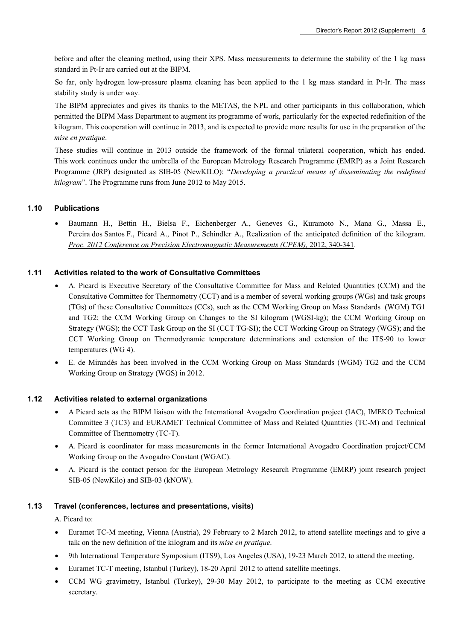before and after the cleaning method, using their XPS. Mass measurements to determine the stability of the 1 kg mass standard in Pt-Ir are carried out at the BIPM.

So far, only hydrogen low-pressure plasma cleaning has been applied to the 1 kg mass standard in Pt-Ir. The mass stability study is under way.

The BIPM appreciates and gives its thanks to the METAS, the NPL and other participants in this collaboration, which permitted the BIPM Mass Department to augment its programme of work, particularly for the expected redefinition of the kilogram. This cooperation will continue in 2013, and is expected to provide more results for use in the preparation of the *mise en pratique*.

These studies will continue in 2013 outside the framework of the formal trilateral cooperation, which has ended. This work continues under the umbrella of the European Metrology Research Programme (EMRP) as a Joint Research Programme (JRP) designated as SIB-05 (NewKILO): "*Developing a practical means of disseminating the redefined kilogram*". The Programme runs from June 2012 to May 2015.

#### **1.10 Publications**

 Baumann H., Bettin H., Bielsa F., Eichenberger A., Geneves G., Kuramoto N., Mana G., Massa E., Pereira dos Santos F., Picard A., Pinot P., Schindler A., Realization of the anticipated definition of the kilogram. **[Proc. 2012 Conference on Precision Electromagnetic Measurements \(CPEM\),](http://dx.doi.org/10.1109/CPEM.2012.6250941) 2012, 340-341.** 

#### **1.11 Activities related to the work of Consultative Committees**

- A. Picard is Executive Secretary of the Consultative Committee for Mass and Related Quantities (CCM) and the Consultative Committee for Thermometry (CCT) and is a member of several working groups (WGs) and task groups (TGs) of these Consultative Committees (CCs), such as the CCM Working Group on Mass Standards (WGM) TG1 and TG2; the CCM Working Group on Changes to the SI kilogram (WGSI-kg); the CCM Working Group on Strategy (WGS); the CCT Task Group on the SI (CCT TG-SI); the CCT Working Group on Strategy (WGS); and the CCT Working Group on Thermodynamic temperature determinations and extension of the ITS-90 to lower temperatures (WG 4).
- E. de Mirandés has been involved in the CCM Working Group on Mass Standards (WGM) TG2 and the CCM Working Group on Strategy (WGS) in 2012.

#### **1.12 Activities related to external organizations**

- A Picard acts as the BIPM liaison with the International Avogadro Coordination project (IAC), IMEKO Technical Committee 3 (TC3) and EURAMET Technical Committee of Mass and Related Quantities (TC-M) and Technical Committee of Thermometry (TC-T).
- A. Picard is coordinator for mass measurements in the former International Avogadro Coordination project/CCM Working Group on the Avogadro Constant (WGAC).
- A. Picard is the contact person for the European Metrology Research Programme (EMRP) joint research project SIB-05 (NewKilo) and SIB-03 (kNOW).

#### **1.13 Travel (conferences, lectures and presentations, visits)**

A. Picard to:

- Euramet TC-M meeting, Vienna (Austria), 29 February to 2 March 2012, to attend satellite meetings and to give a talk on the new definition of the kilogram and its *mise en pratique*.
- 9th International Temperature Symposium (ITS9), Los Angeles (USA), 19-23 March 2012, to attend the meeting.
- Euramet TC-T meeting, Istanbul (Turkey), 18-20 April 2012 to attend satellite meetings.
- CCM WG gravimetry, Istanbul (Turkey), 29-30 May 2012, to participate to the meeting as CCM executive secretary.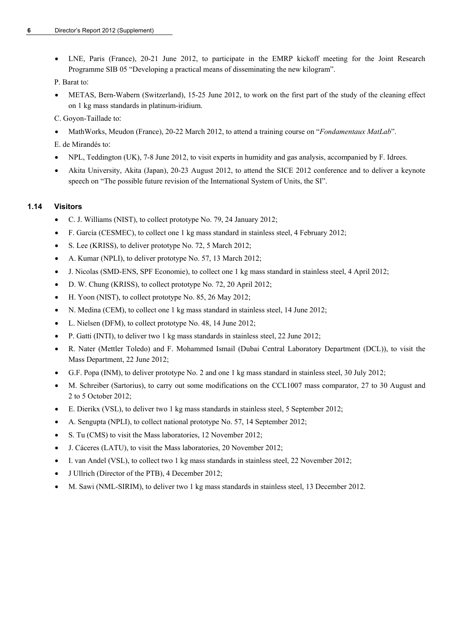LNE, Paris (France), 20-21 June 2012, to participate in the EMRP kickoff meeting for the Joint Research Programme SIB 05 "Developing a practical means of disseminating the new kilogram".

P. Barat to:

- METAS, Bern-Wabern (Switzerland), 15-25 June 2012, to work on the first part of the study of the cleaning effect on 1 kg mass standards in platinum-iridium.
- C. Goyon-Taillade to:
- MathWorks, Meudon (France), 20-22 March 2012, to attend a training course on "*Fondamentaux MatLab*".
- E. de Mirandés to:
- NPL, Teddington (UK), 7-8 June 2012, to visit experts in humidity and gas analysis, accompanied by F. Idrees.
- Akita University, Akita (Japan), 20-23 August 2012, to attend the SICE 2012 conference and to deliver a keynote speech on "The possible future revision of the International System of Units, the SI".

#### **1.14 Visitors**

- C. J. Williams (NIST), to collect prototype No. 79, 24 January 2012;
- F. García (CESMEC), to collect one 1 kg mass standard in stainless steel, 4 February 2012;
- S. Lee (KRISS), to deliver prototype No. 72, 5 March 2012;
- A. Kumar (NPLI), to deliver prototype No. 57, 13 March 2012;
- J. Nicolas (SMD-ENS, SPF Economie), to collect one 1 kg mass standard in stainless steel, 4 April 2012;
- D. W. Chung (KRISS), to collect prototype No. 72, 20 April 2012;
- H. Yoon (NIST), to collect prototype No. 85, 26 May 2012;
- N. Medina (CEM), to collect one 1 kg mass standard in stainless steel, 14 June 2012;
- L. Nielsen (DFM), to collect prototype No. 48, 14 June 2012;
- P. Gatti (INTI), to deliver two 1 kg mass standards in stainless steel, 22 June 2012;
- R. Nater (Mettler Toledo) and F. Mohammed Ismail (Dubai Central Laboratory Department (DCL)), to visit the Mass Department, 22 June 2012;
- G.F. Popa (INM), to deliver prototype No. 2 and one 1 kg mass standard in stainless steel, 30 July 2012;
- M. Schreiber (Sartorius), to carry out some modifications on the CCL1007 mass comparator, 27 to 30 August and 2 to 5 October 2012;
- E. Dierikx (VSL), to deliver two 1 kg mass standards in stainless steel, 5 September 2012;
- A. Sengupta (NPLI), to collect national prototype No. 57, 14 September 2012;
- S. Tu (CMS) to visit the Mass laboratories, 12 November 2012;
- J. Cáceres (LATU), to visit the Mass laboratories, 20 November 2012;
- I. van Andel (VSL), to collect two 1 kg mass standards in stainless steel, 22 November 2012;
- J Ullrich (Director of the PTB), 4 December 2012;
- M. Sawi (NML-SIRIM), to deliver two 1 kg mass standards in stainless steel, 13 December 2012.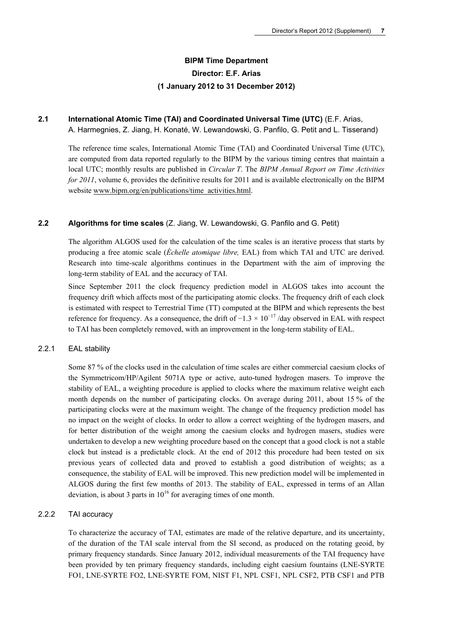## **BIPM Time Department Director: E.F. Arias (1 January 2012 to 31 December 2012)**

#### **2.1 International Atomic Time (TAI) and Coordinated Universal Time (UTC)** (E.F. Arias, A. Harmegnies, Z. Jiang, H. Konaté, W. Lewandowski, G. Panfilo, G. Petit and L. Tisserand)

The reference time scales, International Atomic Time (TAI) and Coordinated Universal Time (UTC), are computed from data reported regularly to the BIPM by the various timing centres that maintain a local UTC; monthly results are published in *Circular T*. The *BIPM Annual Report on Time Activities for 2011*, volume 6, provides the definitive results for 2011 and is available electronically on the BIPM website [www.bipm.org/en/publications/time\\_activities.html.](http://www.bipm.org/en/publications/time_activities.html)

#### **2.2 Algorithms for time scales** (Z. Jiang, W. Lewandowski, G. Panfilo and G. Petit)

The algorithm ALGOS used for the calculation of the time scales is an iterative process that starts by producing a free atomic scale (*Échelle atomique libre,* EAL) from which TAI and UTC are derived. Research into time-scale algorithms continues in the Department with the aim of improving the long-term stability of EAL and the accuracy of TAI.

Since September 2011 the clock frequency prediction model in ALGOS takes into account the frequency drift which affects most of the participating atomic clocks. The frequency drift of each clock is estimated with respect to Terrestrial Time (TT) computed at the BIPM and which represents the best reference for frequency. As a consequence, the drift of −1.3 × 10<sup>−</sup>17 /day observed in EAL with respect to TAI has been completely removed, with an improvement in the long-term stability of EAL.

#### 2.2.1 EAL stability

Some 87 % of the clocks used in the calculation of time scales are either commercial caesium clocks of the Symmetricom/HP/Agilent 5071A type or active, auto-tuned hydrogen masers. To improve the stability of EAL, a weighting procedure is applied to clocks where the maximum relative weight each month depends on the number of participating clocks. On average during 2011, about 15 % of the participating clocks were at the maximum weight. The change of the frequency prediction model has no impact on the weight of clocks. In order to allow a correct weighting of the hydrogen masers, and for better distribution of the weight among the caesium clocks and hydrogen masers, studies were undertaken to develop a new weighting procedure based on the concept that a good clock is not a stable clock but instead is a predictable clock. At the end of 2012 this procedure had been tested on six previous years of collected data and proved to establish a good distribution of weights; as a consequence, the stability of EAL will be improved. This new prediction model will be implemented in ALGOS during the first few months of 2013. The stability of EAL, expressed in terms of an Allan deviation, is about 3 parts in  $10^{16}$  for averaging times of one month.

#### 2.2.2 TAI accuracy

To characterize the accuracy of TAI, estimates are made of the relative departure, and its uncertainty, of the duration of the TAI scale interval from the SI second, as produced on the rotating geoid, by primary frequency standards. Since January 2012, individual measurements of the TAI frequency have been provided by ten primary frequency standards, including eight caesium fountains (LNE-SYRTE FO1, LNE-SYRTE FO2, LNE-SYRTE FOM, NIST F1, NPL CSF1, NPL CSF2, PTB CSF1 and PTB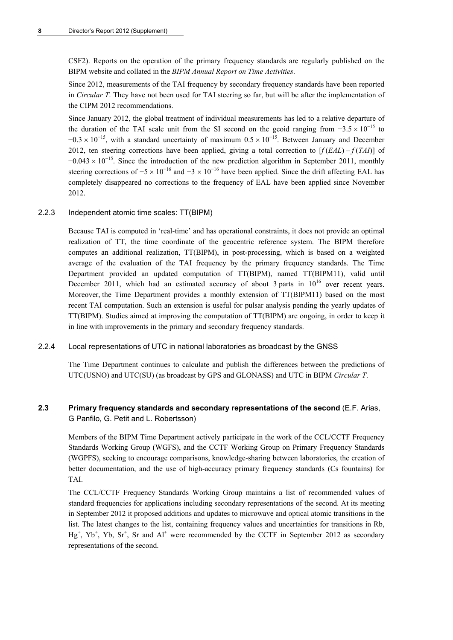CSF2). Reports on the operation of the primary frequency standards are regularly published on the BIPM website and collated in the *BIPM Annual Report on Time Activities*.

Since 2012, measurements of the TAI frequency by secondary frequency standards have been reported in *Circular T*. They have not been used for TAI steering so far, but will be after the implementation of the CIPM 2012 recommendations.

Since January 2012, the global treatment of individual measurements has led to a relative departure of the duration of the TAI scale unit from the SI second on the geoid ranging from  $+3.5 \times 10^{-15}$  to  $-0.3 \times 10^{-15}$ , with a standard uncertainty of maximum  $0.5 \times 10^{-15}$ . Between January and December 2012, ten steering corrections have been applied, giving a total correction to  $[f(EAL) - f(TA) ]$  of  $-0.043 \times 10^{-15}$ . Since the introduction of the new prediction algorithm in September 2011, monthly steering corrections of  $-5 \times 10^{-16}$  and  $-3 \times 10^{-16}$  have been applied. Since the drift affecting EAL has completely disappeared no corrections to the frequency of EAL have been applied since November 2012.

#### 2.2.3 Independent atomic time scales: TT(BIPM)

Because TAI is computed in 'real-time' and has operational constraints, it does not provide an optimal realization of TT, the time coordinate of the geocentric reference system. The BIPM therefore computes an additional realization, TT(BIPM), in post-processing, which is based on a weighted average of the evaluation of the TAI frequency by the primary frequency standards. The Time Department provided an updated computation of TT(BIPM), named TT(BIPM11), valid until December 2011, which had an estimated accuracy of about 3 parts in  $10^{16}$  over recent years. Moreover, the Time Department provides a monthly extension of TT(BIPM11) based on the most recent TAI computation. Such an extension is useful for pulsar analysis pending the yearly updates of TT(BIPM). Studies aimed at improving the computation of TT(BIPM) are ongoing, in order to keep it in line with improvements in the primary and secondary frequency standards.

#### 2.2.4 Local representations of UTC in national laboratories as broadcast by the GNSS

The Time Department continues to calculate and publish the differences between the predictions of UTC(USNO) and UTC(SU) (as broadcast by GPS and GLONASS) and UTC in BIPM *Circular T*.

#### **2.3 Primary frequency standards and secondary representations of the second** (E.F. Arias, G Panfilo, G. Petit and L. Robertsson)

Members of the BIPM Time Department actively participate in the work of the CCL/CCTF Frequency Standards Working Group (WGFS), and the CCTF Working Group on Primary Frequency Standards (WGPFS), seeking to encourage comparisons, knowledge-sharing between laboratories, the creation of better documentation, and the use of high-accuracy primary frequency standards (Cs fountains) for TAI.

The CCL/CCTF Frequency Standards Working Group maintains a list of recommended values of standard frequencies for applications including secondary representations of the second. At its meeting in September 2012 it proposed additions and updates to microwave and optical atomic transitions in the list. The latest changes to the list, containing frequency values and uncertainties for transitions in Rb,  $Hg^+$ ,  $Yb^+$ ,  $Yb$ ,  $Sr^+$ , Sr and  $Al^+$  were recommended by the CCTF in September 2012 as secondary representations of the second.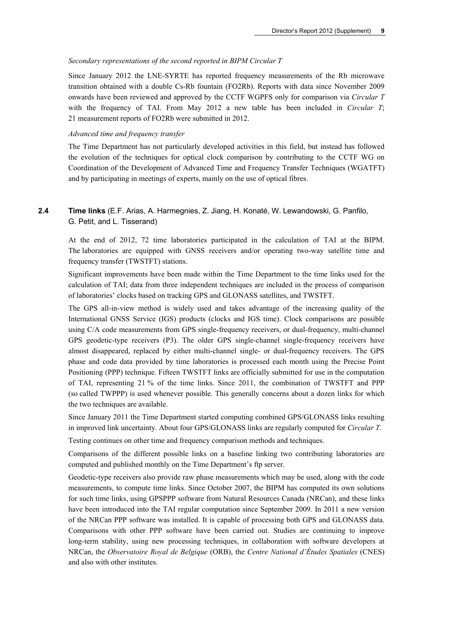#### *Secondary representations of the second reported in BIPM Circular T*

Since January 2012 the LNE-SYRTE has reported frequency measurements of the Rb microwave transition obtained with a double Cs-Rb fountain (FO2Rb). Reports with data since November 2009 onwards have been reviewed and approved by the CCTF WGPFS only for comparison via *Circular T* with the frequency of TAI. From May 2012 a new table has been included in *Circular T*; 21 measurement reports of FO2Rb were submitted in 2012.

#### *Advanced time and frequency transfer*

The Time Department has not particularly developed activities in this field, but instead has followed the evolution of the techniques for optical clock comparison by contributing to the CCTF WG on Coordination of the Development of Advanced Time and Frequency Transfer Techniques (WGATFT) and by participating in meetings of experts, mainly on the use of optical fibres.

## **2.4 Time links** (E.F. Arias, A. Harmegnies, Z. Jiang, H. Konaté, W. Lewandowski, G. Panfilo, G. Petit, and L. Tisserand)

At the end of 2012, 72 time laboratories participated in the calculation of TAI at the BIPM. The laboratories are equipped with GNSS receivers and/or operating two-way satellite time and frequency transfer (TWSTFT) stations.

Significant improvements have been made within the Time Department to the time links used for the calculation of TAI; data from three independent techniques are included in the process of comparison of laboratories' clocks based on tracking GPS and GLONASS satellites, and TWSTFT.

The GPS all-in-view method is widely used and takes advantage of the increasing quality of the International GNSS Service (IGS) products (clocks and IGS time). Clock comparisons are possible using C/A code measurements from GPS single-frequency receivers, or dual-frequency, multi-channel GPS geodetic-type receivers (P3). The older GPS single-channel single-frequency receivers have almost disappeared, replaced by either multi-channel single- or dual-frequency receivers. The GPS phase and code data provided by time laboratories is processed each month using the Precise Point Positioning (PPP) technique. Fifteen TWSTFT links are officially submitted for use in the computation of TAI, representing 21 % of the time links. Since 2011, the combination of TWSTFT and PPP (so called TWPPP) is used whenever possible. This generally concerns about a dozen links for which the two techniques are available.

Since January 2011 the Time Department started computing combined GPS/GLONASS links resulting in improved link uncertainty. About four GPS/GLONASS links are regularly computed for *Circular T*.

Testing continues on other time and frequency comparison methods and techniques.

Comparisons of the different possible links on a baseline linking two contributing laboratories are computed and published monthly on the Time Department's ftp server.

Geodetic-type receivers also provide raw phase measurements which may be used, along with the code measurements, to compute time links. Since October 2007, the BIPM has computed its own solutions for such time links, using GPSPPP software from Natural Resources Canada (NRCan), and these links have been introduced into the TAI regular computation since September 2009. In 2011 a new version of the NRCan PPP software was installed. It is capable of processing both GPS and GLONASS data. Comparisons with other PPP software have been carried out. Studies are continuing to improve long-term stability, using new processing techniques, in collaboration with software developers at NRCan, the *Observatoire Royal de Belgique* (ORB), the *Centre National d'Études Spatiales* (CNES) and also with other institutes.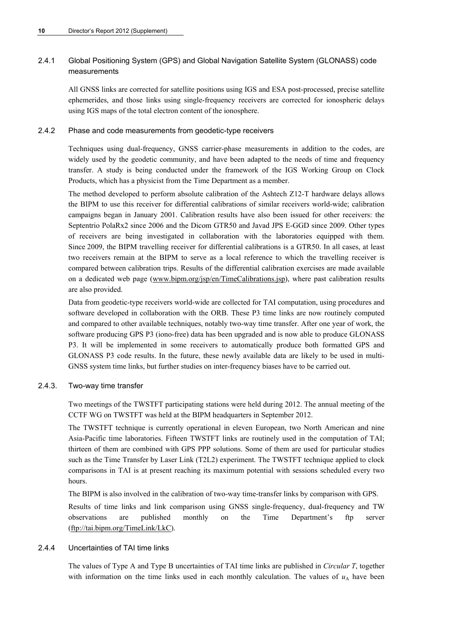## 2.4.1 Global Positioning System (GPS) and Global Navigation Satellite System (GLONASS) code measurements

All GNSS links are corrected for satellite positions using IGS and ESA post-processed, precise satellite ephemerides, and those links using single-frequency receivers are corrected for ionospheric delays using IGS maps of the total electron content of the ionosphere.

#### 2.4.2 Phase and code measurements from geodetic-type receivers

Techniques using dual-frequency, GNSS carrier-phase measurements in addition to the codes, are widely used by the geodetic community, and have been adapted to the needs of time and frequency transfer. A study is being conducted under the framework of the IGS Working Group on Clock Products, which has a physicist from the Time Department as a member.

The method developed to perform absolute calibration of the Ashtech Z12-T hardware delays allows the BIPM to use this receiver for differential calibrations of similar receivers world-wide; calibration campaigns began in January 2001. Calibration results have also been issued for other receivers: the Septentrio PolaRx2 since 2006 and the Dicom GTR50 and Javad JPS E-GGD since 2009. Other types of receivers are being investigated in collaboration with the laboratories equipped with them. Since 2009, the BIPM travelling receiver for differential calibrations is a GTR50. In all cases, at least two receivers remain at the BIPM to serve as a local reference to which the travelling receiver is compared between calibration trips. Results of the differential calibration exercises are made available on a dedicated web page ([www.bipm.org/jsp/en/TimeCalibrations.jsp\)](http://www.bipm.org/jsp/en/TimeCalibrations.jsp), where past calibration results are also provided.

Data from geodetic-type receivers world-wide are collected for TAI computation, using procedures and software developed in collaboration with the ORB. These P3 time links are now routinely computed and compared to other available techniques, notably two-way time transfer. After one year of work, the software producing GPS P3 (iono-free) data has been upgraded and is now able to produce GLONASS P3. It will be implemented in some receivers to automatically produce both formatted GPS and GLONASS P3 code results. In the future, these newly available data are likely to be used in multi-GNSS system time links, but further studies on inter-frequency biases have to be carried out.

#### 2.4.3. Two-way time transfer

Two meetings of the TWSTFT participating stations were held during 2012. The annual meeting of the CCTF WG on TWSTFT was held at the BIPM headquarters in September 2012.

The TWSTFT technique is currently operational in eleven European, two North American and nine Asia-Pacific time laboratories. Fifteen TWSTFT links are routinely used in the computation of TAI; thirteen of them are combined with GPS PPP solutions. Some of them are used for particular studies such as the Time Transfer by Laser Link (T2L2) experiment. The TWSTFT technique applied to clock comparisons in TAI is at present reaching its maximum potential with sessions scheduled every two hours.

The BIPM is also involved in the calibration of two-way time-transfer links by comparison with GPS.

Results of time links and link comparison using GNSS single-frequency, dual-frequency and TW observations are published monthly on the Time Department's ftp server [\(ftp://tai.bipm.org/TimeLink/LkC\)](ftp://tai.bipm.org/TimeLink/LkC).

#### 2.4.4 Uncertainties of TAI time links

The values of Type A and Type B uncertainties of TAI time links are published in *Circular T*, together with information on the time links used in each monthly calculation. The values of  $u_A$  have been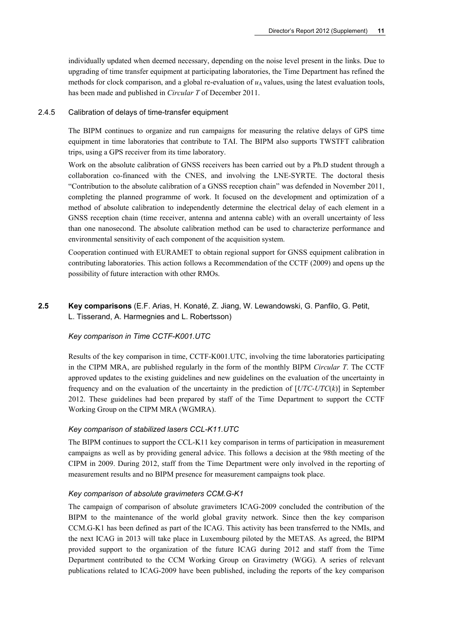individually updated when deemed necessary, depending on the noise level present in the links. Due to upgrading of time transfer equipment at participating laboratories, the Time Department has refined the methods for clock comparison, and a global re-evaluation of  $u<sub>A</sub>$  values, using the latest evaluation tools, has been made and published in *Circular T* of December 2011.

#### 2.4.5 Calibration of delays of time-transfer equipment

The BIPM continues to organize and run campaigns for measuring the relative delays of GPS time equipment in time laboratories that contribute to TAI. The BIPM also supports TWSTFT calibration trips, using a GPS receiver from its time laboratory.

Work on the absolute calibration of GNSS receivers has been carried out by a Ph.D student through a collaboration co-financed with the CNES, and involving the LNE-SYRTE. The doctoral thesis "Contribution to the absolute calibration of a GNSS reception chain" was defended in November 2011, completing the planned programme of work. It focused on the development and optimization of a method of absolute calibration to independently determine the electrical delay of each element in a GNSS reception chain (time receiver, antenna and antenna cable) with an overall uncertainty of less than one nanosecond. The absolute calibration method can be used to characterize performance and environmental sensitivity of each component of the acquisition system.

Cooperation continued with EURAMET to obtain regional support for GNSS equipment calibration in contributing laboratories. This action follows a Recommendation of the CCTF (2009) and opens up the possibility of future interaction with other RMOs.

**2.5 Key comparisons** (E.F. Arias, H. Konaté, Z. Jiang, W. Lewandowski, G. Panfilo, G. Petit, L. Tisserand, A. Harmegnies and L. Robertsson)

#### *Key comparison in Time CCTF-K001.UTC*

Results of the key comparison in time, CCTF-K001.UTC, involving the time laboratories participating in the CIPM MRA, are published regularly in the form of the monthly BIPM *Circular T*. The CCTF approved updates to the existing guidelines and new guidelines on the evaluation of the uncertainty in frequency and on the evaluation of the uncertainty in the prediction of [*UTC*-*UTC*(*k*)] in September 2012. These guidelines had been prepared by staff of the Time Department to support the CCTF Working Group on the CIPM MRA (WGMRA).

#### *Key comparison of stabilized lasers CCL-K11.UTC*

The BIPM continues to support the CCL-K11 key comparison in terms of participation in measurement campaigns as well as by providing general advice. This follows a decision at the 98th meeting of the CIPM in 2009. During 2012, staff from the Time Department were only involved in the reporting of measurement results and no BIPM presence for measurement campaigns took place.

#### *Key comparison of absolute gravimeters CCM.G-K1*

The campaign of comparison of absolute gravimeters ICAG-2009 concluded the contribution of the BIPM to the maintenance of the world global gravity network. Since then the key comparison CCM.G-K1 has been defined as part of the ICAG. This activity has been transferred to the NMIs, and the next ICAG in 2013 will take place in Luxembourg piloted by the METAS. As agreed, the BIPM provided support to the organization of the future ICAG during 2012 and staff from the Time Department contributed to the CCM Working Group on Gravimetry (WGG). A series of relevant publications related to ICAG-2009 have been published, including the reports of the key comparison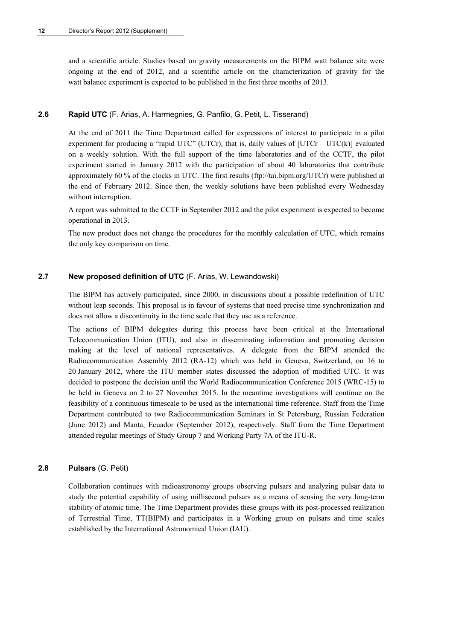and a scientific article. Studies based on gravity measurements on the BIPM watt balance site were ongoing at the end of 2012, and a scientific article on the characterization of gravity for the watt balance experiment is expected to be published in the first three months of 2013.

#### **2.6 Rapid UTC** (F. Arias, A. Harmegnies, G. Panfilo, G. Petit, L. Tisserand)

At the end of 2011 the Time Department called for expressions of interest to participate in a pilot experiment for producing a "rapid UTC" (UTCr), that is, daily values of  $[UTCr - UTC(k)]$  evaluated on a weekly solution. With the full support of the time laboratories and of the CCTF, the pilot experiment started in January 2012 with the participation of about 40 laboratories that contribute approximately 60 % of the clocks in UTC. The first results  $(\underline{ftp}/\overline{tail} \underline{bin} \underline{neg}/\underline{UTC})$  were published at the end of February 2012. Since then, the weekly solutions have been published every Wednesday without interruption.

A report was submitted to the CCTF in September 2012 and the pilot experiment is expected to become operational in 2013.

The new product does not change the procedures for the monthly calculation of UTC, which remains the only key comparison on time.

#### **2.7 New proposed definition of UTC** (F. Arias, W. Lewandowski)

The BIPM has actively participated, since 2000, in discussions about a possible redefinition of UTC without leap seconds. This proposal is in favour of systems that need precise time synchronization and does not allow a discontinuity in the time scale that they use as a reference.

The actions of BIPM delegates during this process have been critical at the International Telecommunication Union (ITU), and also in disseminating information and promoting decision making at the level of national representatives. A delegate from the BIPM attended the Radiocommunication Assembly 2012 (RA-12) which was held in Geneva, Switzerland, on 16 to 20 January 2012, where the ITU member states discussed the adoption of modified UTC. It was decided to postpone the decision until the World Radiocommunication Conference 2015 (WRC-15) to be held in Geneva on 2 to 27 November 2015. In the meantime investigations will continue on the feasibility of a continuous timescale to be used as the international time reference. Staff from the Time Department contributed to two Radiocommunication Seminars in St Petersburg, Russian Federation (June 2012) and Manta, Ecuador (September 2012), respectively. Staff from the Time Department attended regular meetings of Study Group 7 and Working Party 7A of the ITU-R.

#### **2.8 Pulsars** (G. Petit)

Collaboration continues with radioastronomy groups observing pulsars and analyzing pulsar data to study the potential capability of using millisecond pulsars as a means of sensing the very long-term stability of atomic time. The Time Department provides these groups with its post-processed realization of Terrestrial Time, TT(BIPM) and participates in a Working group on pulsars and time scales established by the International Astronomical Union (IAU).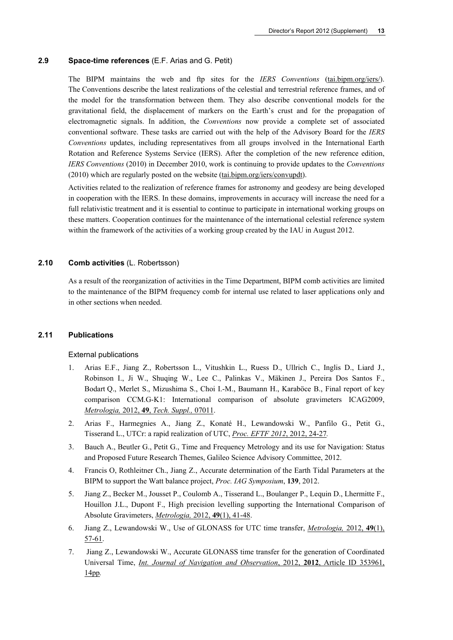#### **2.9 Space-time references** (E.F. Arias and G. Petit)

The BIPM maintains the web and ftp sites for the *IERS Conventions* (tai.bipm.org/iers/). The Conventions describe the latest realizations of the celestial and terrestrial reference frames, and of the model for the transformation between them. They also describe conventional models for the gravitational field, the displacement of markers on the Earth's crust and for the propagation of electromagnetic signals. In addition, the *Conventions* now provide a complete set of associated conventional software. These tasks are carried out with the help of the Advisory Board for the *IERS Conventions* updates, including representatives from all groups involved in the International Earth Rotation and Reference Systems Service (IERS). After the completion of the new reference edition, *IERS Conventions* (2010) in December 2010, work is continuing to provide updates to the *Conventions* (2010) which are regularly posted on the website (tai.bipm.org/iers/convupdt).

Activities related to the realization of reference frames for astronomy and geodesy are being developed in cooperation with the IERS. In these domains, improvements in accuracy will increase the need for a full relativistic treatment and it is essential to continue to participate in international working groups on these matters. Cooperation continues for the maintenance of the international celestial reference system within the framework of the activities of a working group created by the IAU in August 2012.

#### **2.10 Comb activities** (L. Robertsson)

As a result of the reorganization of activities in the Time Department, BIPM comb activities are limited to the maintenance of the BIPM frequency comb for internal use related to laser applications only and in other sections when needed.

#### **2.11 Publications**

#### External publications

- 1. Arias E.F., Jiang Z., Robertsson L., Vitushkin L., Ruess D., Ullrich C., Inglis D., Liard J., Robinson I., Ji W., Shuqing W., Lee C., Palinkas V., Mäkinen J., Pereira Dos Santos F., Bodart Q., Merlet S., Mizushima S., Choi I.-M., Baumann H., Karaböce B., Final report of key comparison CCM.G-K1: International comparison of absolute gravimeters ICAG2009, *Metrologia,* 2012, **49**, *[Tech. Suppl.,](http://stacks.iop.org/0026-1394/49/07011)* 07011.
- 2. Arias F., Harmegnies A., Jiang Z., Konaté H., Lewandowski W., Panfilo G., Petit G., Tisserand L., UTCr: a rapid realization of UTC, *Proc. EFTF 2012*[, 2012, 24-27](http://www.eftf.org/proceedings/proceedingsEFTF2012.pdf#page=100)*.*
- 3. Bauch A., Beutler G., Petit G., Time and Frequency Metrology and its use for Navigation: Status and Proposed Future Research Themes, Galileo Science Advisory Committee, 2012.
- 4. Francis O, Rothleitner Ch., Jiang Z., Accurate determination of the Earth Tidal Parameters at the BIPM to support the Watt balance project, *Proc. IAG Symposium*, **139**, 2012.
- 5. Jiang Z., Becker M., Jousset P., Coulomb A., Tisserand L., Boulanger P., Lequin D., Lhermitte F., Houillon J.L., Dupont F., High precision levelling supporting the International Comparison of Absolute Gravimeters, *[Metrologia,](http://stacks.iop.org/0026-1394/49/41)* 2012, **49**(1), 41-48.
- 6. Jiang Z., Lewandowski W., Use of GLONASS for UTC time transfer, *[Metrologia,](http://stacks.iop.org/0026-1394/49/57)* 2012, **49**(1), [57-61.](http://stacks.iop.org/0026-1394/49/57)
- 7. Jiang Z., Lewandowski W., Accurate GLONASS time transfer for the generation of Coordinated Universal Time, *[Int. Journal of Navigation and Observation](http://dx.doi.org/doi:10.1155/2012/353961)*, 2012, **2012**, Article ID 353961, [14pp](http://dx.doi.org/doi:10.1155/2012/353961)*.*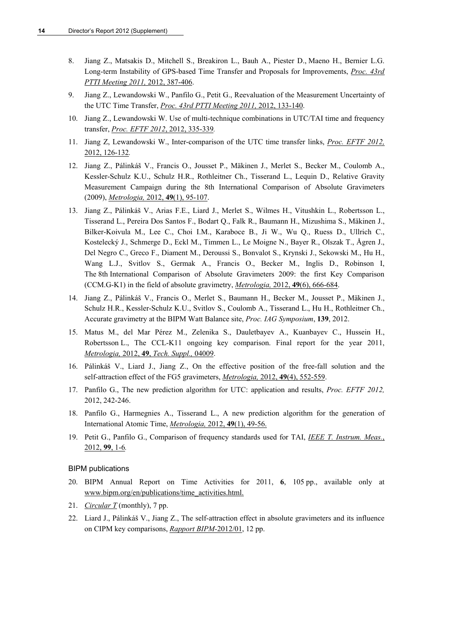- 8. Jiang Z., Matsakis D., Mitchell S., Breakiron L., Bauh A., Piester D., Maeno H., Bernier L.G. Long-term Instability of GPS-based Time Transfer and Proposals for Improvements, *[Proc. 43rd](http://www.pttimeeting.org/archivemeetings/2011papers/Paper45.pdf)  [PTTI Meeting 2011,](http://www.pttimeeting.org/archivemeetings/2011papers/Paper45.pdf)* 2012, 387-406.
- 9. Jiang Z., Lewandowski W., Panfilo G., Petit G., Reevaluation of the Measurement Uncertainty of the UTC Time Transfer, *[Proc. 43rd PTTI Meeting 2011,](http://www.pttimeeting.org/archivemeetings/2011papers/Paper17.pdf)* 2012, 133-140.
- 10. Jiang Z., Lewandowski W. Use of multi-technique combinations in UTC/TAI time and frequency transfer, *Proc. EFTF 2012*[, 2012, 335-339](http://www.eftf.org/proceedings/proceedingsEFTF2012.pdf#page=335)*.*
- 11. Jiang Z, Lewandowski W., Inter-comparison of the UTC time transfer links, *[Proc. EFTF 2012,](http://www.eftf.org/proceedings/proceedingsEFTF2012.pdf#page=126)*  2012, [126-132](http://www.eftf.org/proceedings/proceedingsEFTF2012.pdf#page=126)*.*
- 12. Jiang Z., Pálinkáš V., Francis O., Jousset P., Mäkinen J., Merlet S., Becker M., Coulomb A., Kessler-Schulz K.U., Schulz H.R., Rothleitner Ch., Tisserand L., Lequin D., Relative Gravity Measurement Campaign during the 8th International Comparison of Absolute Gravimeters (2009), *[Metrologia,](http://stacks.iop.org/0026-1394/49/95)* 2012, **49**(1), 95-107.
- 13. Jiang Z., Pálinkáš V., Arias F.E., Liard J., Merlet S., Wilmes H., Vitushkin L., Robertsson L., Tisserand L., Pereira Dos Santos F., Bodart Q., Falk R., Baumann H., Mizushima S., Mäkinen J., Bilker-Koivula M., Lee C., Choi I.M., Karaboce B., Ji W., Wu Q., Ruess D., Ullrich C., Kostelecký J., Schmerge D., Eckl M., Timmen L., Le Moigne N., Bayer R., Olszak T., Ågren J., Del Negro C., Greco F., Diament M., Deroussi S., Bonvalot S., Krynski J., Sekowski M., Hu H., Wang L.J., Svitlov S., Germak A., Francis O., Becker M., Inglis D., Robinson I, The 8th International Comparison of Absolute Gravimeters 2009: the first Key Comparison (CCM.G-K1) in the field of absolute gravimetry, *Metrologia,* 2012, **49**[\(6\), 666-684](http://stacks.iop.org/0026-1394/49/666).
- 14. Jiang Z., Pálinkáš V., Francis O., Merlet S., Baumann H., Becker M., Jousset P., Mäkinen J., Schulz H.R., Kessler-Schulz K.U., Svitlov S., Coulomb A., Tisserand L., Hu H., Rothleitner Ch., Accurate gravimetry at the BIPM Watt Balance site, *Proc. IAG Symposium*, **139**, 2012.
- 15. Matus M., del Mar Pérez M., Zelenika S., Dauletbayev A., Kuanbayev C., Hussein H., Robertsson L., The CCL-K11 ongoing key comparison. Final report for the year 2011, *Metrologia,* 2012, **49**, *[Tech. Suppl.,](http://stacks.iop.org/0026-1394/49/04009)* 04009.
- 16. Pálinkáš V., Liard J., Jiang Z., On the effective position of the free-fall solution and the self-attraction effect of the FG5 gravimeters, *Metrologia,* 2012, **49**[\(4\), 552-559](http://stacks.iop.org/0026-1394/49/552).
- 17. Panfilo G., The new prediction algorithm for UTC: application and results, *Proc. EFTF 2012,*  2012, 242-246.
- 18. Panfilo G., Harmegnies A., Tisserand L., A new prediction algorithm for the generation of International Atomic Time, *[Metrologia,](http://stacks.iop.org/0026-1394/49/49)* 2012, **49**(1), 49-56.
- 19. Petit G., Panfilo G., Comparison of frequency standards used for TAI, *[IEEE T. Instrum. Meas.](http://dx.doi.org/10.1109/TIM.2012.2228749)*, [2012,](http://dx.doi.org/10.1109/TIM.2012.2228749) **99**, 1-6*.*

#### BIPM publications

- 20. BIPM Annual Report on Time Activities for 2011, **6**, 105 pp., available only at www.bipm.org/en/publications/time\_activities.html.
- 21. *[Circular T](http://www.bipm.org/jsp/en/TimeFtp.jsp?TypePub=publication)* (monthly), 7 pp.
- 22. Liard J., Pálinkáš V., Jiang Z., The self-attraction effect in absolute gravimeters and its influence on CIPM key comparisons, *[Rapport BIPM-](http://www.bipm.org/utils/common/pdf/rapportBIPM/2012/01.pdf)*2012/01, 12 pp.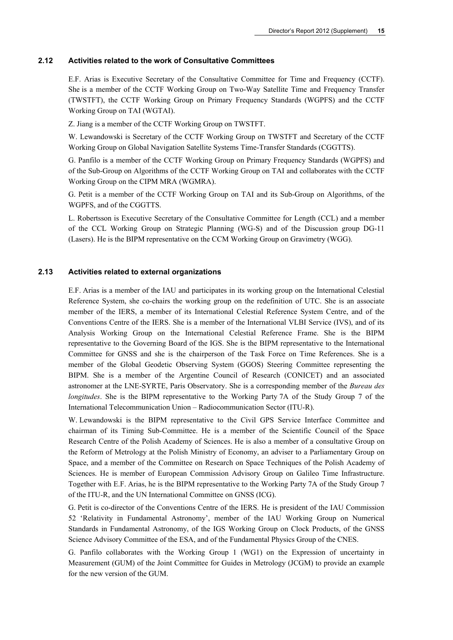#### **2.12 Activities related to the work of Consultative Committees**

E.F. Arias is Executive Secretary of the Consultative Committee for Time and Frequency (CCTF). She is a member of the CCTF Working Group on Two-Way Satellite Time and Frequency Transfer (TWSTFT), the CCTF Working Group on Primary Frequency Standards (WGPFS) and the CCTF Working Group on TAI (WGTAI).

Z. Jiang is a member of the CCTF Working Group on TWSTFT.

W. Lewandowski is Secretary of the CCTF Working Group on TWSTFT and Secretary of the CCTF Working Group on Global Navigation Satellite Systems Time-Transfer Standards (CGGTTS).

G. Panfilo is a member of the CCTF Working Group on Primary Frequency Standards (WGPFS) and of the Sub-Group on Algorithms of the CCTF Working Group on TAI and collaborates with the CCTF Working Group on the CIPM MRA (WGMRA).

G. Petit is a member of the CCTF Working Group on TAI and its Sub-Group on Algorithms, of the WGPFS, and of the CGGTTS.

L. Robertsson is Executive Secretary of the Consultative Committee for Length (CCL) and a member of the CCL Working Group on Strategic Planning (WG-S) and of the Discussion group DG-11 (Lasers). He is the BIPM representative on the CCM Working Group on Gravimetry (WGG).

#### **2.13 Activities related to external organizations**

E.F. Arias is a member of the IAU and participates in its working group on the International Celestial Reference System, she co-chairs the working group on the redefinition of UTC. She is an associate member of the IERS, a member of its International Celestial Reference System Centre, and of the Conventions Centre of the IERS. She is a member of the International VLBI Service (IVS), and of its Analysis Working Group on the International Celestial Reference Frame. She is the BIPM representative to the Governing Board of the IGS. She is the BIPM representative to the International Committee for GNSS and she is the chairperson of the Task Force on Time References. She is a member of the Global Geodetic Observing System (GGOS) Steering Committee representing the BIPM. She is a member of the Argentine Council of Research (CONICET) and an associated astronomer at the LNE-SYRTE, Paris Observatory. She is a corresponding member of the *Bureau des longitudes*. She is the BIPM representative to the Working Party 7A of the Study Group 7 of the International Telecommunication Union – Radiocommunication Sector (ITU-R).

W. Lewandowski is the BIPM representative to the Civil GPS Service Interface Committee and chairman of its Timing Sub-Committee. He is a member of the Scientific Council of the Space Research Centre of the Polish Academy of Sciences. He is also a member of a consultative Group on the Reform of Metrology at the Polish Ministry of Economy, an adviser to a Parliamentary Group on Space, and a member of the Committee on Research on Space Techniques of the Polish Academy of Sciences. He is member of European Commission Advisory Group on Galileo Time Infrastructure. Together with E.F. Arias, he is the BIPM representative to the Working Party 7A of the Study Group 7 of the ITU-R, and the UN International Committee on GNSS (ICG).

G. Petit is co-director of the Conventions Centre of the IERS. He is president of the IAU Commission 52 'Relativity in Fundamental Astronomy', member of the IAU Working Group on Numerical Standards in Fundamental Astronomy, of the IGS Working Group on Clock Products, of the GNSS Science Advisory Committee of the ESA, and of the Fundamental Physics Group of the CNES.

G. Panfilo collaborates with the Working Group 1 (WG1) on the Expression of uncertainty in Measurement (GUM) of the Joint Committee for Guides in Metrology (JCGM) to provide an example for the new version of the GUM.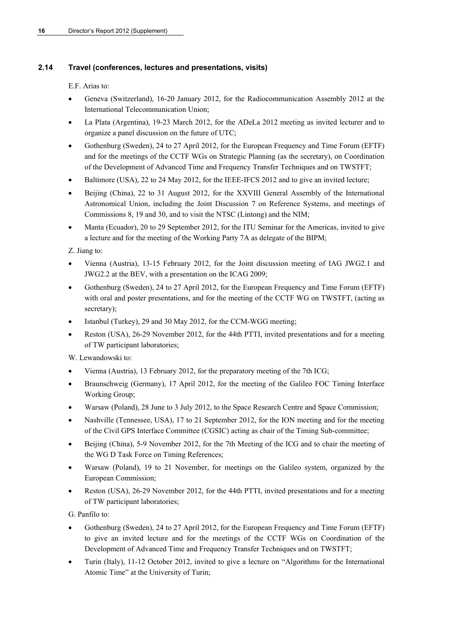## **2.14 Travel (conferences, lectures and presentations, visits)**

E.F. Arias to:

- Geneva (Switzerland), 16-20 January 2012, for the Radiocommunication Assembly 2012 at the International Telecommunication Union;
- La Plata (Argentina), 19-23 March 2012, for the ADeLa 2012 meeting as invited lecturer and to organize a panel discussion on the future of UTC;
- Gothenburg (Sweden), 24 to 27 April 2012, for the European Frequency and Time Forum (EFTF) and for the meetings of the CCTF WGs on Strategic Planning (as the secretary), on Coordination of the Development of Advanced Time and Frequency Transfer Techniques and on TWSTFT;
- Baltimore (USA), 22 to 24 May 2012, for the IEEE-IFCS 2012 and to give an invited lecture;
- Beijing (China), 22 to 31 August 2012, for the XXVIII General Assembly of the International Astronomical Union, including the Joint Discussion 7 on Reference Systems, and meetings of Commissions 8, 19 and 30, and to visit the NTSC (Lintong) and the NIM;
- Manta (Ecuador), 20 to 29 September 2012, for the ITU Seminar for the Americas, invited to give a lecture and for the meeting of the Working Party 7A as delegate of the BIPM;

Z. Jiang to:

- Vienna (Austria), 13-15 February 2012, for the Joint discussion meeting of IAG JWG2.1 and JWG2.2 at the BEV, with a presentation on the ICAG 2009;
- Gothenburg (Sweden), 24 to 27 April 2012, for the European Frequency and Time Forum (EFTF) with oral and poster presentations, and for the meeting of the CCTF WG on TWSTFT, (acting as secretary);
- Istanbul (Turkey), 29 and 30 May 2012, for the CCM-WGG meeting;
- Reston (USA), 26-29 November 2012, for the 44th PTTI, invited presentations and for a meeting of TW participant laboratories;

W. Lewandowski to:

- Vienna (Austria), 13 February 2012, for the preparatory meeting of the 7th ICG;
- Braunschweig (Germany), 17 April 2012, for the meeting of the Galileo FOC Timing Interface Working Group;
- Warsaw (Poland), 28 June to 3 July 2012, to the Space Research Centre and Space Commission;
- Nashville (Tennessee, USA), 17 to 21 September 2012, for the ION meeting and for the meeting of the Civil GPS Interface Committee (CGSIC) acting as chair of the Timing Sub-committee;
- Beijing (China), 5-9 November 2012, for the 7th Meeting of the ICG and to chair the meeting of the WG D Task Force on Timing References;
- Warsaw (Poland), 19 to 21 November, for meetings on the Galileo system, organized by the European Commission;
- Reston (USA), 26-29 November 2012, for the 44th PTTI, invited presentations and for a meeting of TW participant laboratories;

G. Panfilo to:

- Gothenburg (Sweden), 24 to 27 April 2012, for the European Frequency and Time Forum (EFTF) to give an invited lecture and for the meetings of the CCTF WGs on Coordination of the Development of Advanced Time and Frequency Transfer Techniques and on TWSTFT;
- Turin (Italy), 11-12 October 2012, invited to give a lecture on "Algorithms for the International Atomic Time" at the University of Turin;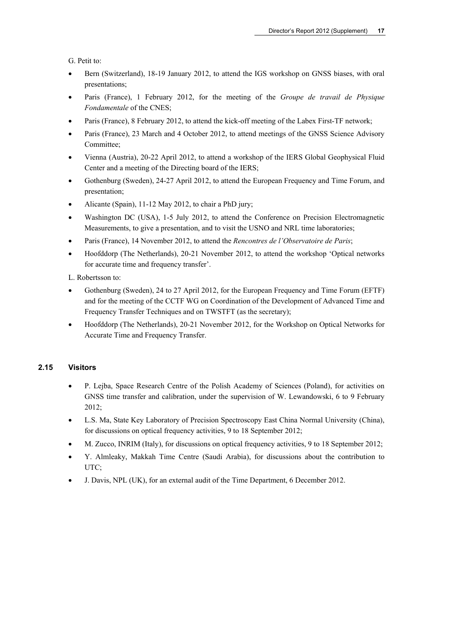G. Petit to:

- Bern (Switzerland), 18-19 January 2012, to attend the IGS workshop on GNSS biases, with oral presentations;
- Paris (France), 1 February 2012, for the meeting of the *Groupe de travail de Physique Fondamentale* of the CNES;
- Paris (France), 8 February 2012, to attend the kick-off meeting of the Labex First-TF network;
- Paris (France), 23 March and 4 October 2012, to attend meetings of the GNSS Science Advisory Committee;
- Vienna (Austria), 20-22 April 2012, to attend a workshop of the IERS Global Geophysical Fluid Center and a meeting of the Directing board of the IERS;
- Gothenburg (Sweden), 24-27 April 2012, to attend the European Frequency and Time Forum, and presentation;
- Alicante (Spain), 11-12 May 2012, to chair a PhD jury;
- Washington DC (USA), 1-5 July 2012, to attend the Conference on Precision Electromagnetic Measurements, to give a presentation, and to visit the USNO and NRL time laboratories;
- Paris (France), 14 November 2012, to attend the *Rencontres de l'Observatoire de Paris*;
- Hoofddorp (The Netherlands), 20-21 November 2012, to attend the workshop 'Optical networks for accurate time and frequency transfer'.

L. Robertsson to:

- Gothenburg (Sweden), 24 to 27 April 2012, for the European Frequency and Time Forum (EFTF) and for the meeting of the CCTF WG on Coordination of the Development of Advanced Time and Frequency Transfer Techniques and on TWSTFT (as the secretary);
- Hoofddorp (The Netherlands), 20-21 November 2012, for the Workshop on Optical Networks for Accurate Time and Frequency Transfer.

#### **2.15 Visitors**

- P. Lejba, Space Research Centre of the Polish Academy of Sciences (Poland), for activities on GNSS time transfer and calibration, under the supervision of W. Lewandowski, 6 to 9 February 2012;
- L.S. Ma, State Key Laboratory of Precision Spectroscopy East China Normal University (China), for discussions on optical frequency activities, 9 to 18 September 2012;
- M. Zucco, INRIM (Italy), for discussions on optical frequency activities, 9 to 18 September 2012;
- Y. Almleaky, Makkah Time Centre (Saudi Arabia), for discussions about the contribution to UTC;
- J. Davis, NPL (UK), for an external audit of the Time Department, 6 December 2012.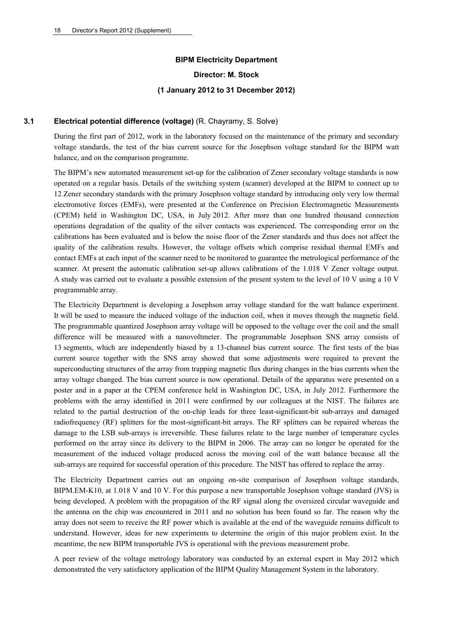## **BIPM Electricity Department**

**Director: M. Stock** 

#### **(1 January 2012 to 31 December 2012)**

#### **3.1 Electrical potential difference (voltage)** (R. Chayramy, S. Solve)

During the first part of 2012, work in the laboratory focused on the maintenance of the primary and secondary voltage standards, the test of the bias current source for the Josephson voltage standard for the BIPM watt balance, and on the comparison programme.

The BIPM's new automated measurement set-up for the calibration of Zener secondary voltage standards is now operated on a regular basis. Details of the switching system (scanner) developed at the BIPM to connect up to 12 Zener secondary standards with the primary Josephson voltage standard by introducing only very low thermal electromotive forces (EMFs), were presented at the Conference on Precision Electromagnetic Measurements (CPEM) held in Washington DC, USA, in July 2012. After more than one hundred thousand connection operations degradation of the quality of the silver contacts was experienced. The corresponding error on the calibrations has been evaluated and is below the noise floor of the Zener standards and thus does not affect the quality of the calibration results. However, the voltage offsets which comprise residual thermal EMFs and contact EMFs at each input of the scanner need to be monitored to guarantee the metrological performance of the scanner. At present the automatic calibration set-up allows calibrations of the 1.018 V Zener voltage output. A study was carried out to evaluate a possible extension of the present system to the level of 10 V using a 10 V programmable array.

The Electricity Department is developing a Josephson array voltage standard for the watt balance experiment. It will be used to measure the induced voltage of the induction coil, when it moves through the magnetic field. The programmable quantized Josephson array voltage will be opposed to the voltage over the coil and the small difference will be measured with a nanovoltmeter. The programmable Josephson SNS array consists of 13 segments, which are independently biased by a 13-channel bias current source. The first tests of the bias current source together with the SNS array showed that some adjustments were required to prevent the superconducting structures of the array from trapping magnetic flux during changes in the bias currents when the array voltage changed. The bias current source is now operational. Details of the apparatus were presented on a poster and in a paper at the CPEM conference held in Washington DC, USA, in July 2012. Furthermore the problems with the array identified in 2011 were confirmed by our colleagues at the NIST. The failures are related to the partial destruction of the on-chip leads for three least-significant-bit sub-arrays and damaged radiofrequency (RF) splitters for the most-significant-bit arrays. The RF splitters can be repaired whereas the damage to the LSB sub-arrays is irreversible. These failures relate to the large number of temperature cycles performed on the array since its delivery to the BIPM in 2006. The array can no longer be operated for the measurement of the induced voltage produced across the moving coil of the watt balance because all the sub-arrays are required for successful operation of this procedure. The NIST has offered to replace the array.

The Electricity Department carries out an ongoing on-site comparison of Josephson voltage standards, BIPM.EM-K10, at 1.018 V and 10 V. For this purpose a new transportable Josephson voltage standard (JVS) is being developed. A problem with the propagation of the RF signal along the oversized circular waveguide and the antenna on the chip was encountered in 2011 and no solution has been found so far. The reason why the array does not seem to receive the RF power which is available at the end of the waveguide remains difficult to understand. However, ideas for new experiments to determine the origin of this major problem exist. In the meantime, the new BIPM transportable JVS is operational with the previous measurement probe.

A peer review of the voltage metrology laboratory was conducted by an external expert in May 2012 which demonstrated the very satisfactory application of the BIPM Quality Management System in the laboratory.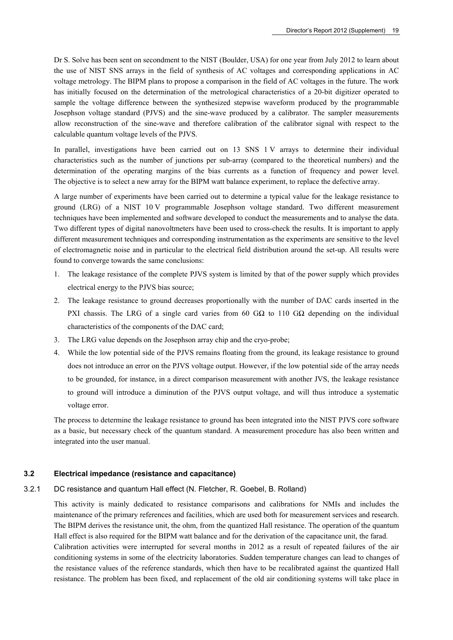Dr S. Solve has been sent on secondment to the NIST (Boulder, USA) for one year from July 2012 to learn about the use of NIST SNS arrays in the field of synthesis of AC voltages and corresponding applications in AC voltage metrology. The BIPM plans to propose a comparison in the field of AC voltages in the future. The work has initially focused on the determination of the metrological characteristics of a 20-bit digitizer operated to sample the voltage difference between the synthesized stepwise waveform produced by the programmable Josephson voltage standard (PJVS) and the sine-wave produced by a calibrator. The sampler measurements allow reconstruction of the sine-wave and therefore calibration of the calibrator signal with respect to the calculable quantum voltage levels of the PJVS.

In parallel, investigations have been carried out on 13 SNS 1 V arrays to determine their individual characteristics such as the number of junctions per sub-array (compared to the theoretical numbers) and the determination of the operating margins of the bias currents as a function of frequency and power level. The objective is to select a new array for the BIPM watt balance experiment, to replace the defective array.

A large number of experiments have been carried out to determine a typical value for the leakage resistance to ground (LRG) of a NIST 10 V programmable Josephson voltage standard. Two different measurement techniques have been implemented and software developed to conduct the measurements and to analyse the data. Two different types of digital nanovoltmeters have been used to cross-check the results. It is important to apply different measurement techniques and corresponding instrumentation as the experiments are sensitive to the level of electromagnetic noise and in particular to the electrical field distribution around the set-up. All results were found to converge towards the same conclusions:

- 1. The leakage resistance of the complete PJVS system is limited by that of the power supply which provides electrical energy to the PJVS bias source;
- 2. The leakage resistance to ground decreases proportionally with the number of DAC cards inserted in the PXI chassis. The LRG of a single card varies from 60 GΩ to 110 GΩ depending on the individual characteristics of the components of the DAC card;
- 3. The LRG value depends on the Josephson array chip and the cryo-probe;
- 4. While the low potential side of the PJVS remains floating from the ground, its leakage resistance to ground does not introduce an error on the PJVS voltage output. However, if the low potential side of the array needs to be grounded, for instance, in a direct comparison measurement with another JVS, the leakage resistance to ground will introduce a diminution of the PJVS output voltage, and will thus introduce a systematic voltage error.

The process to determine the leakage resistance to ground has been integrated into the NIST PJVS core software as a basic, but necessary check of the quantum standard. A measurement procedure has also been written and integrated into the user manual.

#### **3.2 Electrical impedance (resistance and capacitance)**

3.2.1 DC resistance and quantum Hall effect (N. Fletcher, R. Goebel, B. Rolland)

This activity is mainly dedicated to resistance comparisons and calibrations for NMIs and includes the maintenance of the primary references and facilities, which are used both for measurement services and research. The BIPM derives the resistance unit, the ohm, from the quantized Hall resistance. The operation of the quantum Hall effect is also required for the BIPM watt balance and for the derivation of the capacitance unit, the farad. Calibration activities were interrupted for several months in 2012 as a result of repeated failures of the air conditioning systems in some of the electricity laboratories. Sudden temperature changes can lead to changes of the resistance values of the reference standards, which then have to be recalibrated against the quantized Hall resistance. The problem has been fixed, and replacement of the old air conditioning systems will take place in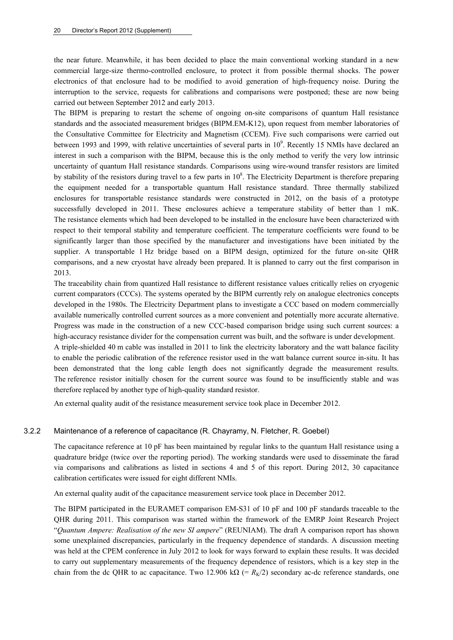the near future. Meanwhile, it has been decided to place the main conventional working standard in a new commercial large-size thermo-controlled enclosure, to protect it from possible thermal shocks. The power electronics of that enclosure had to be modified to avoid generation of high-frequency noise. During the interruption to the service, requests for calibrations and comparisons were postponed; these are now being carried out between September 2012 and early 2013.

The BIPM is preparing to restart the scheme of ongoing on-site comparisons of quantum Hall resistance standards and the associated measurement bridges (BIPM.EM-K12), upon request from member laboratories of the Consultative Committee for Electricity and Magnetism (CCEM). Five such comparisons were carried out between 1993 and 1999, with relative uncertainties of several parts in  $10^9$ . Recently 15 NMIs have declared an interest in such a comparison with the BIPM, because this is the only method to verify the very low intrinsic uncertainty of quantum Hall resistance standards. Comparisons using wire-wound transfer resistors are limited by stability of the resistors during travel to a few parts in  $10^8$ . The Electricity Department is therefore preparing the equipment needed for a transportable quantum Hall resistance standard. Three thermally stabilized enclosures for transportable resistance standards were constructed in 2012, on the basis of a prototype successfully developed in 2011. These enclosures achieve a temperature stability of better than 1 mK. The resistance elements which had been developed to be installed in the enclosure have been characterized with respect to their temporal stability and temperature coefficient. The temperature coefficients were found to be significantly larger than those specified by the manufacturer and investigations have been initiated by the supplier. A transportable 1 Hz bridge based on a BIPM design, optimized for the future on-site QHR comparisons, and a new cryostat have already been prepared. It is planned to carry out the first comparison in 2013.

The traceability chain from quantized Hall resistance to different resistance values critically relies on cryogenic current comparators (CCCs). The systems operated by the BIPM currently rely on analogue electronics concepts developed in the 1980s. The Electricity Department plans to investigate a CCC based on modern commercially available numerically controlled current sources as a more convenient and potentially more accurate alternative. Progress was made in the construction of a new CCC-based comparison bridge using such current sources: a high-accuracy resistance divider for the compensation current was built, and the software is under development. A triple-shielded 40 m cable was installed in 2011 to link the electricity laboratory and the watt balance facility to enable the periodic calibration of the reference resistor used in the watt balance current source in-situ. It has been demonstrated that the long cable length does not significantly degrade the measurement results. The reference resistor initially chosen for the current source was found to be insufficiently stable and was therefore replaced by another type of high-quality standard resistor.

An external quality audit of the resistance measurement service took place in December 2012.

#### 3.2.2 Maintenance of a reference of capacitance (R. Chayramy, N. Fletcher, R. Goebel)

The capacitance reference at 10 pF has been maintained by regular links to the quantum Hall resistance using a quadrature bridge (twice over the reporting period). The working standards were used to disseminate the farad via comparisons and calibrations as listed in sections 4 and 5 of this report. During 2012, 30 capacitance calibration certificates were issued for eight different NMIs.

An external quality audit of the capacitance measurement service took place in December 2012.

The BIPM participated in the EURAMET comparison EM-S31 of 10 pF and 100 pF standards traceable to the QHR during 2011. This comparison was started within the framework of the EMRP Joint Research Project "*Quantum Ampere: Realisation of the new SI ampere*" (REUNIAM). The draft A comparison report has shown some unexplained discrepancies, particularly in the frequency dependence of standards. A discussion meeting was held at the CPEM conference in July 2012 to look for ways forward to explain these results. It was decided to carry out supplementary measurements of the frequency dependence of resistors, which is a key step in the chain from the dc QHR to ac capacitance. Two 12.906 k $\Omega$  (=  $R_K/2$ ) secondary ac-dc reference standards, one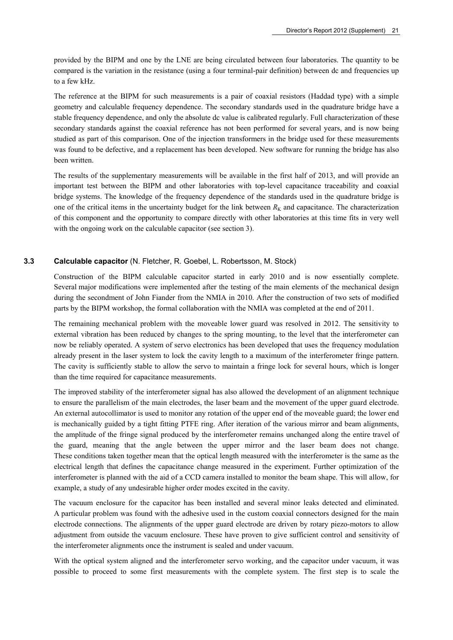provided by the BIPM and one by the LNE are being circulated between four laboratories. The quantity to be compared is the variation in the resistance (using a four terminal-pair definition) between dc and frequencies up to a few kHz.

The reference at the BIPM for such measurements is a pair of coaxial resistors (Haddad type) with a simple geometry and calculable frequency dependence. The secondary standards used in the quadrature bridge have a stable frequency dependence, and only the absolute dc value is calibrated regularly. Full characterization of these secondary standards against the coaxial reference has not been performed for several years, and is now being studied as part of this comparison. One of the injection transformers in the bridge used for these measurements was found to be defective, and a replacement has been developed. New software for running the bridge has also been written.

The results of the supplementary measurements will be available in the first half of 2013, and will provide an important test between the BIPM and other laboratories with top-level capacitance traceability and coaxial bridge systems. The knowledge of the frequency dependence of the standards used in the quadrature bridge is one of the critical items in the uncertainty budget for the link between  $R_K$  and capacitance. The characterization of this component and the opportunity to compare directly with other laboratories at this time fits in very well with the ongoing work on the calculable capacitor (see section 3).

#### **3.3 Calculable capacitor** (N. Fletcher, R. Goebel, L. Robertsson, M. Stock)

Construction of the BIPM calculable capacitor started in early 2010 and is now essentially complete. Several major modifications were implemented after the testing of the main elements of the mechanical design during the secondment of John Fiander from the NMIA in 2010. After the construction of two sets of modified parts by the BIPM workshop, the formal collaboration with the NMIA was completed at the end of 2011.

The remaining mechanical problem with the moveable lower guard was resolved in 2012. The sensitivity to external vibration has been reduced by changes to the spring mounting, to the level that the interferometer can now be reliably operated. A system of servo electronics has been developed that uses the frequency modulation already present in the laser system to lock the cavity length to a maximum of the interferometer fringe pattern. The cavity is sufficiently stable to allow the servo to maintain a fringe lock for several hours, which is longer than the time required for capacitance measurements.

The improved stability of the interferometer signal has also allowed the development of an alignment technique to ensure the parallelism of the main electrodes, the laser beam and the movement of the upper guard electrode. An external autocollimator is used to monitor any rotation of the upper end of the moveable guard; the lower end is mechanically guided by a tight fitting PTFE ring. After iteration of the various mirror and beam alignments, the amplitude of the fringe signal produced by the interferometer remains unchanged along the entire travel of the guard, meaning that the angle between the upper mirror and the laser beam does not change. These conditions taken together mean that the optical length measured with the interferometer is the same as the electrical length that defines the capacitance change measured in the experiment. Further optimization of the interferometer is planned with the aid of a CCD camera installed to monitor the beam shape. This will allow, for example, a study of any undesirable higher order modes excited in the cavity.

The vacuum enclosure for the capacitor has been installed and several minor leaks detected and eliminated. A particular problem was found with the adhesive used in the custom coaxial connectors designed for the main electrode connections. The alignments of the upper guard electrode are driven by rotary piezo-motors to allow adjustment from outside the vacuum enclosure. These have proven to give sufficient control and sensitivity of the interferometer alignments once the instrument is sealed and under vacuum.

With the optical system aligned and the interferometer servo working, and the capacitor under vacuum, it was possible to proceed to some first measurements with the complete system. The first step is to scale the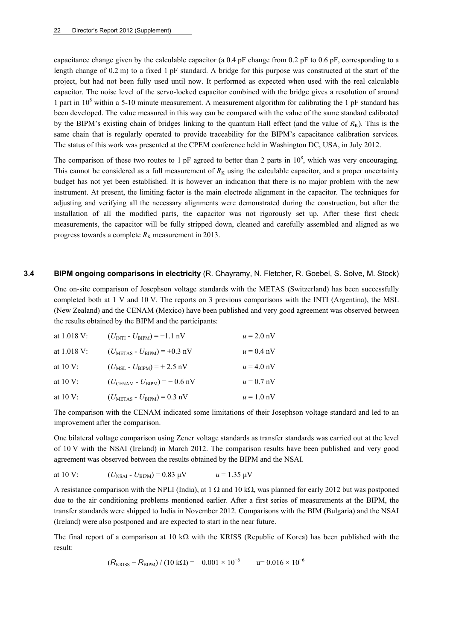capacitance change given by the calculable capacitor (a 0.4 pF change from 0.2 pF to 0.6 pF, corresponding to a length change of 0.2 m) to a fixed 1 pF standard. A bridge for this purpose was constructed at the start of the project, but had not been fully used until now. It performed as expected when used with the real calculable capacitor. The noise level of the servo-locked capacitor combined with the bridge gives a resolution of around 1 part in  $10^8$  within a 5-10 minute measurement. A measurement algorithm for calibrating the 1 pF standard has been developed. The value measured in this way can be compared with the value of the same standard calibrated by the BIPM's existing chain of bridges linking to the quantum Hall effect (and the value of  $R_K$ ). This is the same chain that is regularly operated to provide traceability for the BIPM's capacitance calibration services. The status of this work was presented at the CPEM conference held in Washington DC, USA, in July 2012.

The comparison of these two routes to 1 pF agreed to better than 2 parts in  $10^8$ , which was very encouraging. This cannot be considered as a full measurement of  $R_K$  using the calculable capacitor, and a proper uncertainty budget has not yet been established. It is however an indication that there is no major problem with the new instrument. At present, the limiting factor is the main electrode alignment in the capacitor. The techniques for adjusting and verifying all the necessary alignments were demonstrated during the construction, but after the installation of all the modified parts, the capacitor was not rigorously set up. After these first check measurements, the capacitor will be fully stripped down, cleaned and carefully assembled and aligned as we progress towards a complete  $R_K$  measurement in 2013.

#### **3.4 BIPM ongoing comparisons in electricity** (R. Chayramy, N. Fletcher, R. Goebel, S. Solve, M. Stock)

One on-site comparison of Josephson voltage standards with the METAS (Switzerland) has been successfully completed both at 1 V and 10 V. The reports on 3 previous comparisons with the INTI (Argentina), the MSL (New Zealand) and the CENAM (Mexico) have been published and very good agreement was observed between the results obtained by the BIPM and the participants:

| at $1.018$ V:          | $(U_{\text{INTI}} - U_{\text{BIPM}}) = -1.1 \text{ nV}$  | $u = 2.0$ nV |
|------------------------|----------------------------------------------------------|--------------|
| at $1.018 \text{ V}$ : | $(U_{\text{METAS}} - U_{\text{BIPM}}) = +0.3 \text{ nV}$ | $u = 0.4$ nV |
| at $10 \text{ V}$ :    | $(U_{\text{MSL}} - U_{\text{RIPM}}) = +2.5 \text{ nV}$   | $u = 4.0$ nV |
| at $10 \text{ V}$ :    | $(U_{\text{CENAM}} - U_{\text{BIPM}}) = -0.6 \text{ nV}$ | $u = 0.7$ nV |
| at $10 \text{ V}$ :    | $(U_{\text{METAS}} - U_{\text{BIPM}}) = 0.3 \text{ nV}$  | $u = 1.0$ nV |

The comparison with the CENAM indicated some limitations of their Josephson voltage standard and led to an improvement after the comparison.

One bilateral voltage comparison using Zener voltage standards as transfer standards was carried out at the level of 10 V with the NSAI (Ireland) in March 2012. The comparison results have been published and very good agreement was observed between the results obtained by the BIPM and the NSAI.

at 10 V: 
$$
(U_{\text{NSAI}} - U_{\text{BIPM}}) = 0.83 \text{ }\mu\text{V}
$$
  $u = 1.35 \text{ }\mu\text{V}$ 

A resistance comparison with the NPLI (India), at 1  $\Omega$  and 10 k $\Omega$ , was planned for early 2012 but was postponed due to the air conditioning problems mentioned earlier. After a first series of measurements at the BIPM, the transfer standards were shipped to India in November 2012. Comparisons with the BIM (Bulgaria) and the NSAI (Ireland) were also postponed and are expected to start in the near future.

The final report of a comparison at  $10 \text{ k}\Omega$  with the KRISS (Republic of Korea) has been published with the result:

$$
(R_{KRISS} - R_{BIPM}) / (10 k\Omega) = -0.001 \times 10^{-6} \qquad u = 0.016 \times 10^{-6}
$$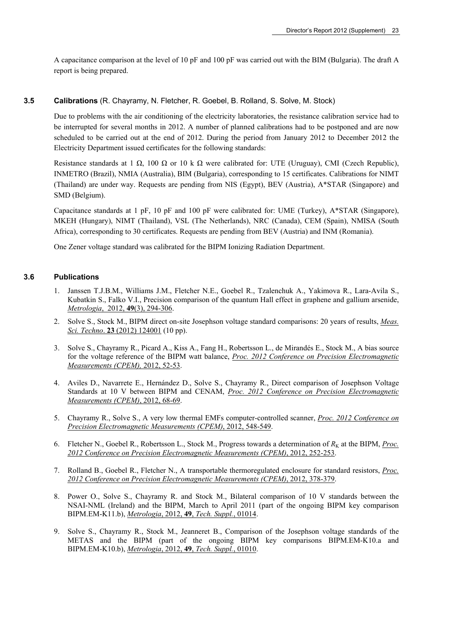A capacitance comparison at the level of 10 pF and 100 pF was carried out with the BIM (Bulgaria). The draft A report is being prepared.

#### **3.5 Calibrations** (R. Chayramy, N. Fletcher, R. Goebel, B. Rolland, S. Solve, M. Stock)

Due to problems with the air conditioning of the electricity laboratories, the resistance calibration service had to be interrupted for several months in 2012. A number of planned calibrations had to be postponed and are now scheduled to be carried out at the end of 2012. During the period from January 2012 to December 2012 the Electricity Department issued certificates for the following standards:

Resistance standards at 1  $\Omega$ , 100  $\Omega$  or 10 k  $\Omega$  were calibrated for: UTE (Uruguay), CMI (Czech Republic), INMETRO (Brazil), NMIA (Australia), BIM (Bulgaria), corresponding to 15 certificates. Calibrations for NIMT (Thailand) are under way. Requests are pending from NIS (Egypt), BEV (Austria), A\*STAR (Singapore) and SMD (Belgium).

Capacitance standards at 1 pF, 10 pF and 100 pF were calibrated for: UME (Turkey), A\*STAR (Singapore), MKEH (Hungary), NIMT (Thailand), VSL (The Netherlands), NRC (Canada), CEM (Spain), NMISA (South Africa), corresponding to 30 certificates. Requests are pending from BEV (Austria) and INM (Romania).

One Zener voltage standard was calibrated for the BIPM Ionizing Radiation Department.

#### **3.6 Publications**

- 1. [Janssen](http://iopscience.iop.org/search?searchType=fullText&fieldedquery=T+J+B+M+Janssen&f=author&time=all&issn=) T.J.B.M., [Williams](http://iopscience.iop.org/search?searchType=fullText&fieldedquery=J+M+Williams&f=author&time=all&issn=) J.M., [Fletcher](http://iopscience.iop.org/search?searchType=fullText&fieldedquery=N+E+Fletcher&f=author&time=all&issn=) N.E., [Goebel](http://iopscience.iop.org/search?searchType=fullText&fieldedquery=R+Goebel&f=author&time=all&issn=) R., [Tzalenchuk](http://iopscience.iop.org/search?searchType=fullText&fieldedquery=A+Tzalenchuk&f=author&time=all&issn=) A., [Yakimova](http://iopscience.iop.org/search?searchType=fullText&fieldedquery=R+Yakimova&f=author&time=all&issn=) R., [Lara-Avila](http://iopscience.iop.org/search?searchType=fullText&fieldedquery=S+Lara-Avila&f=author&time=all&issn=) S., Kubatkin S., [Falko](http://iopscience.iop.org/search?searchType=fullText&fieldedquery=V+I+Falko&f=author&time=all&issn=) V.I., Precision comparison of the quantum Hall effect in graphene and gallium arsenide, *Metrologia*, 2012, **49**[\(3\), 294-306](http://stacks.iop.org/0026-1394/49/294).
- 2. Solve S., Stock M., BIPM direct on-site Josephson voltage standard comparisons: 20 years of results, *[Meas.](http://stacks.iop.org/MST/23/124001)  Sci. Techno*. **23** [\(2012\) 124001](http://stacks.iop.org/MST/23/124001) (10 pp).
- 3. Solve S., Chayramy R., Picard A., Kiss A., Fang H., Robertsson L., de Mirandés E., Stock M., A bias source for the voltage reference of the BIPM watt balance, *[Proc. 2012 Conference on Precision Electromagnetic](http://dx.doi.org/10.1109/CPEM.2012.6250656)  [Measurements \(CPEM\),](http://dx.doi.org/10.1109/CPEM.2012.6250656)* 2012, 52-53.
- 4. Aviles D., Navarrete E., Hernández D., Solve S., Chayramy R., Direct comparison of Josephson Voltage Standards at 10 V between BIPM and CENAM, *[Proc. 2012 Conference on Precision Electromagnetic](http://dx.doi.org/10.1109/CPEM.2012.6250664)  [Measurements \(CPEM\)](http://dx.doi.org/10.1109/CPEM.2012.6250664)*, 2012, 68-69.
- 5. Chayramy R., Solve S., A very low thermal EMFs computer-controlled scanner, *[Proc. 2012 Conference on](http://dx.doi.org/10.1109/CPEM.2012.6251046)  [Precision Electromagnetic Measurements \(CPEM\)](http://dx.doi.org/10.1109/CPEM.2012.6251046)*, 2012, 548-549.
- 6. Fletcher N., Goebel R., Robertsson L., Stock M., Progress towards a determination of  $R_K$  at the BIPM, *Proc. [2012 Conference on Precision Electromagnetic Measurements \(CPEM\)](http://dx.doi.org/10.1109/CPEM.2012.6250897)*, 2012, 252-253.
- 7. Rolland B., Goebel R., Fletcher N., A transportable thermoregulated enclosure for standard resistors, *[Proc.](http://dx.doi.org/10.1109/CPEM.2012.6250961)  [2012 Conference on Precision Electromagnetic Measurements \(CPEM\)](http://dx.doi.org/10.1109/CPEM.2012.6250961)*, 2012, 378-379.
- 8. Power O., Solve S., Chayramy R. and Stock M., Bilateral comparison of 10 V standards between the NSAI-NML (Ireland) and the BIPM, March to April 2011 (part of the ongoing BIPM key comparison BIPM.EM-K11.b), *Metrologia*, 2012, **49**, *[Tech. Suppl.](http://stacks.iop.org/0026-1394/49/01014)*, 01014.
- 9. Solve S., Chayramy R., Stock M., Jeanneret B., Comparison of the Josephson voltage standards of the METAS and the BIPM (part of the ongoing BIPM key comparisons BIPM.EM-K10.a and BIPM.EM-K10.b), *Metrologia*, 2012, **49**, *[Tech. Suppl.](http://stacks.iop.org/0026-1394/49/01010)*, 01010.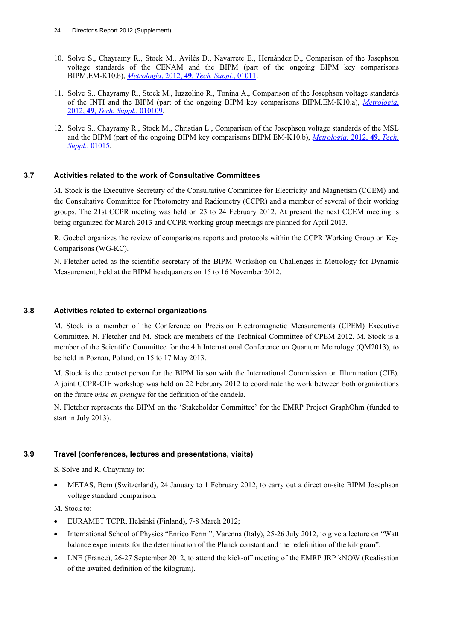- 10. Solve S., Chayramy R., Stock M., Avilés D., Navarrete E., Hernández D., Comparison of the Josephson voltage standards of the CENAM and the BIPM (part of the ongoing BIPM key comparisons BIPM.EM-K10.b), *Metrologia*, 2012, **49**, *[Tech. Suppl.](http://stacks.iop.org/0026-1394/49/01011)*, 01011.
- 11. Solve S., Chayramy R., Stock M., Iuzzolino R., Tonina A., Comparison of the Josephson voltage standards of the INTI and the BIPM (part of the ongoing BIPM key comparisons BIPM.EM-K10.a), *[Metrologia](http://stacks.iop.org/0026-1394/49/01009)*, 2012, **49**, *[Tech. Suppl.](http://stacks.iop.org/0026-1394/49/01009)*, 010109.
- 12. Solve S., Chayramy R., Stock M., Christian L., Comparison of the Josephson voltage standards of the MSL and the BIPM (part of the ongoing BIPM key comparisons BIPM.EM-K10.b), *[Metrologia](http://stacks.iop.org/0026-1394/49/01015)*, 2012, **49**, *Tech. Suppl.*[, 01015](http://stacks.iop.org/0026-1394/49/01015).

#### **3.7 Activities related to the work of Consultative Committees**

M. Stock is the Executive Secretary of the Consultative Committee for Electricity and Magnetism (CCEM) and the Consultative Committee for Photometry and Radiometry (CCPR) and a member of several of their working groups. The 21st CCPR meeting was held on 23 to 24 February 2012. At present the next CCEM meeting is being organized for March 2013 and CCPR working group meetings are planned for April 2013.

R. Goebel organizes the review of comparisons reports and protocols within the CCPR Working Group on Key Comparisons (WG-KC).

N. Fletcher acted as the scientific secretary of the BIPM Workshop on Challenges in Metrology for Dynamic Measurement, held at the BIPM headquarters on 15 to 16 November 2012.

#### **3.8 Activities related to external organizations**

M. Stock is a member of the Conference on Precision Electromagnetic Measurements (CPEM) Executive Committee. N. Fletcher and M. Stock are members of the Technical Committee of CPEM 2012. M. Stock is a member of the Scientific Committee for the 4th International Conference on Quantum Metrology (QM2013), to be held in Poznan, Poland, on 15 to 17 May 2013.

M. Stock is the contact person for the BIPM liaison with the International Commission on Illumination (CIE). A joint CCPR-CIE workshop was held on 22 February 2012 to coordinate the work between both organizations on the future *mise en pratique* for the definition of the candela.

N. Fletcher represents the BIPM on the 'Stakeholder Committee' for the EMRP Project GraphOhm (funded to start in July 2013).

#### **3.9 Travel (conferences, lectures and presentations, visits)**

S. Solve and R. Chayramy to:

 METAS, Bern (Switzerland), 24 January to 1 February 2012, to carry out a direct on-site BIPM Josephson voltage standard comparison.

M. Stock to:

- EURAMET TCPR, Helsinki (Finland), 7-8 March 2012;
- International School of Physics "Enrico Fermi", Varenna (Italy), 25-26 July 2012, to give a lecture on "Watt balance experiments for the determination of the Planck constant and the redefinition of the kilogram";
- LNE (France), 26-27 September 2012, to attend the kick-off meeting of the EMRP JRP kNOW (Realisation of the awaited definition of the kilogram).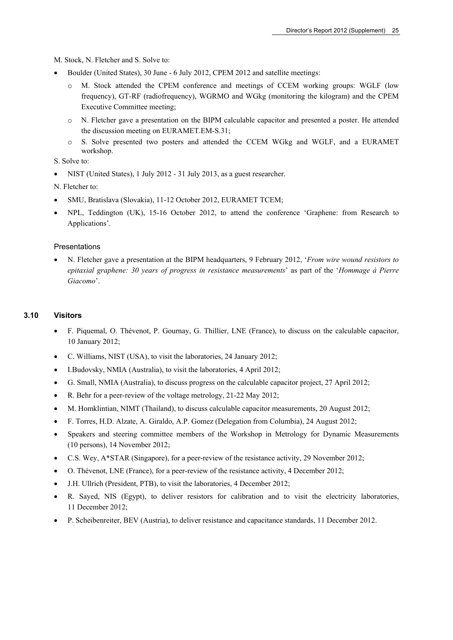M. Stock, N. Fletcher and S. Solve to:

- Boulder (United States), 30 June 6 July 2012, CPEM 2012 and satellite meetings:
	- o M. Stock attended the CPEM conference and meetings of CCEM working groups: WGLF (low frequency), GT-RF (radiofrequency), WGRMO and WGkg (monitoring the kilogram) and the CPEM Executive Committee meeting;
	- o N. Fletcher gave a presentation on the BIPM calculable capacitor and presented a poster. He attended the discussion meeting on EURAMET.EM-S.31;
	- o S. Solve presented two posters and attended the CCEM WGkg and WGLF, and a EURAMET workshop.

S. Solve to:

• NIST (United States), 1 July 2012 - 31 July 2013, as a guest researcher.

N. Fletcher to:

- SMU, Bratislava (Slovakia), 11-12 October 2012, EURAMET TCEM;
- NPL, Teddington (UK), 15-16 October 2012, to attend the conference 'Graphene: from Research to Applications'.

#### Presentations

 N. Fletcher gave a presentation at the BIPM headquarters, 9 February 2012, '*From wire wound resistors to epitaxial graphene: 30 years of progress in resistance measurements*' as part of the '*Hommage à Pierre Giacomo*'.

#### **3.10 Visitors**

- F. Piquemal, O. Thévenot, P. Gournay, G. Thillier, LNE (France), to discuss on the calculable capacitor, 10 January 2012;
- C. Williams, NIST (USA), to visit the laboratories, 24 January 2012;
- I.Budovsky, NMIA (Australia), to visit the laboratories, 4 April 2012;
- G. Small, NMIA (Australia), to discuss progress on the calculable capacitor project, 27 April 2012;
- R. Behr for a peer-review of the voltage metrology, 21-22 May 2012;
- M. Homklintian, NIMT (Thailand), to discuss calculable capacitor measurements, 20 August 2012;
- F. Torres, H.D. Alzate, A. Giraldo, A.P. Gomez (Delegation from Columbia), 24 August 2012;
- Speakers and steering committee members of the Workshop in Metrology for Dynamic Measurements (10 persons), 14 November 2012;
- C.S. Wey, A\*STAR (Singapore), for a peer-review of the resistance activity, 29 November 2012;
- O. Thévenot, LNE (France), for a peer-review of the resistance activity, 4 December 2012;
- J.H. Ullrich (President, PTB), to visit the laboratories, 4 December 2012;
- R. Sayed, NIS (Egypt), to deliver resistors for calibration and to visit the electricity laboratories, 11 December 2012;
- P. Scheibenreiter, BEV (Austria), to deliver resistance and capacitance standards, 11 December 2012.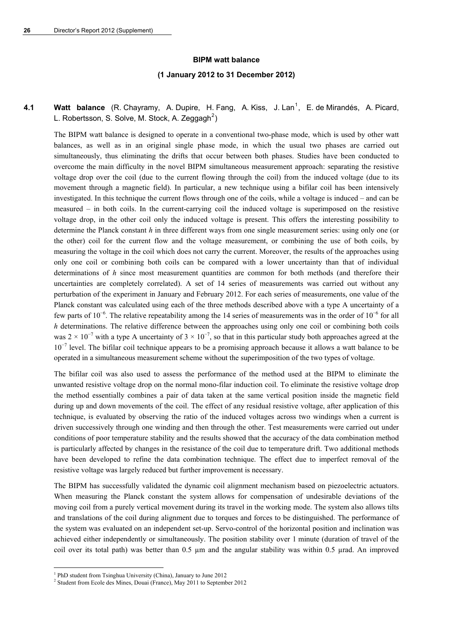#### **BIPM watt balance**

#### **(1 January 2012 to 31 December 2012)**

## **4.[1](#page-27-0) Watt balance** (R. Chayramy, A. Dupire, H. Fang, A. Kiss, J. Lan<sup>1</sup>, E. de Mirandés, A. Picard, L. Robertsson, S. Solve, M. Stock, A. Zeggagh<sup>[2](#page-27-1)</sup>)

The BIPM watt balance is designed to operate in a conventional two-phase mode, which is used by other watt balances, as well as in an original single phase mode, in which the usual two phases are carried out simultaneously, thus eliminating the drifts that occur between both phases. Studies have been conducted to overcome the main difficulty in the novel BIPM simultaneous measurement approach: separating the resistive voltage drop over the coil (due to the current flowing through the coil) from the induced voltage (due to its movement through a magnetic field). In particular, a new technique using a bifilar coil has been intensively investigated. In this technique the current flows through one of the coils, while a voltage is induced – and can be measured – in both coils. In the current-carrying coil the induced voltage is superimposed on the resistive voltage drop, in the other coil only the induced voltage is present. This offers the interesting possibility to determine the Planck constant *h* in three different ways from one single measurement series: using only one (or the other) coil for the current flow and the voltage measurement, or combining the use of both coils, by measuring the voltage in the coil which does not carry the current. Moreover, the results of the approaches using only one coil or combining both coils can be compared with a lower uncertainty than that of individual determinations of *h* since most measurement quantities are common for both methods (and therefore their uncertainties are completely correlated). A set of 14 series of measurements was carried out without any perturbation of the experiment in January and February 2012. For each series of measurements, one value of the Planck constant was calculated using each of the three methods described above with a type A uncertainty of a few parts of  $10^{-6}$ . The relative repeatability among the 14 series of measurements was in the order of  $10^{-6}$  for all *h* determinations. The relative difference between the approaches using only one coil or combining both coils was 2 × 10<sup>-7</sup> with a type A uncertainty of 3 × 10<sup>-7</sup>, so that in this particular study both approaches agreed at the 10<sup>-7</sup> level. The bifilar coil technique appears to be a promising approach because it allows a watt balance to be operated in a simultaneous measurement scheme without the superimposition of the two types of voltage.

The bifilar coil was also used to assess the performance of the method used at the BIPM to eliminate the unwanted resistive voltage drop on the normal mono-filar induction coil. To eliminate the resistive voltage drop the method essentially combines a pair of data taken at the same vertical position inside the magnetic field during up and down movements of the coil. The effect of any residual resistive voltage, after application of this technique, is evaluated by observing the ratio of the induced voltages across two windings when a current is driven successively through one winding and then through the other. Test measurements were carried out under conditions of poor temperature stability and the results showed that the accuracy of the data combination method is particularly affected by changes in the resistance of the coil due to temperature drift. Two additional methods have been developed to refine the data combination technique. The effect due to imperfect removal of the resistive voltage was largely reduced but further improvement is necessary.

The BIPM has successfully validated the dynamic coil alignment mechanism based on piezoelectric actuators. When measuring the Planck constant the system allows for compensation of undesirable deviations of the moving coil from a purely vertical movement during its travel in the working mode. The system also allows tilts and translations of the coil during alignment due to torques and forces to be distinguished. The performance of the system was evaluated on an independent set-up. Servo-control of the horizontal position and inclination was achieved either independently or simultaneously. The position stability over 1 minute (duration of travel of the coil over its total path) was better than  $0.5 \mu m$  and the angular stability was within  $0.5 \mu rad$ . An improved

1

<sup>&</sup>lt;sup>1</sup> PhD student from Tsinghua University (China), January to June 2012<br><sup>2</sup> Student from Foole des Mines, Douei (France), May 2011 to Septemb

<span id="page-27-1"></span><span id="page-27-0"></span><sup>&</sup>lt;sup>2</sup> Student from Ecole des Mines, Douai (France), May 2011 to September 2012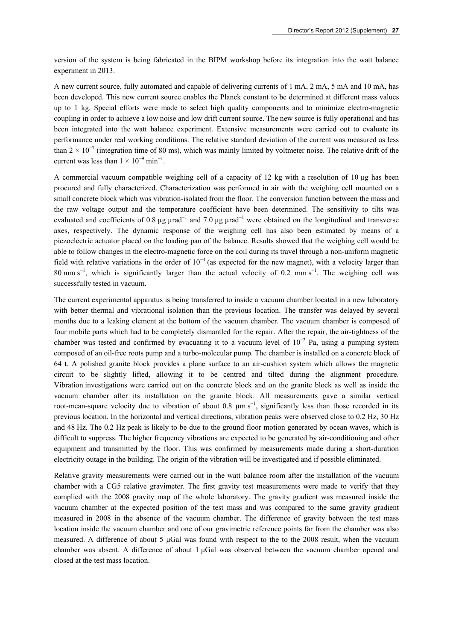version of the system is being fabricated in the BIPM workshop before its integration into the watt balance experiment in 2013.

A new current source, fully automated and capable of delivering currents of 1 mA, 2 mA, 5 mA and 10 mA, has been developed. This new current source enables the Planck constant to be determined at different mass values up to 1 kg. Special efforts were made to select high quality components and to minimize electro-magnetic coupling in order to achieve a low noise and low drift current source. The new source is fully operational and has been integrated into the watt balance experiment. Extensive measurements were carried out to evaluate its performance under real working conditions. The relative standard deviation of the current was measured as less than  $2 \times 10^{-7}$  (integration time of 80 ms), which was mainly limited by voltmeter noise. The relative drift of the current was less than  $1 \times 10^{-9}$  min<sup>-1</sup>.

A commercial vacuum compatible weighing cell of a capacity of 12 kg with a resolution of 10  $\mu$ g has been procured and fully characterized. Characterization was performed in air with the weighing cell mounted on a small concrete block which was vibration-isolated from the floor. The conversion function between the mass and the raw voltage output and the temperature coefficient have been determined. The sensitivity to tilts was evaluated and coefficients of 0.8  $\mu$ g  $\mu$ rad<sup>-1</sup> and 7.0  $\mu$ g  $\mu$ rad<sup>-1</sup> were obtained on the longitudinal and transverse axes, respectively. The dynamic response of the weighing cell has also been estimated by means of a piezoelectric actuator placed on the loading pan of the balance. Results showed that the weighing cell would be able to follow changes in the electro-magnetic force on the coil during its travel through a non-uniform magnetic field with relative variations in the order of  $10^{-4}$  (as expected for the new magnet), with a velocity larger than 80 mm s<sup>-1</sup>, which is significantly larger than the actual velocity of 0.2 mm s<sup>-1</sup>. The weighing cell was successfully tested in vacuum.

The current experimental apparatus is being transferred to inside a vacuum chamber located in a new laboratory with better thermal and vibrational isolation than the previous location. The transfer was delayed by several months due to a leaking element at the bottom of the vacuum chamber. The vacuum chamber is composed of four mobile parts which had to be completely dismantled for the repair. After the repair, the air-tightness of the chamber was tested and confirmed by evacuating it to a vacuum level of  $10^{-2}$  Pa, using a pumping system composed of an oil-free roots pump and a turbo-molecular pump. The chamber is installed on a concrete block of 64 t. A polished granite block provides a plane surface to an air-cushion system which allows the magnetic circuit to be slightly lifted, allowing it to be centred and tilted during the alignment procedure. Vibration investigations were carried out on the concrete block and on the granite block as well as inside the vacuum chamber after its installation on the granite block. All measurements gave a similar vertical root-mean-square velocity due to vibration of about 0.8  $\mu$ m s<sup>-1</sup>, significantly less than those recorded in its previous location. In the horizontal and vertical directions, vibration peaks were observed close to 0.2 Hz, 30 Hz and 48 Hz. The 0.2 Hz peak is likely to be due to the ground floor motion generated by ocean waves, which is difficult to suppress. The higher frequency vibrations are expected to be generated by air-conditioning and other equipment and transmitted by the floor. This was confirmed by measurements made during a short-duration electricity outage in the building. The origin of the vibration will be investigated and if possible eliminated.

Relative gravity measurements were carried out in the watt balance room after the installation of the vacuum chamber with a CG5 relative gravimeter. The first gravity test measurements were made to verify that they complied with the 2008 gravity map of the whole laboratory. The gravity gradient was measured inside the vacuum chamber at the expected position of the test mass and was compared to the same gravity gradient measured in 2008 in the absence of the vacuum chamber. The difference of gravity between the test mass location inside the vacuum chamber and one of our gravimetric reference points far from the chamber was also measured. A difference of about 5 μGal was found with respect to the to the 2008 result, when the vacuum chamber was absent. A difference of about 1 μGal was observed between the vacuum chamber opened and closed at the test mass location.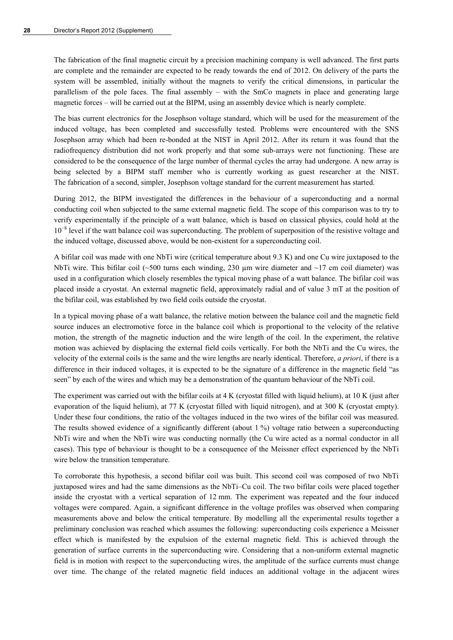The fabrication of the final magnetic circuit by a precision machining company is well advanced. The first parts are complete and the remainder are expected to be ready towards the end of 2012. On delivery of the parts the system will be assembled, initially without the magnets to verify the critical dimensions, in particular the parallelism of the pole faces. The final assembly – with the SmCo magnets in place and generating large magnetic forces – will be carried out at the BIPM, using an assembly device which is nearly complete.

The bias current electronics for the Josephson voltage standard, which will be used for the measurement of the induced voltage, has been completed and successfully tested. Problems were encountered with the SNS Josephson array which had been re-bonded at the NIST in April 2012. After its return it was found that the radiofrequency distribution did not work properly and that some sub-arrays were not functioning. These are considered to be the consequence of the large number of thermal cycles the array had undergone. A new array is being selected by a BIPM staff member who is currently working as guest researcher at the NIST. The fabrication of a second, simpler, Josephson voltage standard for the current measurement has started.

During 2012, the BIPM investigated the differences in the behaviour of a superconducting and a normal conducting coil when subjected to the same external magnetic field. The scope of this comparison was to try to verify experimentally if the principle of a watt balance, which is based on classical physics, could hold at the 10<sup>-8</sup> level if the watt balance coil was superconducting. The problem of superposition of the resistive voltage and the induced voltage, discussed above, would be non-existent for a superconducting coil.

A bifilar coil was made with one NbTi wire (critical temperature about 9.3 K) and one Cu wire juxtaposed to the NbTi wire. This bifilar coil (~500 turns each winding, 230  $\mu$ m wire diameter and ~17 cm coil diameter) was used in a configuration which closely resembles the typical moving phase of a watt balance. The bifilar coil was placed inside a cryostat. An external magnetic field, approximately radial and of value 3 mT at the position of the bifilar coil, was established by two field coils outside the cryostat.

In a typical moving phase of a watt balance, the relative motion between the balance coil and the magnetic field source induces an electromotive force in the balance coil which is proportional to the velocity of the relative motion, the strength of the magnetic induction and the wire length of the coil. In the experiment, the relative motion was achieved by displacing the external field coils vertically. For both the NbTi and the Cu wires, the velocity of the external coils is the same and the wire lengths are nearly identical. Therefore, *a priori*, if there is a difference in their induced voltages, it is expected to be the signature of a difference in the magnetic field "as seen" by each of the wires and which may be a demonstration of the quantum behaviour of the NbTi coil.

The experiment was carried out with the bifilar coils at 4 K (cryostat filled with liquid helium), at 10 K (just after evaporation of the liquid helium), at 77 K (cryostat filled with liquid nitrogen), and at 300 K (cryostat empty). Under these four conditions, the ratio of the voltages induced in the two wires of the bifilar coil was measured. The results showed evidence of a significantly different (about 1 %) voltage ratio between a superconducting NbTi wire and when the NbTi wire was conducting normally (the Cu wire acted as a normal conductor in all cases). This type of behaviour is thought to be a consequence of the Meissner effect experienced by the NbTi wire below the transition temperature.

To corroborate this hypothesis, a second bifilar coil was built. This second coil was composed of two NbTi juxtaposed wires and had the same dimensions as the NbTi–Cu coil. The two bifilar coils were placed together inside the cryostat with a vertical separation of 12 mm. The experiment was repeated and the four induced voltages were compared. Again, a significant difference in the voltage profiles was observed when comparing measurements above and below the critical temperature. By modelling all the experimental results together a preliminary conclusion was reached which assumes the following: superconducting coils experience a Meissner effect which is manifested by the expulsion of the external magnetic field. This is achieved through the generation of surface currents in the superconducting wire. Considering that a non-uniform external magnetic field is in motion with respect to the superconducting wires, the amplitude of the surface currents must change over time. The change of the related magnetic field induces an additional voltage in the adjacent wires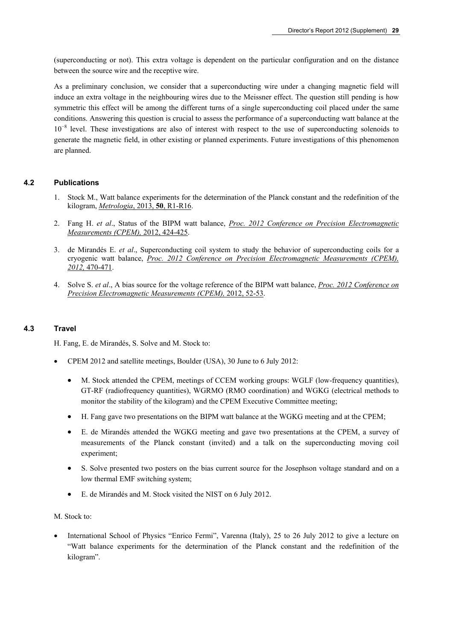(superconducting or not). This extra voltage is dependent on the particular configuration and on the distance between the source wire and the receptive wire.

As a preliminary conclusion, we consider that a superconducting wire under a changing magnetic field will induce an extra voltage in the neighbouring wires due to the Meissner effect. The question still pending is how symmetric this effect will be among the different turns of a single superconducting coil placed under the same conditions. Answering this question is crucial to assess the performance of a superconducting watt balance at the 10<sup>-8</sup> level. These investigations are also of interest with respect to the use of superconducting solenoids to generate the magnetic field, in other existing or planned experiments. Future investigations of this phenomenon are planned.

#### **4.2 Publications**

- 1. Stock M., Watt balance experiments for the determination of the Planck constant and the redefinition of the kilogram, *[Metrologia](http://stacks.iop.org/met/50/R1)*, 2013, **50**, R1-R16.
- 2. Fang H. *et al*., Status of the BIPM watt balance, *[Proc. 2012 Conference on Precision Electromagnetic](http://dx.doi.org/10.1109/CPEM.2012.6250984)  [Measurements \(CPEM\),](http://dx.doi.org/10.1109/CPEM.2012.6250984)* 2012, 424-425.
- 3. de Mirandés E. *et al*., Superconducting coil system to study the behavior of superconducting coils for a cryogenic watt balance, *[Proc. 2012 Conference on Precision Electromagnetic Measurements \(CPEM\),](http://dx.doi.org/10.1109/CPEM.2012.6251007)  2012,* [470-471](http://dx.doi.org/10.1109/CPEM.2012.6251007).
- 4. Solve S. *et al*., A bias source for the voltage reference of the BIPM watt balance, *[Proc. 2012 Conference on](http://dx.doi.org/10.1109/CPEM.2012.6250656)  [Precision Electromagnetic Measurements \(CPEM\),](http://dx.doi.org/10.1109/CPEM.2012.6250656)* 2012, 52-53.

#### **4.3 Travel**

H. Fang, E. de Mirandés, S. Solve and M. Stock to:

- CPEM 2012 and satellite meetings, Boulder (USA), 30 June to 6 July 2012:
	- M. Stock attended the CPEM, meetings of CCEM working groups: WGLF (low-frequency quantities), GT-RF (radiofrequency quantities), WGRMO (RMO coordination) and WGKG (electrical methods to monitor the stability of the kilogram) and the CPEM Executive Committee meeting;
	- H. Fang gave two presentations on the BIPM watt balance at the WGKG meeting and at the CPEM;
	- E. de Mirandés attended the WGKG meeting and gave two presentations at the CPEM, a survey of measurements of the Planck constant (invited) and a talk on the superconducting moving coil experiment;
	- S. Solve presented two posters on the bias current source for the Josephson voltage standard and on a low thermal EMF switching system;
	- E. de Mirandés and M. Stock visited the NIST on 6 July 2012.

M. Stock to:

 International School of Physics "Enrico Fermi", Varenna (Italy), 25 to 26 July 2012 to give a lecture on "Watt balance experiments for the determination of the Planck constant and the redefinition of the kilogram".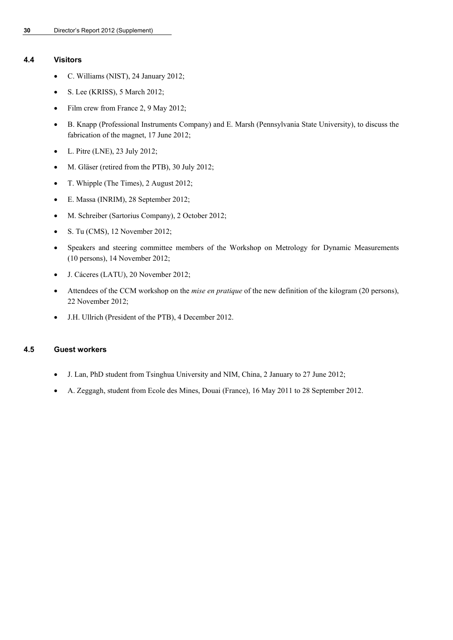#### **4.4 Visitors**

- C. Williams (NIST), 24 January 2012;
- S. Lee (KRISS), 5 March 2012;
- Film crew from France 2, 9 May 2012;
- B. Knapp (Professional Instruments Company) and E. Marsh (Pennsylvania State University), to discuss the fabrication of the magnet, 17 June 2012;
- $\bullet$  L. Pitre (LNE), 23 July 2012;
- M. Gläser (retired from the PTB), 30 July 2012;
- T. Whipple (The Times), 2 August 2012;
- E. Massa (INRIM), 28 September 2012;
- M. Schreiber (Sartorius Company), 2 October 2012;
- S. Tu (CMS), 12 November 2012;
- Speakers and steering committee members of the Workshop on Metrology for Dynamic Measurements (10 persons), 14 November 2012;
- J. Cáceres (LATU), 20 November 2012;
- Attendees of the CCM workshop on the *mise en pratique* of the new definition of the kilogram (20 persons), 22 November 2012;
- J.H. Ullrich (President of the PTB), 4 December 2012.

#### **4.5 Guest workers**

- J. Lan, PhD student from Tsinghua University and NIM, China, 2 January to 27 June 2012;
- A. Zeggagh, student from Ecole des Mines, Douai (France), 16 May 2011 to 28 September 2012.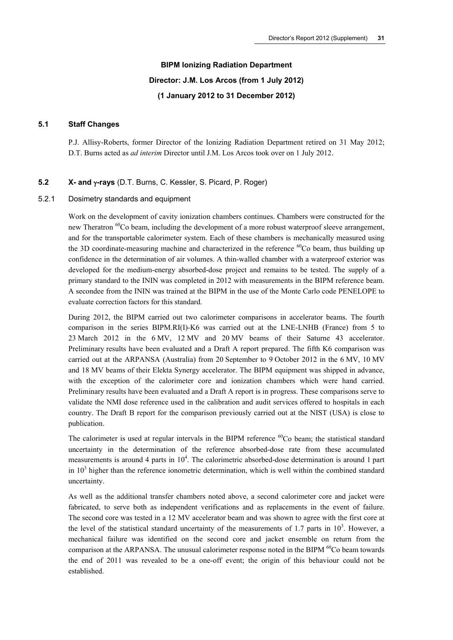## **BIPM Ionizing Radiation Department Director: J.M. Los Arcos (from 1 July 2012) (1 January 2012 to 31 December 2012)**

#### **5.1 Staff Changes**

P.J. Allisy-Roberts, former Director of the Ionizing Radiation Department retired on 31 May 2012; D.T. Burns acted as *ad interim* Director until J.M. Los Arcos took over on 1 July 2012.

#### **5.2 X- and -rays** (D.T. Burns, C. Kessler, S. Picard, P. Roger)

#### 5.2.1 Dosimetry standards and equipment

Work on the development of cavity ionization chambers continues. Chambers were constructed for the new Theratron <sup>60</sup>Co beam, including the development of a more robust waterproof sleeve arrangement, and for the transportable calorimeter system. Each of these chambers is mechanically measured using the 3D coordinate-measuring machine and characterized in the reference  ${}^{60}$ Co beam, thus building up confidence in the determination of air volumes. A thin-walled chamber with a waterproof exterior was developed for the medium-energy absorbed-dose project and remains to be tested. The supply of a primary standard to the ININ was completed in 2012 with measurements in the BIPM reference beam. A secondee from the ININ was trained at the BIPM in the use of the Monte Carlo code PENELOPE to evaluate correction factors for this standard.

During 2012, the BIPM carried out two calorimeter comparisons in accelerator beams. The fourth comparison in the series BIPM.RI(I)-K6 was carried out at the LNE-LNHB (France) from 5 to 23 March 2012 in the 6 MV, 12 MV and 20 MV beams of their Saturne 43 accelerator. Preliminary results have been evaluated and a Draft A report prepared. The fifth K6 comparison was carried out at the ARPANSA (Australia) from 20 September to 9 October 2012 in the 6 MV, 10 MV and 18 MV beams of their Elekta Synergy accelerator. The BIPM equipment was shipped in advance, with the exception of the calorimeter core and ionization chambers which were hand carried. Preliminary results have been evaluated and a Draft A report is in progress. These comparisons serve to validate the NMI dose reference used in the calibration and audit services offered to hospitals in each country. The Draft B report for the comparison previously carried out at the NIST (USA) is close to publication.

The calorimeter is used at regular intervals in the BIPM reference  ${}^{60}Co$  beam; the statistical standard uncertainty in the determination of the reference absorbed-dose rate from these accumulated measurements is around 4 parts in  $10<sup>4</sup>$ . The calorimetric absorbed-dose determination is around 1 part in  $10<sup>3</sup>$  higher than the reference ionometric determination, which is well within the combined standard uncertainty.

As well as the additional transfer chambers noted above, a second calorimeter core and jacket were fabricated, to serve both as independent verifications and as replacements in the event of failure. The second core was tested in a 12 MV accelerator beam and was shown to agree with the first core at the level of the statistical standard uncertainty of the measurements of 1.7 parts in  $10<sup>3</sup>$ . However, a mechanical failure was identified on the second core and jacket ensemble on return from the comparison at the ARPANSA. The unusual calorimeter response noted in the BIPM <sup>60</sup>Co beam towards the end of 2011 was revealed to be a one-off event; the origin of this behaviour could not be established.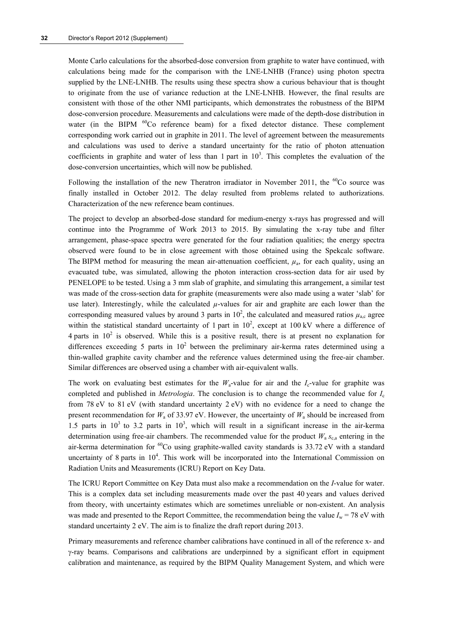Monte Carlo calculations for the absorbed-dose conversion from graphite to water have continued, with calculations being made for the comparison with the LNE-LNHB (France) using photon spectra supplied by the LNE-LNHB. The results using these spectra show a curious behaviour that is thought to originate from the use of variance reduction at the LNE-LNHB. However, the final results are consistent with those of the other NMI participants, which demonstrates the robustness of the BIPM dose-conversion procedure. Measurements and calculations were made of the depth-dose distribution in water (in the BIPM <sup>60</sup>Co reference beam) for a fixed detector distance. These complement corresponding work carried out in graphite in 2011. The level of agreement between the measurements and calculations was used to derive a standard uncertainty for the ratio of photon attenuation coefficients in graphite and water of less than 1 part in  $10<sup>3</sup>$ . This completes the evaluation of the dose-conversion uncertainties, which will now be published.

Following the installation of the new Theratron irradiator in November 2011, the  ${}^{60}Co$  source was finally installed in October 2012. The delay resulted from problems related to authorizations. Characterization of the new reference beam continues.

The project to develop an absorbed-dose standard for medium-energy x-rays has progressed and will continue into the Programme of Work 2013 to 2015. By simulating the x-ray tube and filter arrangement, phase-space spectra were generated for the four radiation qualities; the energy spectra observed were found to be in close agreement with those obtained using the Spekcalc software. The BIPM method for measuring the mean air-attenuation coefficient,  $\mu_a$ , for each quality, using an evacuated tube, was simulated, allowing the photon interaction cross-section data for air used by PENELOPE to be tested. Using a 3 mm slab of graphite, and simulating this arrangement, a similar test was made of the cross-section data for graphite (measurements were also made using a water 'slab' for use later). Interestingly, while the calculated  $\mu$ -values for air and graphite are each lower than the corresponding measured values by around 3 parts in  $10^2$ , the calculated and measured ratios  $\mu_{a,c}$  agree within the statistical standard uncertainty of 1 part in  $10^2$ , except at 100 kV where a difference of 4 parts in  $10^2$  is observed. While this is a positive result, there is at present no explanation for differences exceeding 5 parts in  $10^2$  between the preliminary air-kerma rates determined using a thin-walled graphite cavity chamber and the reference values determined using the free-air chamber. Similar differences are observed using a chamber with air-equivalent walls.

The work on evaluating best estimates for the  $W_a$ -value for air and the  $I_c$ -value for graphite was completed and published in *Metrologia*. The conclusion is to change the recommended value for *I*<sup>c</sup> from 78 eV to 81 eV (with standard uncertainty  $2$  eV) with no evidence for a need to change the present recommendation for *W*a of 33.97 eV. However, the uncertainty of *W*a should be increased from 1.5 parts in  $10^3$  to 3.2 parts in  $10^3$ , which will result in a significant increase in the air-kerma determination using free-air chambers. The recommended value for the product  $W_a s_{c,a}$  entering in the air-kerma determination for  ${}^{60}$ Co using graphite-walled cavity standards is 33.72 eV with a standard uncertainty of 8 parts in  $10<sup>4</sup>$ . This work will be incorporated into the International Commission on Radiation Units and Measurements (ICRU) Report on Key Data.

The ICRU Report Committee on Key Data must also make a recommendation on the *I*-value for water. This is a complex data set including measurements made over the past 40 years and values derived from theory, with uncertainty estimates which are sometimes unreliable or non-existent. An analysis was made and presented to the Report Committee, the recommendation being the value  $I_w = 78$  eV with standard uncertainty 2 eV. The aim is to finalize the draft report during 2013.

Primary measurements and reference chamber calibrations have continued in all of the reference x- and  $\gamma$ -ray beams. Comparisons and calibrations are underpinned by a significant effort in equipment calibration and maintenance, as required by the BIPM Quality Management System, and which were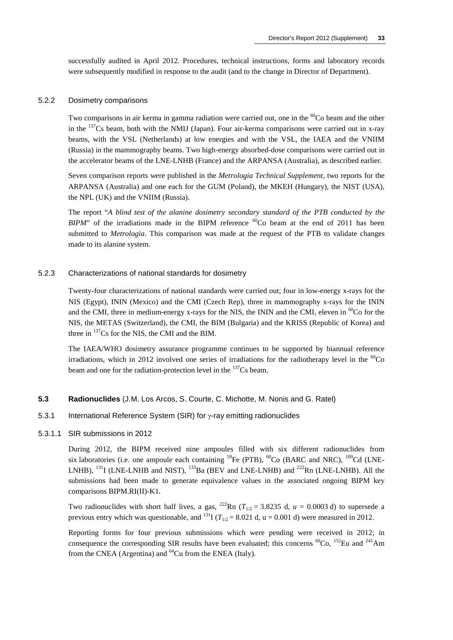successfully audited in April 2012. Procedures, technical instructions, forms and laboratory records were subsequently modified in response to the audit (and to the change in Director of Department).

#### 5.2.2 Dosimetry comparisons

Two comparisons in air kerma in gamma radiation were carried out, one in the <sup>60</sup>Co beam and the other in the 137Cs beam, both with the NMIJ (Japan). Four air-kerma comparisons were carried out in x-ray beams, with the VSL (Netherlands) at low energies and with the VSL, the IAEA and the VNIIM (Russia) in the mammography beams. Two high-energy absorbed-dose comparisons were carried out in the accelerator beams of the LNE-LNHB (France) and the ARPANSA (Australia), as described earlier.

Seven comparison reports were published in the *Metrologia Technical Supplement*, two reports for the ARPANSA (Australia) and one each for the GUM (Poland), the MKEH (Hungary), the NIST (USA), the NPL (UK) and the VNIIM (Russia).

The report "*A blind test of the alanine dosimetry secondary standard of the PTB conducted by the BIPM*" of the irradiations made in the BIPM reference  ${}^{60}$ Co beam at the end of 2011 has been submitted to *Metrologia*. This comparison was made at the request of the PTB to validate changes made to its alanine system.

#### 5.2.3 Characterizations of national standards for dosimetry

Twenty-four characterizations of national standards were carried out; four in low-energy x-rays for the NIS (Egypt), ININ (Mexico) and the CMI (Czech Rep), three in mammography x-rays for the ININ and the CMI, three in medium-energy x-rays for the NIS, the ININ and the CMI, eleven in <sup>60</sup>Co for the NIS, the METAS (Switzerland), the CMI, the BIM (Bulgaria) and the KRISS (Republic of Korea) and three in  $^{137}Cs$  for the NIS, the CMI and the BIM.

The IAEA/WHO dosimetry assurance programme continues to be supported by biannual reference irradiations, which in 2012 involved one series of irradiations for the radiotherapy level in the  ${}^{60}Co$ beam and one for the radiation-protection level in the <sup>137</sup>Cs beam.

#### **5.3 Radionuclides** (J.M. Los Arcos, S. Courte, C. Michotte, M. Nonis and G. Ratel)

#### 5.3.1 International Reference System (SIR) for γ-ray emitting radionuclides

#### 5.3.1.1 SIR submissions in 2012

During 2012, the BIPM received nine ampoules filled with six different radionuclides from six laboratories (i.e. one ampoule each containing  $^{59}Fe$  (PTB),  $^{60}Co$  (BARC and NRC),  $^{109}Cd$  (LNE-LNHB),  $^{131}$ I (LNE-LNHB and NIST),  $^{133}$ Ba (BEV and LNE-LNHB) and  $^{222}$ Rn (LNE-LNHB). All the submissions had been made to generate equivalence values in the associated ongoing BIPM key comparisons BIPM.RI(II)-K1.

Two radionuclides with short half lives, a gas, <sup>222</sup>Rn ( $T_{1/2}$  = 3.8235 d, *u* = 0.0003 d) to supersede a previous entry which was questionable, and <sup>131</sup>I ( $T_{1/2} = 8.021$  d, u = 0.001 d) were measured in 2012.

Reporting forms for four previous submissions which were pending were received in 2012; in consequence the corresponding SIR results have been evaluated; this concerns  ${}^{60}Co$ ,  ${}^{152}Eu$  and  ${}^{241}Am$ from the CNEA (Argentina) and  $^{64}$ Cu from the ENEA (Italy).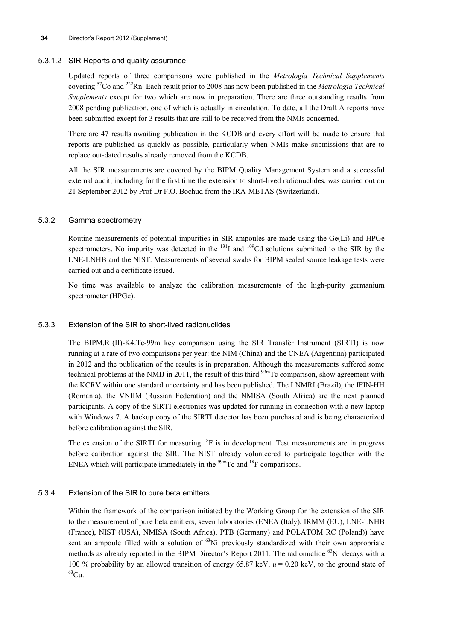#### **34** Director's Report 2012 (Supplement)

#### 5.3.1.2 SIR Reports and quality assurance

Updated reports of three comparisons were published in the *Metrologia Technical Supplements* covering 57Co and 222Rn. Each result prior to 2008 has now been published in the *Metrologia Technical Supplements* except for two which are now in preparation. There are three outstanding results from 2008 pending publication, one of which is actually in circulation. To date, all the Draft A reports have been submitted except for 3 results that are still to be received from the NMIs concerned.

There are 47 results awaiting publication in the KCDB and every effort will be made to ensure that reports are published as quickly as possible, particularly when NMIs make submissions that are to replace out-dated results already removed from the KCDB.

All the SIR measurements are covered by the BIPM Quality Management System and a successful external audit, including for the first time the extension to short-lived radionuclides, was carried out on 21 September 2012 by Prof Dr F.O. Bochud from the IRA-METAS (Switzerland).

#### 5.3.2 Gamma spectrometry

Routine measurements of potential impurities in SIR ampoules are made using the Ge(Li) and HPGe spectrometers. No impurity was detected in the  $^{131}$ I and  $^{109}$ Cd solutions submitted to the SIR by the LNE-LNHB and the NIST. Measurements of several swabs for BIPM sealed source leakage tests were carried out and a certificate issued.

No time was available to analyze the calibration measurements of the high-purity germanium spectrometer (HPGe).

#### 5.3.3 Extension of the SIR to short-lived radionuclides

The [BIPM.RI\(II\)-K4.Tc-99m](http://kcdb.bipm.org/appendixB/KCDB_ApB_info.asp?cmp_idy=869&cmp_cod=BIPM.RI(II)-K4.Tc-99m&prov=exalead) key comparison using the SIR Transfer Instrument (SIRTI) is now running at a rate of two comparisons per year: the NIM (China) and the CNEA (Argentina) participated in 2012 and the publication of the results is in preparation. Although the measurements suffered some technical problems at the NMIJ in 2011, the result of this third <sup>99m</sup>Tc comparison, show agreement with the KCRV within one standard uncertainty and has been published. The LNMRI (Brazil), the IFIN-HH (Romania), the VNIIM (Russian Federation) and the NMISA (South Africa) are the next planned participants. A copy of the SIRTI electronics was updated for running in connection with a new laptop with Windows 7. A backup copy of the SIRTI detector has been purchased and is being characterized before calibration against the SIR.

The extension of the SIRTI for measuring  ${}^{18}F$  is in development. Test measurements are in progress before calibration against the SIR. The NIST already volunteered to participate together with the ENEA which will participate immediately in the  $\frac{99 \text{m}}{2}$ Tc and  $^{18}$ F comparisons.

#### 5.3.4 Extension of the SIR to pure beta emitters

Within the framework of the comparison initiated by the Working Group for the extension of the SIR to the measurement of pure beta emitters, seven laboratories (ENEA (Italy), IRMM (EU), LNE-LNHB (France), NIST (USA), NMISA (South Africa), PTB (Germany) and POLATOM RC (Poland)) have sent an ampoule filled with a solution of  $^{63}$ Ni previously standardized with their own appropriate methods as already reported in the BIPM Director's Report 2011. The radionuclide  $^{63}$ Ni decays with a 100 % probability by an allowed transition of energy 65.87 keV,  $u = 0.20$  keV, to the ground state of <sup>63</sup>Cu.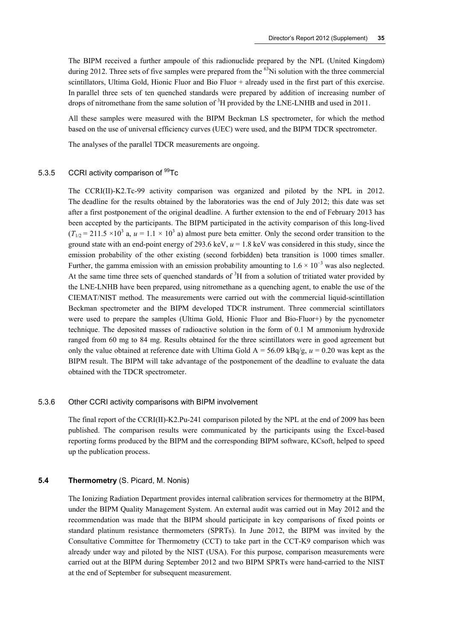The BIPM received a further ampoule of this radionuclide prepared by the NPL (United Kingdom) during 2012. Three sets of five samples were prepared from the <sup>63</sup>Ni solution with the three commercial scintillators, Ultima Gold, Hionic Fluor and Bio Fluor + already used in the first part of this exercise. In parallel three sets of ten quenched standards were prepared by addition of increasing number of drops of nitromethane from the same solution of  ${}^{3}H$  provided by the LNE-LNHB and used in 2011.

All these samples were measured with the BIPM Beckman LS spectrometer, for which the method based on the use of universal efficiency curves (UEC) were used, and the BIPM TDCR spectrometer.

The analyses of the parallel TDCR measurements are ongoing.

#### 5.3.5 CCRI activity comparison of <sup>99</sup>Tc

The [CCRI\(II\)-K2.Tc-99](http://kcdb.bipm.org/appendixB/KCDB_ApB_info.asp?cmp_idy=994&cmp_cod=CCRI(II)-K2.Pu-241&prov=exalead) activity comparison was organized and piloted by the NPL in 2012. The deadline for the results obtained by the laboratories was the end of July 2012; this date was set after a first postponement of the original deadline. A further extension to the end of February 2013 has been accepted by the participants. The BIPM participated in the activity comparison of this long-lived  $(T_{1/2} = 211.5 \times 10^3$  a,  $u = 1.1 \times 10^3$  a) almost pure beta emitter. Only the second order transition to the ground state with an end-point energy of 293.6 keV, *u* = 1.8 keV was considered in this study, since the emission probability of the other existing (second forbidden) beta transition is 1000 times smaller. Further, the gamma emission with an emission probability amounting to  $1.6 \times 10^{-3}$  was also neglected. At the same time three sets of quenched standards of  ${}^{3}H$  from a solution of tritiated water provided by the LNE-LNHB have been prepared, using nitromethane as a quenching agent, to enable the use of the CIEMAT/NIST method. The measurements were carried out with the commercial liquid-scintillation Beckman spectrometer and the BIPM developed TDCR instrument. Three commercial scintillators were used to prepare the samples (Ultima Gold, Hionic Fluor and Bio-Fluor+) by the pycnometer technique. The deposited masses of radioactive solution in the form of 0.1 M ammonium hydroxide ranged from 60 mg to 84 mg. Results obtained for the three scintillators were in good agreement but only the value obtained at reference date with Ultima Gold A = 56.09 kBq/g, *u* = 0.20 was kept as the BIPM result. The BIPM will take advantage of the postponement of the deadline to evaluate the data obtained with the TDCR spectrometer.

#### 5.3.6 Other CCRI activity comparisons with BIPM involvement

The final report of the [CCRI\(II\)-K2.Pu-241](http://kcdb.bipm.org/appendixB/KCDB_ApB_info.asp?cmp_idy=994&cmp_cod=CCRI(II)-K2.Pu-241&prov=exalead) comparison piloted by the NPL at the end of 2009 has been published. The comparison results were communicated by the participants using the Excel-based reporting forms produced by the BIPM and the corresponding BIPM software, KCsoft, helped to speed up the publication process.

#### **5.4 Thermometry** (S. Picard, M. Nonis)

The Ionizing Radiation Department provides internal calibration services for thermometry at the BIPM, under the BIPM Quality Management System. An external audit was carried out in May 2012 and the recommendation was made that the BIPM should participate in key comparisons of fixed points or standard platinum resistance thermometers (SPRTs). In June 2012, the BIPM was invited by the Consultative Committee for Thermometry (CCT) to take part in the CCT-K9 comparison which was already under way and piloted by the NIST (USA). For this purpose, comparison measurements were carried out at the BIPM during September 2012 and two BIPM SPRTs were hand-carried to the NIST at the end of September for subsequent measurement.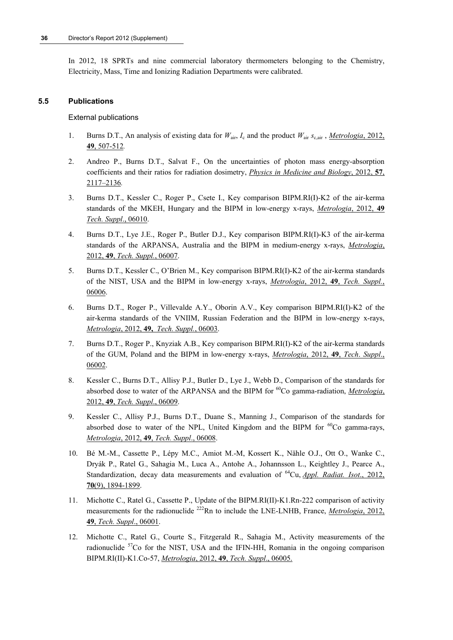In 2012, 18 SPRTs and nine commercial laboratory thermometers belonging to the Chemistry, Electricity, Mass, Time and Ionizing Radiation Departments were calibrated.

#### **5.5 Publications**

External publications

- 1. Burns D.T., An analysis of existing data for  $W_{\text{air}}$ ,  $I_c$  and the product  $W_{\text{air}}$   $s_{\text{c,air}}$ , *[Metrologia](http://stacks.iop.org/0026-1394/49/507)*, 2012, **49**, [507-512](http://stacks.iop.org/0026-1394/49/507)*.*
- 2. Andreo P., Burns D.T., Salvat F., On the uncertainties of photon mass energy-absorption coefficients and their ratios for radiation dosimetry, *[Physics in Medicine and Biology](http://stacks.iop.org/0031-9155/57/2117)*, 2012, **57**, [2117–2136](http://stacks.iop.org/0031-9155/57/2117)*.*
- 3. Burns D.T., Kessler C., Roger P., Csete I., Key comparison BIPM.RI(I)-K2 of the air-kerma standards of the MKEH, Hungary and the BIPM in low-energy x-rays, *[Metrologia](http://stacks.iop.org/0026-1394/49/06010)*, 2012, **49** *[Tech. Suppl](http://stacks.iop.org/0026-1394/49/06010)*., 06010.
- 4. Burns D.T., Lye J.E., Roger P., Butler D.J., Key comparison BIPM.RI(I)-K3 of the air-kerma standards of the ARPANSA, Australia and the BIPM in medium-energy x-rays, *[Metrologia](http://stacks.iop.org/0026-1394/49/06007)*, 2012, **49**, *[Tech. Suppl.](http://stacks.iop.org/0026-1394/49/06007)*, 06007.
- 5. Burns D.T., Kessler C., O'Brien M., Key comparison BIPM.RI(I)-K2 of the air-kerma standards of the NIST, USA and the BIPM in low-energy x-rays, *[Metrologia](http://stacks.iop.org/0026-1394/49/06006)*, 2012, **49**, *Tech. Suppl.*, [06006.](http://stacks.iop.org/0026-1394/49/06006)
- 6. Burns D.T., Roger P., Villevalde A.Y., Oborin A.V., Key comparison BIPM.RI(I)-K2 of the air-kerma standards of the VNIIM, Russian Federation and the BIPM in low-energy x-rays, *Metrologia*, 2012, **49,** *[Tech. Suppl.](http://stacks.iop.org/0026-1394/49/06003)*, 06003.
- 7. Burns D.T., Roger P., Knyziak A.B., Key comparison BIPM.RI(I)-K2 of the air-kerma standards of the GUM, Poland and the BIPM in low-energy x-rays, *[Metrologia](http://stacks.iop.org/0026-1394/49/06002)*, 2012, **49**, *Tech*. *Suppl*., [06002.](http://stacks.iop.org/0026-1394/49/06002)
- 8. Kessler C., Burns D.T., Allisy P.J., Butler D., Lye J., Webb D., Comparison of the standards for absorbed dose to water of the ARPANSA and the BIPM for 60Co gamma-radiation, *[Metrologia](http://stacks.iop.org/0026-1394/49/06009)*, 2012, **49**, *[Tech. Suppl](http://stacks.iop.org/0026-1394/49/06009)*., 06009.
- 9. Kessler C., Allisy P.J., Burns D.T., Duane S., Manning J., Comparison of the standards for absorbed dose to water of the NPL, United Kingdom and the BIPM for  ${}^{60}Co$  gamma-rays, *Metrologia*, 2012, **49**, *[Tech. Suppl](http://stacks.iop.org/0026-1394/49/06008)*., 06008.
- 10. Bé M.-M., Cassette P., Lépy M.C., Amiot M.-M, Kossert K., Nähle O.J., Ott O., Wanke C., Dryák P., Ratel G., Sahagia M., Luca A., Antohe A., Johannsson L., Keightley J., Pearce A., Standardization, decay data measurements and evaluation of <sup>64</sup>Cu, *[Appl. Radiat. Isot](http://dx.doi.org/10.1016/j.apradiso.2012.02.056).*, 2012, **70**[\(9\), 1894-1899.](http://dx.doi.org/10.1016/j.apradiso.2012.02.056)
- 11. Michotte C., Ratel G., Cassette P., Update of the BIPM.RI(II)-K1.Rn-222 comparison of activity measurements for the radionuclide 222Rn to include the LNE-LNHB, France, *[Metrologia](http://stacks.iop.org/0026-1394/49/06001)*, 2012, **49**, *[Tech. Suppl](http://stacks.iop.org/0026-1394/49/06001)*., 06001.
- 12. Michotte C., Ratel G., Courte S., Fitzgerald R., Sahagia M., Activity measurements of the radionuclide  $57C$  for the NIST, USA and the IFIN-HH, Romania in the ongoing comparison BIPM.RI(II)-K1.Co-57, *Metrologia*, 2012, **49**, *[Tech. Suppl](http://stacks.iop.org/met/49/06005)*., 06005.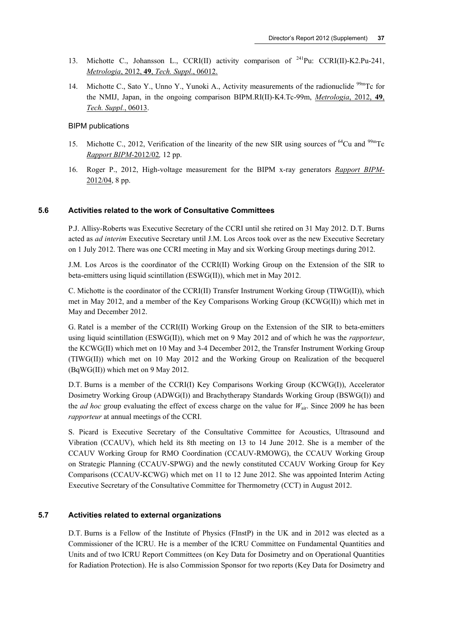- 13. Michotte C., Johansson L., CCRI(II) activity comparison of <sup>241</sup>Pu: CCRI(II)-K2.Pu-241, *Metrologia*, 2012, **49**, *[Tech. Suppl](http://stacks.iop.org/met/49/06012)*., 06012.
- 14. Michotte C., Sato Y., Unno Y., Yunoki A., Activity measurements of the radionuclide <sup>99m</sup>Tc for the NMIJ, Japan, in the ongoing comparison BIPM.RI(II)-K4.Tc-99m, *[Metrologia](http://stacks.iop.org/met/49/06013)*, 2012, **49**, *[Tech. Suppl.](http://stacks.iop.org/met/49/06013)*, 06013.

#### BIPM publications

- 15. Michotte C., 2012, Verification of the linearity of the new SIR using sources of  $^{64}$ Cu and  $^{99m}$ Tc *[Rapport BIPM-](http://www.bipm.org/utils/common/pdf/rapportBIPM/2012/02.pdf)*2012/02*,* 12 pp.
- 16. Roger P., 2012, High-voltage measurement for the BIPM x-ray generators *[Rapport BIPM-](http://www.bipm.org/utils/common/pdf/rapportBIPM/2011/07.pdf)*[2012/04,](http://www.bipm.org/utils/common/pdf/rapportBIPM/2011/07.pdf) 8 pp.

#### **5.6 Activities related to the work of Consultative Committees**

P.J. Allisy-Roberts was Executive Secretary of the CCRI until she retired on 31 May 2012. D.T. Burns acted as *ad interim* Executive Secretary until J.M. Los Arcos took over as the new Executive Secretary on 1 July 2012. There was one CCRI meeting in May and six Working Group meetings during 2012.

J.M. Los Arcos is the coordinator of the CCRI(II) Working Group on the Extension of the SIR to beta-emitters using liquid scintillation (ESWG(II)), which met in May 2012.

C. Michotte is the coordinator of the CCRI(II) Transfer Instrument Working Group (TIWG(II)), which met in May 2012, and a member of the Key Comparisons Working Group (KCWG(II)) which met in May and December 2012.

G. Ratel is a member of the CCRI(II) Working Group on the Extension of the SIR to beta-emitters using liquid scintillation (ESWG(II)), which met on 9 May 2012 and of which he was the *rapporteur*, the KCWG(II) which met on 10 May and 3-4 December 2012, the Transfer Instrument Working Group (TIWG(II)) which met on 10 May 2012 and the Working Group on Realization of the becquerel (BqWG(II)) which met on 9 May 2012.

D.T. Burns is a member of the CCRI(I) Key Comparisons Working Group (KCWG(I)), Accelerator Dosimetry Working Group (ADWG(I)) and Brachytherapy Standards Working Group (BSWG(I)) and the *ad hoc* group evaluating the effect of excess charge on the value for *W*air. Since 2009 he has been *rapporteur* at annual meetings of the CCRI.

S. Picard is Executive Secretary of the Consultative Committee for Acoustics, Ultrasound and Vibration (CCAUV), which held its 8th meeting on 13 to 14 June 2012. She is a member of the CCAUV Working Group for RMO Coordination (CCAUV-RMOWG), the CCAUV Working Group on Strategic Planning (CCAUV-SPWG) and the newly constituted CCAUV Working Group for Key Comparisons (CCAUV-KCWG) which met on 11 to 12 June 2012. She was appointed Interim Acting Executive Secretary of the Consultative Committee for Thermometry (CCT) in August 2012.

#### **5.7 Activities related to external organizations**

D.T. Burns is a Fellow of the Institute of Physics (FInstP) in the UK and in 2012 was elected as a Commissioner of the ICRU. He is a member of the ICRU Committee on Fundamental Quantities and Units and of two ICRU Report Committees (on Key Data for Dosimetry and on Operational Quantities for Radiation Protection). He is also Commission Sponsor for two reports (Key Data for Dosimetry and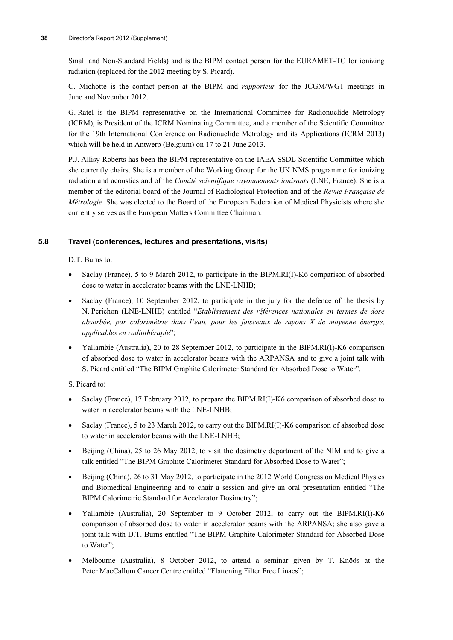Small and Non-Standard Fields) and is the BIPM contact person for the EURAMET-TC for ionizing radiation (replaced for the 2012 meeting by S. Picard).

C. Michotte is the contact person at the BIPM and *rapporteur* for the JCGM/WG1 meetings in June and November 2012.

G. Ratel is the BIPM representative on the International Committee for Radionuclide Metrology (ICRM), is President of the ICRM Nominating Committee, and a member of the Scientific Committee for the 19th International Conference on Radionuclide Metrology and its Applications (ICRM 2013) which will be held in Antwerp (Belgium) on 17 to 21 June 2013.

P.J. Allisy-Roberts has been the BIPM representative on the IAEA SSDL Scientific Committee which she currently chairs. She is a member of the Working Group for the UK NMS programme for ionizing radiation and acoustics and of the *Comité scientifique rayonnements ionisants* (LNE, France). She is a member of the editorial board of the Journal of Radiological Protection and of the *Revue Française de Métrologie*. She was elected to the Board of the European Federation of Medical Physicists where she currently serves as the European Matters Committee Chairman.

#### **5.8 Travel (conferences, lectures and presentations, visits)**

D.T. Burns to:

- Saclay (France), 5 to 9 March 2012, to participate in the BIPM.RI(I)-K6 comparison of absorbed dose to water in accelerator beams with the LNE-LNHB;
- Saclay (France), 10 September 2012, to participate in the jury for the defence of the thesis by N. Perichon (LNE-LNHB) entitled "*Etablissement des références nationales en termes de dose absorbée, par calorimétrie dans l'eau, pour les faisceaux de rayons X de moyenne énergie, applicables en radiothérapie*";
- Yallambie (Australia), 20 to 28 September 2012, to participate in the BIPM.RI(I)-K6 comparison of absorbed dose to water in accelerator beams with the ARPANSA and to give a joint talk with S. Picard entitled "The BIPM Graphite Calorimeter Standard for Absorbed Dose to Water".

S. Picard to:

- Saclay (France), 17 February 2012, to prepare the BIPM.RI(I)-K6 comparison of absorbed dose to water in accelerator beams with the LNE-LNHB;
- Saclay (France), 5 to 23 March 2012, to carry out the BIPM.RI(I)-K6 comparison of absorbed dose to water in accelerator beams with the LNE-LNHB;
- Beijing (China), 25 to 26 May 2012, to visit the dosimetry department of the NIM and to give a talk entitled "The BIPM Graphite Calorimeter Standard for Absorbed Dose to Water";
- Beijing (China), 26 to 31 May 2012, to participate in the 2012 World Congress on Medical Physics and Biomedical Engineering and to chair a session and give an oral presentation entitled "The BIPM Calorimetric Standard for Accelerator Dosimetry";
- Yallambie (Australia), 20 September to 9 October 2012, to carry out the BIPM.RI(I)-K6 comparison of absorbed dose to water in accelerator beams with the ARPANSA; she also gave a joint talk with D.T. Burns entitled "The BIPM Graphite Calorimeter Standard for Absorbed Dose to Water";
- Melbourne (Australia), 8 October 2012, to attend a seminar given by T. Knöös at the Peter MacCallum Cancer Centre entitled "Flattening Filter Free Linacs";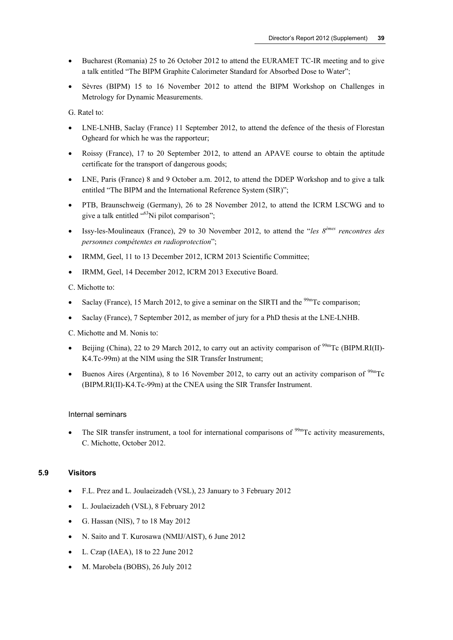- Bucharest (Romania) 25 to 26 October 2012 to attend the EURAMET TC-IR meeting and to give a talk entitled "The BIPM Graphite Calorimeter Standard for Absorbed Dose to Water";
- Sèvres (BIPM) 15 to 16 November 2012 to attend the BIPM Workshop on Challenges in Metrology for Dynamic Measurements.

G. Ratel to:

- LNE-LNHB, Saclay (France) 11 September 2012, to attend the defence of the thesis of Florestan Ogheard for which he was the rapporteur;
- Roissy (France), 17 to 20 September 2012, to attend an APAVE course to obtain the aptitude certificate for the transport of dangerous goods;
- LNE, Paris (France) 8 and 9 October a.m. 2012, to attend the DDEP Workshop and to give a talk entitled "The BIPM and the International Reference System (SIR)";
- PTB, Braunschweig (Germany), 26 to 28 November 2012, to attend the ICRM LSCWG and to give a talk entitled "<sup>63</sup>Ni pilot comparison";
- Issy-les-Moulineaux (France), 29 to 30 November 2012, to attend the "*les 8èmes rencontres des personnes compétentes en radioprotection*";
- IRMM, Geel, 11 to 13 December 2012, ICRM 2013 Scientific Committee;
- IRMM, Geel, 14 December 2012, ICRM 2013 Executive Board.

C. Michotte to:

- Saclay (France), 15 March 2012, to give a seminar on the SIRTI and the  $\frac{99m}{\text{TC}}$  comparison;
- Saclay (France), 7 September 2012, as member of jury for a PhD thesis at the LNE-LNHB.

C. Michotte and M. Nonis to:

- Beijing (China), 22 to 29 March 2012, to carry out an activity comparison of <sup>99m</sup>Tc (BIPM.RI(II)-K4.Tc-99m) at the NIM using the SIR Transfer Instrument;
- **Buenos Aires (Argentina), 8 to 16 November 2012, to carry out an activity comparison of**  $99m$ **Tc** (BIPM.RI(II)-K4.Tc-99m) at the CNEA using the SIR Transfer Instrument.

#### Internal seminars

• The SIR transfer instrument, a tool for international comparisons of  $\frac{99 \text{m}}{C}$  activity measurements, C. Michotte, October 2012.

#### **5.9 Visitors**

- F.L. Prez and L. Joulaeizadeh (VSL), 23 January to 3 February 2012
- L. Joulaeizadeh (VSL), 8 February 2012
- G. Hassan (NIS), 7 to 18 May 2012
- N. Saito and T. Kurosawa (NMIJ/AIST), 6 June 2012
- L. Czap (IAEA), 18 to 22 June 2012
- M. Marobela (BOBS), 26 July 2012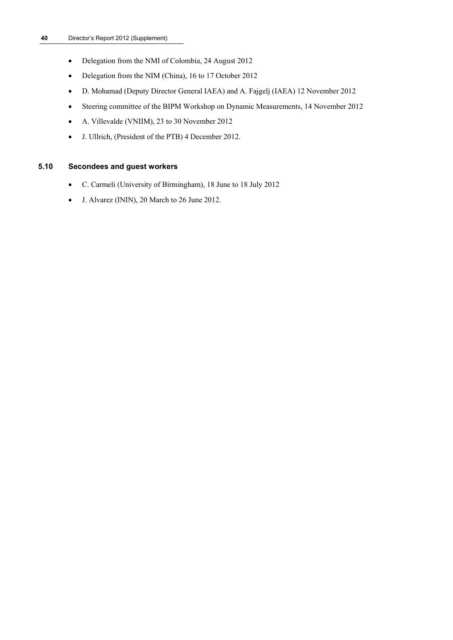- Delegation from the NMI of Colombia, 24 August 2012
- Delegation from the NIM (China), 16 to 17 October 2012
- D. Mohamad (Deputy Director General IAEA) and A. Fajgelj (IAEA) 12 November 2012
- Steering committee of the BIPM Workshop on Dynamic Measurements, 14 November 2012
- A. Villevalde (VNIIM), 23 to 30 November 2012
- J. Ullrich, (President of the PTB) 4 December 2012.

#### **5.10 Secondees and guest workers**

- C. Carmeli (University of Birmingham), 18 June to 18 July 2012
- J. Alvarez (ININ), 20 March to 26 June 2012.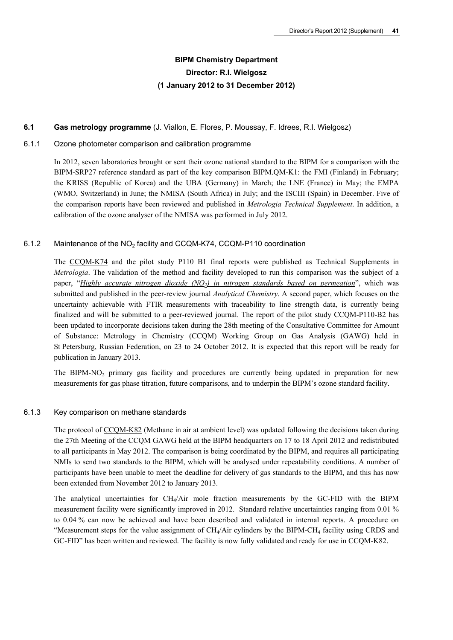## **BIPM Chemistry Department Director: R.I. Wielgosz (1 January 2012 to 31 December 2012)**

#### **6.1 Gas metrology programme** (J. Viallon, E. Flores, P. Moussay, F. Idrees, R.I. Wielgosz)

#### 6.1.1 Ozone photometer comparison and calibration programme

In 2012, seven laboratories brought or sent their ozone national standard to the BIPM for a comparison with the BIPM-SRP27 reference standard as part of the key comparison [BIPM.QM-K1](http://kcdb.bipm.org/appendixB/KCDB_ApB_info.asp?cmp_idy=733&cmp_cod=BIPM.QM-K1&prov=exalead): the FMI (Finland) in February; the KRISS (Republic of Korea) and the UBA (Germany) in March; the LNE (France) in May; the EMPA (WMO, Switzerland) in June; the NMISA (South Africa) in July; and the ISCIII (Spain) in December. Five of the comparison reports have been reviewed and published in *Metrologia Technical Supplement*. In addition, a calibration of the ozone analyser of the NMISA was performed in July 2012.

#### 6.1.2 Maintenance of the NO<sub>2</sub> facility and CCQM-K74, CCQM-P110 coordination

The [CCQM-K74](http://kcdb.bipm.org/appendixB/KCDB_ApB_info.asp?cmp_idy=968&cmp_cod=CCQM-K74&prov=exalead) and the pilot study P110 B1 final reports were published as Technical Supplements in *Metrologia*. The validation of the method and facility developed to run this comparison was the subject of a paper, "*[Highly accurate nitrogen dioxide \(NO2\) in nitrogen standards based on permeation](http://dx.doi.org/10.1021/ac3024153)*", which was submitted and published in the peer-review journal *Analytical Chemistry*. A second paper, which focuses on the uncertainty achievable with FTIR measurements with traceability to line strength data, is currently being finalized and will be submitted to a peer-reviewed journal. The report of the pilot study CCQM-P110-B2 has been updated to incorporate decisions taken during the 28th meeting of the Consultative Committee for Amount of Substance: Metrology in Chemistry (CCQM) Working Group on Gas Analysis (GAWG) held in St Petersburg, Russian Federation, on 23 to 24 October 2012. It is expected that this report will be ready for publication in January 2013.

The BIPM-NO<sub>2</sub> primary gas facility and procedures are currently being updated in preparation for new measurements for gas phase titration, future comparisons, and to underpin the BIPM's ozone standard facility.

#### 6.1.3 Key comparison on methane standards

The protocol of [CCQM-K82](http://kcdb.bipm.org/appendixB/KCDB_ApB_info.asp?cmp_idy=1062&cmp_cod=CCQM-K82&prov=exalead) (Methane in air at ambient level) was updated following the decisions taken during the 27th Meeting of the CCQM GAWG held at the BIPM headquarters on 17 to 18 April 2012 and redistributed to all participants in May 2012. The comparison is being coordinated by the BIPM, and requires all participating NMIs to send two standards to the BIPM, which will be analysed under repeatability conditions. A number of participants have been unable to meet the deadline for delivery of gas standards to the BIPM, and this has now been extended from November 2012 to January 2013.

The analytical uncertainties for  $CH_4/Air$  mole fraction measurements by the GC-FID with the BIPM measurement facility were significantly improved in 2012. Standard relative uncertainties ranging from 0.01 % to 0.04 % can now be achieved and have been described and validated in internal reports. A procedure on "Measurement steps for the value assignment of  $CH_4/Air$  cylinders by the BIPM-CH<sub>4</sub> facility using CRDS and GC-FID" has been written and reviewed. The facility is now fully validated and ready for use in CCQM-K82.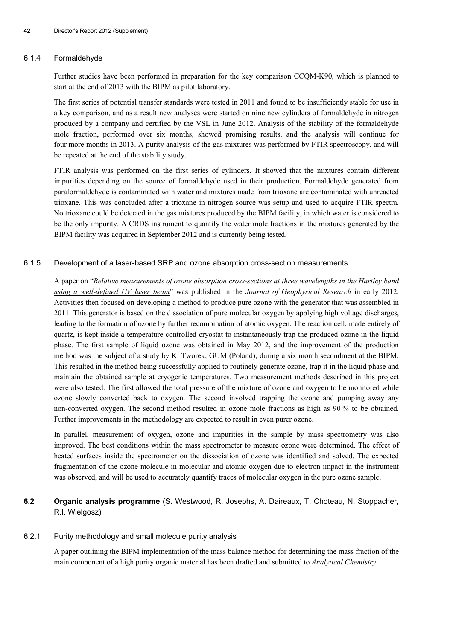#### 6.1.4 Formaldehyde

Further studies have been performed in preparation for the key comparison [CCQM-K90,](http://kcdb.bipm.org/appendixB/KCDB_ApB_info.asp?cmp_idy=1095&cmp_cod=CCQM-K90&prov=exalead) which is planned to start at the end of 2013 with the BIPM as pilot laboratory.

The first series of potential transfer standards were tested in 2011 and found to be insufficiently stable for use in a key comparison, and as a result new analyses were started on nine new cylinders of formaldehyde in nitrogen produced by a company and certified by the VSL in June 2012. Analysis of the stability of the formaldehyde mole fraction, performed over six months, showed promising results, and the analysis will continue for four more months in 2013. A purity analysis of the gas mixtures was performed by FTIR spectroscopy, and will be repeated at the end of the stability study.

FTIR analysis was performed on the first series of cylinders. It showed that the mixtures contain different impurities depending on the source of formaldehyde used in their production. Formaldehyde generated from paraformaldehyde is contaminated with water and mixtures made from trioxane are contaminated with unreacted trioxane. This was concluded after a trioxane in nitrogen source was setup and used to acquire FTIR spectra. No trioxane could be detected in the gas mixtures produced by the BIPM facility, in which water is considered to be the only impurity. A CRDS instrument to quantify the water mole fractions in the mixtures generated by the BIPM facility was acquired in September 2012 and is currently being tested.

#### 6.1.5 Development of a laser-based SRP and ozone absorption cross-section measurements

A paper on "*[Relative measurements of ozone absorption cross-sections at three wavelengths in the Hartley band](http://dx.doi.org/10.1029/2011JD016374)  [using a well-defined UV laser beam](http://dx.doi.org/10.1029/2011JD016374)*" was published in the *Journal of Geophysical Research* in early 2012. Activities then focused on developing a method to produce pure ozone with the generator that was assembled in 2011. This generator is based on the dissociation of pure molecular oxygen by applying high voltage discharges, leading to the formation of ozone by further recombination of atomic oxygen. The reaction cell, made entirely of quartz, is kept inside a temperature controlled cryostat to instantaneously trap the produced ozone in the liquid phase. The first sample of liquid ozone was obtained in May 2012, and the improvement of the production method was the subject of a study by K. Tworek, GUM (Poland), during a six month secondment at the BIPM. This resulted in the method being successfully applied to routinely generate ozone, trap it in the liquid phase and maintain the obtained sample at cryogenic temperatures. Two measurement methods described in this project were also tested. The first allowed the total pressure of the mixture of ozone and oxygen to be monitored while ozone slowly converted back to oxygen. The second involved trapping the ozone and pumping away any non-converted oxygen. The second method resulted in ozone mole fractions as high as 90 % to be obtained. Further improvements in the methodology are expected to result in even purer ozone.

In parallel, measurement of oxygen, ozone and impurities in the sample by mass spectrometry was also improved. The best conditions within the mass spectrometer to measure ozone were determined. The effect of heated surfaces inside the spectrometer on the dissociation of ozone was identified and solved. The expected fragmentation of the ozone molecule in molecular and atomic oxygen due to electron impact in the instrument was observed, and will be used to accurately quantify traces of molecular oxygen in the pure ozone sample.

## **6.2 Organic analysis programme** (S. Westwood, R. Josephs, A. Daireaux, T. Choteau, N. Stoppacher, R.I. Wielgosz)

#### 6.2.1 Purity methodology and small molecule purity analysis

A paper outlining the BIPM implementation of the mass balance method for determining the mass fraction of the main component of a high purity organic material has been drafted and submitted to *Analytical Chemistry*.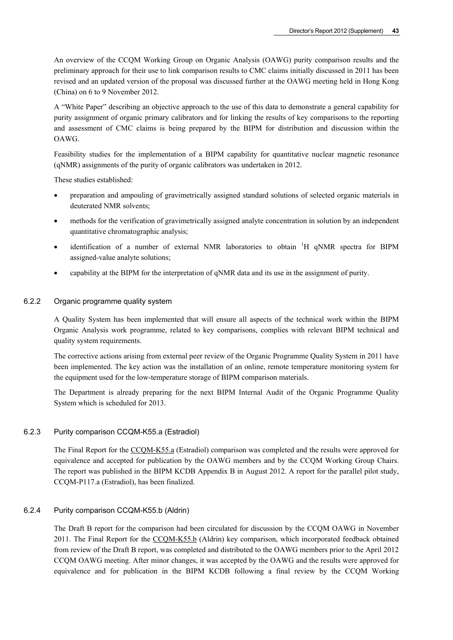An overview of the CCQM Working Group on Organic Analysis (OAWG) purity comparison results and the preliminary approach for their use to link comparison results to CMC claims initially discussed in 2011 has been revised and an updated version of the proposal was discussed further at the OAWG meeting held in Hong Kong (China) on 6 to 9 November 2012.

A "White Paper" describing an objective approach to the use of this data to demonstrate a general capability for purity assignment of organic primary calibrators and for linking the results of key comparisons to the reporting and assessment of CMC claims is being prepared by the BIPM for distribution and discussion within the OAWG.

Feasibility studies for the implementation of a BIPM capability for quantitative nuclear magnetic resonance (qNMR) assignments of the purity of organic calibrators was undertaken in 2012.

These studies established:

- preparation and ampouling of gravimetrically assigned standard solutions of selected organic materials in deuterated NMR solvents;
- methods for the verification of gravimetrically assigned analyte concentration in solution by an independent quantitative chromatographic analysis;
- identification of a number of external NMR laboratories to obtain <sup>1</sup>H qNMR spectra for BIPM assigned-value analyte solutions;
- capability at the BIPM for the interpretation of qNMR data and its use in the assignment of purity.

#### 6.2.2 Organic programme quality system

A Quality System has been implemented that will ensure all aspects of the technical work within the BIPM Organic Analysis work programme, related to key comparisons, complies with relevant BIPM technical and quality system requirements.

The corrective actions arising from external peer review of the Organic Programme Quality System in 2011 have been implemented. The key action was the installation of an online, remote temperature monitoring system for the equipment used for the low-temperature storage of BIPM comparison materials.

The Department is already preparing for the next BIPM Internal Audit of the Organic Programme Quality System which is scheduled for 2013.

#### 6.2.3 Purity comparison CCQM-K55.a (Estradiol)

The Final Report for the [CCQM-K55.a](http://kcdb.bipm.org/appendixB/KCDB_ApB_info.asp?cmp_idy=823&cmp_cod=CCQM-K55.a&prov=exalead) (Estradiol) comparison was completed and the results were approved for equivalence and accepted for publication by the OAWG members and by the CCQM Working Group Chairs. The report was published in the BIPM KCDB Appendix B in August 2012. A report for the parallel pilot study, CCQM-P117.a (Estradiol), has been finalized.

#### 6.2.4 Purity comparison CCQM-K55.b (Aldrin)

The Draft B report for the comparison had been circulated for discussion by the CCQM OAWG in November 2011. The Final Report for the [CCQM-K55.b](http://kcdb.bipm.org/appendixB/KCDB_ApB_info.asp?cmp_idy=1071&cmp_cod=CCQM-K55.b&prov=exalead) (Aldrin) key comparison, which incorporated feedback obtained from review of the Draft B report, was completed and distributed to the OAWG members prior to the April 2012 CCQM OAWG meeting. After minor changes, it was accepted by the OAWG and the results were approved for equivalence and for publication in the BIPM KCDB following a final review by the CCQM Working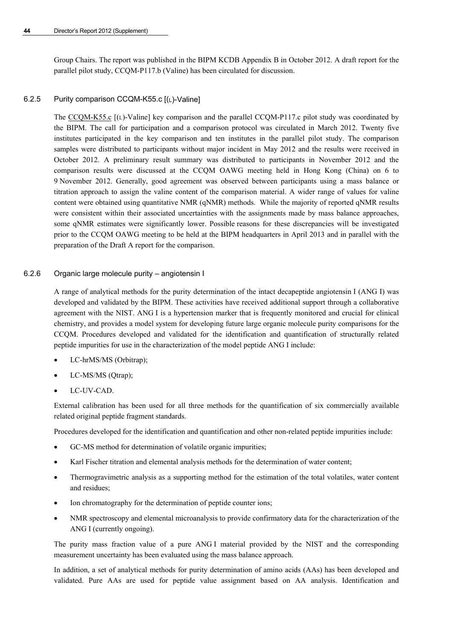Group Chairs. The report was published in the BIPM KCDB Appendix B in October 2012. A draft report for the parallel pilot study, CCQM-P117.b (Valine) has been circulated for discussion.

#### 6.2.5 Purity comparison CCQM-K55.c [(L)-Valine]

The [CCQM-K55.c](http://kcdb.bipm.org/appendixB/KCDB_ApB_info.asp?cmp_idy=1072&cmp_cod=CCQM-K55.c&prov=exalead) [(L)-Valine] key comparison and the parallel CCQM-P117.c pilot study was coordinated by the BIPM. The call for participation and a comparison protocol was circulated in March 2012. Twenty five institutes participated in the key comparison and ten institutes in the parallel pilot study. The comparison samples were distributed to participants without major incident in May 2012 and the results were received in October 2012. A preliminary result summary was distributed to participants in November 2012 and the comparison results were discussed at the CCQM OAWG meeting held in Hong Kong (China) on 6 to 9 November 2012. Generally, good agreement was observed between participants using a mass balance or titration approach to assign the valine content of the comparison material. A wider range of values for valine content were obtained using quantitative NMR (qNMR) methods. While the majority of reported qNMR results were consistent within their associated uncertainties with the assignments made by mass balance approaches, some qNMR estimates were significantly lower. Possible reasons for these discrepancies will be investigated prior to the CCQM OAWG meeting to be held at the BIPM headquarters in April 2013 and in parallel with the preparation of the Draft A report for the comparison.

#### 6.2.6 Organic large molecule purity – angiotensin I

A range of analytical methods for the purity determination of the intact decapeptide angiotensin I (ANG I) was developed and validated by the BIPM. These activities have received additional support through a collaborative agreement with the NIST. ANG I is a hypertension marker that is frequently monitored and crucial for clinical chemistry, and provides a model system for developing future large organic molecule purity comparisons for the CCQM. Procedures developed and validated for the identification and quantification of structurally related peptide impurities for use in the characterization of the model peptide ANG I include:

- LC-hrMS/MS (Orbitrap);
- LC-MS/MS (Qtrap);
- LC-UV-CAD.

External calibration has been used for all three methods for the quantification of six commercially available related original peptide fragment standards.

Procedures developed for the identification and quantification and other non-related peptide impurities include:

- GC-MS method for determination of volatile organic impurities;
- Karl Fischer titration and elemental analysis methods for the determination of water content;
- Thermogravimetric analysis as a supporting method for the estimation of the total volatiles, water content and residues;
- Ion chromatography for the determination of peptide counter ions;
- NMR spectroscopy and elemental microanalysis to provide confirmatory data for the characterization of the ANG I (currently ongoing).

The purity mass fraction value of a pure ANG I material provided by the NIST and the corresponding measurement uncertainty has been evaluated using the mass balance approach.

In addition, a set of analytical methods for purity determination of amino acids (AAs) has been developed and validated. Pure AAs are used for peptide value assignment based on AA analysis. Identification and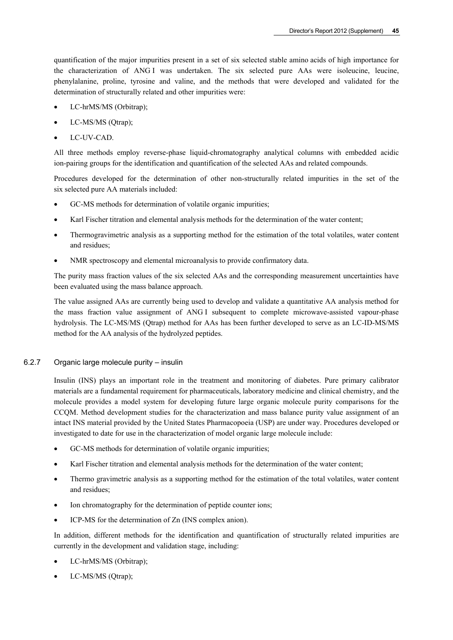quantification of the major impurities present in a set of six selected stable amino acids of high importance for the characterization of ANG I was undertaken. The six selected pure AAs were isoleucine, leucine, phenylalanine, proline, tyrosine and valine, and the methods that were developed and validated for the determination of structurally related and other impurities were:

- LC-hrMS/MS (Orbitrap);
- LC-MS/MS (Qtrap);
- LC-UV-CAD.

All three methods employ reverse-phase liquid-chromatography analytical columns with embedded acidic ion-pairing groups for the identification and quantification of the selected AAs and related compounds.

Procedures developed for the determination of other non-structurally related impurities in the set of the six selected pure AA materials included:

- GC-MS methods for determination of volatile organic impurities;
- Karl Fischer titration and elemental analysis methods for the determination of the water content;
- Thermogravimetric analysis as a supporting method for the estimation of the total volatiles, water content and residues;
- NMR spectroscopy and elemental microanalysis to provide confirmatory data.

The purity mass fraction values of the six selected AAs and the corresponding measurement uncertainties have been evaluated using the mass balance approach.

The value assigned AAs are currently being used to develop and validate a quantitative AA analysis method for the mass fraction value assignment of ANG I subsequent to complete microwave-assisted vapour-phase hydrolysis. The LC-MS/MS (Qtrap) method for AAs has been further developed to serve as an LC-ID-MS/MS method for the AA analysis of the hydrolyzed peptides.

#### 6.2.7 Organic large molecule purity – insulin

Insulin (INS) plays an important role in the treatment and monitoring of diabetes. Pure primary calibrator materials are a fundamental requirement for pharmaceuticals, laboratory medicine and clinical chemistry, and the molecule provides a model system for developing future large organic molecule purity comparisons for the CCQM. Method development studies for the characterization and mass balance purity value assignment of an intact INS material provided by the United States Pharmacopoeia (USP) are under way. Procedures developed or investigated to date for use in the characterization of model organic large molecule include:

- GC-MS methods for determination of volatile organic impurities;
- Karl Fischer titration and elemental analysis methods for the determination of the water content;
- Thermo gravimetric analysis as a supporting method for the estimation of the total volatiles, water content and residues;
- Ion chromatography for the determination of peptide counter ions;
- ICP-MS for the determination of Zn (INS complex anion).

In addition, different methods for the identification and quantification of structurally related impurities are currently in the development and validation stage, including:

- LC-hrMS/MS (Orbitrap);
- LC-MS/MS (Qtrap);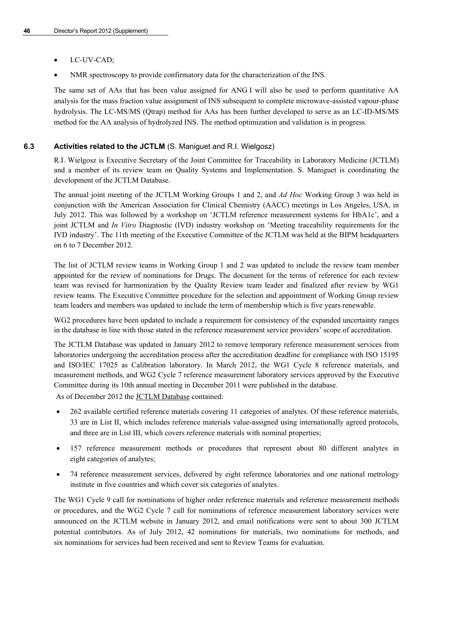- LC-UV-CAD;
- NMR spectroscopy to provide confirmatory data for the characterization of the INS.

The same set of AAs that has been value assigned for ANG I will also be used to perform quantitative AA analysis for the mass fraction value assignment of INS subsequent to complete microwave-assisted vapour-phase hydrolysis. The LC-MS/MS (Qtrap) method for AAs has been further developed to serve as an LC-ID-MS/MS method for the AA analysis of hydrolyzed INS. The method optimization and validation is in progress.

#### **6.3 Activities related to the JCTLM** (S. Maniguet and R.I. Wielgosz)

R.I. Wielgosz is Executive Secretary of the Joint Committee for Traceability in Laboratory Medicine (JCTLM) and a member of its review team on Quality Systems and Implementation. S. Maniguet is coordinating the development of the JCTLM Database.

The annual joint meeting of the JCTLM Working Groups 1 and 2, and *Ad Hoc* Working Group 3 was held in conjunction with the [American Association for Clinical Chemistry](http://www.aacc.org/) (AACC) meetings in Los Angeles, USA, in July 2012. This was followed by a workshop on 'JCTLM reference measurement systems for HbA1c', and a joint JCTLM and *In Vitro* Diagnostic (IVD) industry workshop on 'Meeting traceability requirements for the IVD industry'. The 11th meeting of the Executive Committee of the JCTLM was held at the BIPM headquarters on 6 to 7 December 2012.

The list of JCTLM review teams in Working Group 1 and 2 was updated to include the review team member appointed for the review of nominations for Drugs. The document for the terms of reference for each review team was revised for harmonization by the Quality Review team leader and finalized after review by WG1 review teams. The Executive Committee procedure for the selection and appointment of Working Group review team leaders and members was updated to include the term of membership which is five years renewable.

WG2 procedures have been updated to include a requirement for consistency of the expanded uncertainty ranges in the database in line with those stated in the reference measurement service providers' scope of accreditation.

The JCTLM Database was updated in January 2012 to remove temporary reference measurement services from laboratories undergoing the accreditation process after the accreditation deadline for compliance with ISO 15195 and ISO/IEC 17025 as Calibration laboratory. In March 2012, the WG1 Cycle 8 reference materials, and measurement methods, and WG2 Cycle 7 reference measurement laboratory services approved by the Executive Committee during its 10th annual meeting in December 2011 were published in the database.

As of December 2012 the [JCTLM Database](http://www.bipm.org/jctlm/) contained:

- 262 available certified reference materials covering 11 categories of analytes. Of these reference materials, 33 are in List II, which includes reference materials value-assigned using internationally agreed protocols, and three are in List III, which covers reference materials with nominal properties;
- 157 reference measurement methods or procedures that represent about 80 different analytes in eight categories of analytes;
- 74 reference measurement services, delivered by eight reference laboratories and one national metrology institute in five countries and which cover six categories of analytes.

The WG1 Cycle 9 call for nominations of higher order reference materials and reference measurement methods or procedures, and the WG2 Cycle 7 call for nominations of reference measurement laboratory services were announced on the JCTLM website in January 2012, and email notifications were sent to about 300 JCTLM potential contributors. As of July 2012, 42 nominations for materials, two nominations for methods, and six nominations for services had been received and sent to Review Teams for evaluation.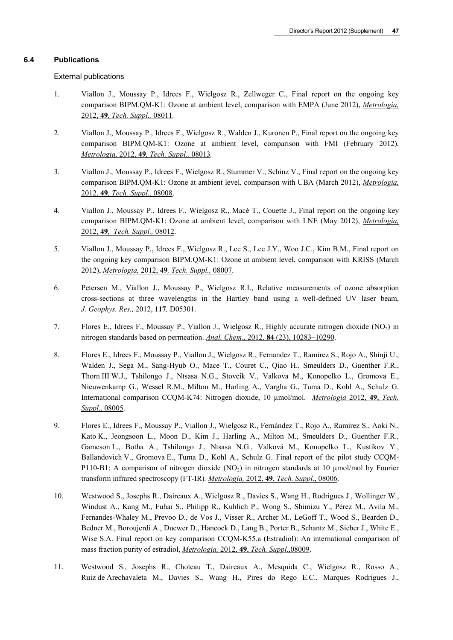#### **6.4 Publications**

External publications

- 1. Viallon J., Moussay P., Idrees F., Wielgosz R., Zellweger C., Final report on the ongoing key comparison BIPM.QM-K1: Ozone at ambient level, comparison with EMPA (June 2012), *[Metrologia,](http://stacks.iop.org/0026-1394/49/08011)*  2012, **49***[, Tech. Suppl.,](http://stacks.iop.org/0026-1394/49/08011)* 08011*.*
- 2. Viallon J., Moussay P., Idrees F., Wielgosz R., Walden J., Kuronen P., Final report on the ongoing key comparison BIPM.QM-K1: Ozone at ambient level, comparison with FMI (February 2012), *Metrologia,* 2012, **49***[, Tech. Suppl.,](http://stacks.iop.org/0026-1394/49/08013)* 08013*.*
- 3. Viallon J., Moussay P., Idrees F., Wielgosz R., Stummer V., Schinz V., Final report on the ongoing key comparison BIPM.QM-K1: Ozone at ambient level, comparison with UBA (March 2012), *[Metrologia,](http://stacks.iop.org/0026-1394/49/08008)*  2012, **49***[, Tech. Suppl.,](http://stacks.iop.org/0026-1394/49/08008)* 08008.
- 4. Viallon J., Moussay P., Idrees F., Wielgosz R., Macé T., Couette J., Final report on the ongoing key comparison BIPM.QM-K1: Ozone at ambient level, comparison with LNE (May 2012), *[Metrologia,](http://stacks.iop.org/0026-1394/49/08012)* 2012, **49***[, Tech. Suppl.,](http://stacks.iop.org/0026-1394/49/08012)* 08012.
- 5. Viallon J., Moussay P., Idrees F., Wielgosz R., Lee S., Lee J.Y., Woo J.C., Kim B.M., Final report on the ongoing key comparison BIPM.QM-K1: Ozone at ambient level, comparison with KRISS (March 2012), *Metrologia,* 2012, **49***[, Tech. Suppl.,](http://stacks.iop.org/0026-1394/49/08007)* 08007.
- 6. Petersen M., Viallon J., Moussay P., Wielgosz R.I., Relative measurements of ozone absorption cross-sections at three wavelengths in the Hartley band using a well-defined UV laser beam, *[J. Geophys. Res.,](http://dx.doi.org/10.1029/2011JD016374)* 2012, **117***,* D05301.
- 7. Flores E., Idrees F., Moussay P., Viallon J., Wielgosz R., Highly accurate nitrogen dioxide (NO<sub>2</sub>) in nitrogen standards based on permeation. *Anal. Chem*., 2012, **84** [\(23\), 10283–10290.](http://dx.doi.org/10.1021/ac3024153)
- 8. Flores E., Idrees F., Moussay P., Viallon J., Wielgosz R., Fernandez T., Ramirez S., Rojo A., Shinji U., Walden J., Sega M., Sang-Hyub O., Mace T., Couret C., Qiao H., Smeulders D., Guenther F.R., Thorn III W.J., Tshilongo J., Ntsasa N.G., Stovcik V., Valkova M., Konopelko L., Gromova E., Nieuwenkamp G., Wessel R.M., Milton M., Harling A., Vargha G., Tuma D., Kohl A., Schulz G. International comparison CCQM-K74: Nitrogen dioxide, 10 µmol/mol. *[Metrologia](http://stacks.iop.org/0026-1394/49/08005)* 2012, **49**, *Tech. Suppl*[., 08005](http://stacks.iop.org/0026-1394/49/08005).
- 9. Flores E., Idrees F., Moussay P., Viallon J., Wielgosz R., Fernández T., Rojo A., Ramírez S., Aoki N., Kato K., Jeongsoon L., Moon D., Kim J., Harling A., Milton M., Smeulders D., Guenther F.R., Gameson L., Botha A., Tshilongo J., Ntsasa N.G., Valková M., Konopelko L., Kustikov Y., Ballandovich V., Gromova E., Tuma D., Kohl A., Schulz G. Final report of the pilot study CCQM-P110-B1: A comparison of nitrogen dioxide  $(NO<sub>2</sub>)$  in nitrogen standards at 10 µmol/mol by Fourier transform infrared spectroscopy (FT-IR)*. [Metrologia,](http://stacks.iop.org/0026-1394/49/08006)* 2012, **49**, *Tech. Suppl*., 08006.
- 10. Westwood S., Josephs R., Daireaux A., Wielgosz R., Davies S., Wang H., Rodrigues J., Wollinger W., Windust A., Kang M., Fuhai S., Philipp R., Kuhlich P., Wong S., Shimizu Y., Pérez M., Avila M., Fernandes-Whaley M., Prevoo D., de Vos J., Visser R., Archer M., LeGoff T., Wood S., Bearden D., Bedner M., Boroujerdi A., Duewer D., Hancock D., Lang B., Porter B., Schantz M., Sieber J., White E., Wise S.A. Final report on key comparison CCQM-K55.a (Estradiol): An international comparison of mass fraction purity of estradiol, *Metrologia,* 2012, **49**, *[Tech. Suppl](http://iopscience.iop.org/0026-1394/49/1A/08009/)*.,08009.
- 11. Westwood S., Josephs R., Choteau T., Daireaux A., Mesquida C., Wielgosz R., Rosso A., Ruiz de Arechavaleta M., Davies S., Wang H., Pires do Rego E.C., Marques Rodrigues J.,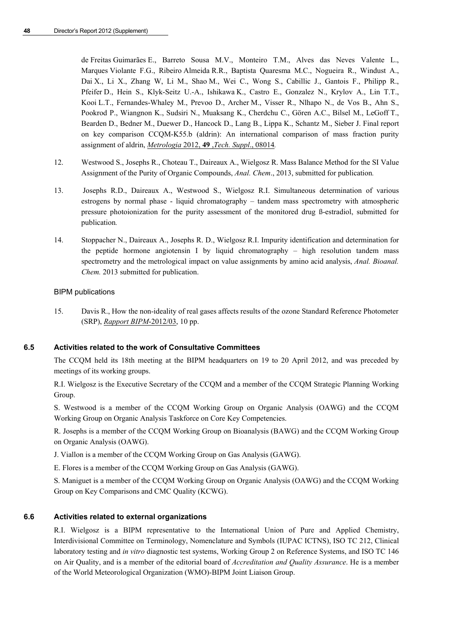de Freitas Guimarães E., Barreto Sousa M.V., Monteiro T.M., Alves das Neves Valente L., Marques Violante F.G., Ribeiro Almeida R.R., Baptista Quaresma M.C., Nogueira R., Windust A., Dai X., Li X., Zhang W, Li M., Shao M., Wei C., Wong S., Cabillic J., Gantois F., Philipp R., Pfeifer D., Hein S., Klyk-Seitz U.-A., Ishikawa K., Castro E., Gonzalez N., Krylov A., Lin T.T., Kooi L.T., Fernandes-Whaley M., Prevoo D., Archer M., Visser R., Nlhapo N., de Vos B., Ahn S., Pookrod P., Wiangnon K., Sudsiri N., Muaksang K., Cherdchu C., Gören A.C., Bilsel M., LeGoff T., Bearden D., Bedner M., Duewer D., Hancock D., Lang B., Lippa K., Schantz M., Sieber J. Final report on key comparison CCQM-K55.b (aldrin): An international comparison of mass fraction purity assignment of aldrin, *Metrologia* 2012, **49** ,*Tech. Suppl*., 08014*.*

- 12. Westwood S., Josephs R., Choteau T., Daireaux A., Wielgosz R. Mass Balance Method for the SI Value Assignment of the Purity of Organic Compounds, *Anal. Chem*., 2013, submitted for publication*.*
- 13. Josephs R.D., Daireaux A., Westwood S., Wielgosz R.I. Simultaneous determination of various estrogens by normal phase - liquid chromatography – tandem mass spectrometry with atmospheric pressure photoionization for the purity assessment of the monitored drug ß-estradiol, submitted for publication*.*
- 14. Stoppacher N., Daireaux A., Josephs R. D., Wielgosz R.I. Impurity identification and determination for the peptide hormone angiotensin I by liquid chromatography – high resolution tandem mass spectrometry and the metrological impact on value assignments by amino acid analysis, *Anal. Bioanal. Chem.* 2013 submitted for publication.

#### BIPM publications

15. Davis R., How the non-ideality of real gases affects results of the ozone Standard Reference Photometer (SRP), *[Rapport BIPM](http://www.bipm.org/utils/common/pdf/rapportBIPM/2012/03.pdf)*-2012/03, 10 pp.

#### **6.5 Activities related to the work of Consultative Committees**

The CCQM held its 18th meeting at the BIPM headquarters on 19 to 20 April 2012, and was preceded by meetings of its working groups.

R.I. Wielgosz is the Executive Secretary of the CCQM and a member of the CCQM Strategic Planning Working Group.

S. Westwood is a member of the CCQM Working Group on Organic Analysis (OAWG) and the CCQM Working Group on Organic Analysis Taskforce on Core Key Competencies.

R. Josephs is a member of the CCQM Working Group on Bioanalysis (BAWG) and the CCQM Working Group on Organic Analysis (OAWG).

- J. Viallon is a member of the CCQM Working Group on Gas Analysis (GAWG).
- E. Flores is a member of the CCQM Working Group on Gas Analysis (GAWG).

S. Maniguet is a member of the CCQM Working Group on Organic Analysis (OAWG) and the CCQM Working Group on Key Comparisons and CMC Quality (KCWG).

#### **6.6 Activities related to external organizations**

R.I. Wielgosz is a BIPM representative to the International Union of Pure and Applied Chemistry, Interdivisional Committee on Terminology, Nomenclature and Symbols (IUPAC ICTNS), ISO TC 212, Clinical laboratory testing and *in vitro* diagnostic test systems, Working Group 2 on Reference Systems, and ISO TC 146 on Air Quality, and is a member of the editorial board of *Accreditation and Quality Assurance*. He is a member of the World Meteorological Organization (WMO)-BIPM Joint Liaison Group.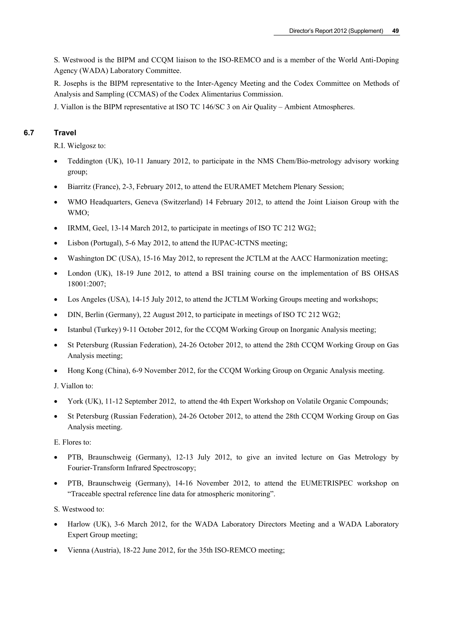S. Westwood is the BIPM and CCQM liaison to the ISO-REMCO and is a member of the World Anti-Doping Agency (WADA) Laboratory Committee.

R. Josephs is the BIPM representative to the Inter-Agency Meeting and the Codex Committee on Methods of Analysis and Sampling (CCMAS) of the Codex Alimentarius Commission.

J. Viallon is the BIPM representative at ISO TC 146/SC 3 on Air Quality – Ambient Atmospheres.

#### **6.7 Travel**

R.I. Wielgosz to:

- Teddington (UK), 10-11 January 2012, to participate in the NMS Chem/Bio-metrology advisory working group;
- Biarritz (France), 2-3, February 2012, to attend the EURAMET Metchem Plenary Session;
- WMO Headquarters, Geneva (Switzerland) 14 February 2012, to attend the Joint Liaison Group with the WMO;
- IRMM, Geel, 13-14 March 2012, to participate in meetings of ISO TC 212 WG2;
- Lisbon (Portugal), 5-6 May 2012, to attend the IUPAC-ICTNS meeting;
- Washington DC (USA), 15-16 May 2012, to represent the JCTLM at the AACC Harmonization meeting;
- London (UK), 18-19 June 2012, to attend a BSI training course on the implementation of BS OHSAS 18001:2007;
- Los Angeles (USA), 14-15 July 2012, to attend the JCTLM Working Groups meeting and workshops;
- DIN, Berlin (Germany), 22 August 2012, to participate in meetings of ISO TC 212 WG2;
- Istanbul (Turkey) 9-11 October 2012, for the CCQM Working Group on Inorganic Analysis meeting;
- St Petersburg (Russian Federation), 24-26 October 2012, to attend the 28th CCQM Working Group on Gas Analysis meeting;
- Hong Kong (China), 6-9 November 2012, for the CCQM Working Group on Organic Analysis meeting.

J. Viallon to:

- York (UK), 11-12 September 2012, to attend the 4th Expert Workshop on Volatile Organic Compounds;
- St Petersburg (Russian Federation), 24-26 October 2012, to attend the 28th CCQM Working Group on Gas Analysis meeting.

E. Flores to:

- PTB, Braunschweig (Germany), 12-13 July 2012, to give an invited lecture on Gas Metrology by Fourier-Transform Infrared Spectroscopy;
- PTB, Braunschweig (Germany), 14-16 November 2012, to attend the EUMETRISPEC workshop on "Traceable spectral reference line data for atmospheric monitoring".

S. Westwood to:

- Harlow (UK), 3-6 March 2012, for the WADA Laboratory Directors Meeting and a WADA Laboratory Expert Group meeting;
- Vienna (Austria), 18-22 June 2012, for the 35th ISO-REMCO meeting;